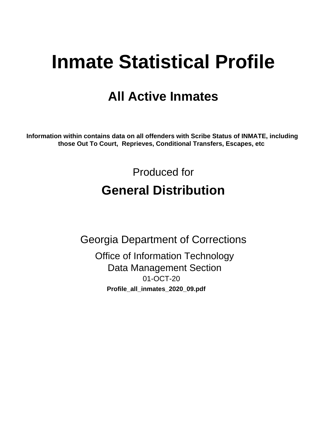# **Inmate Statistical Profile**

## **All Active Inmates**

Information within contains data on all offenders with Scribe Status of INMATE, including those Out To Court, Reprieves, Conditional Transfers, Escapes, etc

> Produced for **General Distribution**

**Georgia Department of Corrections Office of Information Technology Data Management Section** 01-OCT-20 Profile\_all\_inmates\_2020\_09.pdf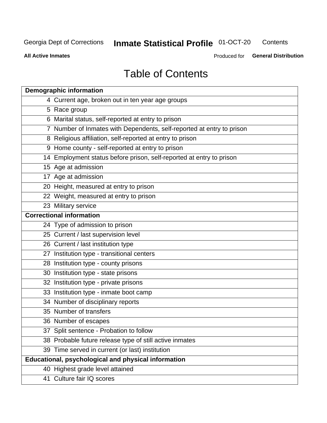#### **Inmate Statistical Profile 01-OCT-20** Contents

**All Active Inmates** 

Produced for General Distribution

## **Table of Contents**

| <b>Demographic information</b>                                        |
|-----------------------------------------------------------------------|
| 4 Current age, broken out in ten year age groups                      |
| 5 Race group                                                          |
| 6 Marital status, self-reported at entry to prison                    |
| 7 Number of Inmates with Dependents, self-reported at entry to prison |
| 8 Religious affiliation, self-reported at entry to prison             |
| 9 Home county - self-reported at entry to prison                      |
| 14 Employment status before prison, self-reported at entry to prison  |
| 15 Age at admission                                                   |
| 17 Age at admission                                                   |
| 20 Height, measured at entry to prison                                |
| 22 Weight, measured at entry to prison                                |
| 23 Military service                                                   |
| <b>Correctional information</b>                                       |
| 24 Type of admission to prison                                        |
| 25 Current / last supervision level                                   |
| 26 Current / last institution type                                    |
| 27 Institution type - transitional centers                            |
| 28 Institution type - county prisons                                  |
| 30 Institution type - state prisons                                   |
| 32 Institution type - private prisons                                 |
| 33 Institution type - inmate boot camp                                |
| 34 Number of disciplinary reports                                     |
| 35 Number of transfers                                                |
| 36 Number of escapes                                                  |
| 37 Split sentence - Probation to follow                               |
| 38 Probable future release type of still active inmates               |
| 39 Time served in current (or last) institution                       |
| Educational, psychological and physical information                   |
| 40 Highest grade level attained                                       |
| 41 Culture fair IQ scores                                             |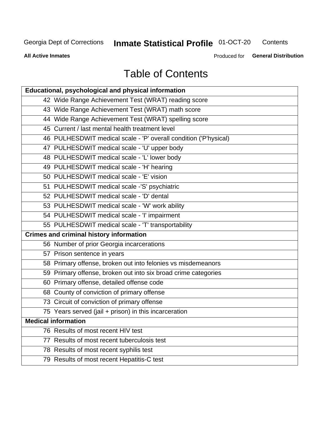## **Inmate Statistical Profile 01-OCT-20**

Contents

**All Active Inmates** 

Produced for General Distribution

## **Table of Contents**

| Educational, psychological and physical information              |
|------------------------------------------------------------------|
| 42 Wide Range Achievement Test (WRAT) reading score              |
| 43 Wide Range Achievement Test (WRAT) math score                 |
| 44 Wide Range Achievement Test (WRAT) spelling score             |
| 45 Current / last mental health treatment level                  |
| 46 PULHESDWIT medical scale - 'P' overall condition ('P'hysical) |
| 47 PULHESDWIT medical scale - 'U' upper body                     |
| 48 PULHESDWIT medical scale - 'L' lower body                     |
| 49 PULHESDWIT medical scale - 'H' hearing                        |
| 50 PULHESDWIT medical scale - 'E' vision                         |
| 51 PULHESDWIT medical scale -'S' psychiatric                     |
| 52 PULHESDWIT medical scale - 'D' dental                         |
| 53 PULHESDWIT medical scale - 'W' work ability                   |
| 54 PULHESDWIT medical scale - 'I' impairment                     |
| 55 PULHESDWIT medical scale - 'T' transportability               |
| <b>Crimes and criminal history information</b>                   |
| 56 Number of prior Georgia incarcerations                        |
| 57 Prison sentence in years                                      |
| 58 Primary offense, broken out into felonies vs misdemeanors     |
| 59 Primary offense, broken out into six broad crime categories   |
| 60 Primary offense, detailed offense code                        |
| 68 County of conviction of primary offense                       |
| 73 Circuit of conviction of primary offense                      |
| 75 Years served (jail + prison) in this incarceration            |
| <b>Medical information</b>                                       |
| 76 Results of most recent HIV test                               |
| 77 Results of most recent tuberculosis test                      |
| 78 Results of most recent syphilis test                          |
| 79 Results of most recent Hepatitis-C test                       |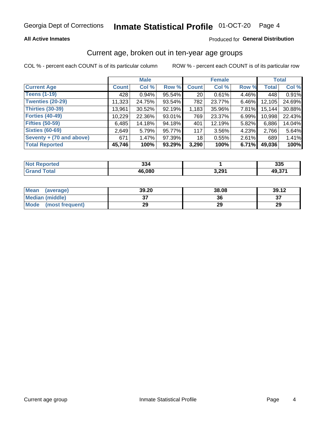#### Inmate Statistical Profile 01-OCT-20 Page 4

#### **All Active Inmates**

#### Produced for General Distribution

### Current age, broken out in ten-year age groups

COL % - percent each COUNT is of its particular column

|                          |              | <b>Male</b> |        |                 | <b>Female</b> |          |              | <b>Total</b> |
|--------------------------|--------------|-------------|--------|-----------------|---------------|----------|--------------|--------------|
| <b>Current Age</b>       | <b>Count</b> | Col %       | Row %  | <b>Count</b>    | Col %         | Row %    | <b>Total</b> | Col %        |
| <b>Teens (1-19)</b>      | 428          | 0.94%       | 95.54% | 20 <sub>1</sub> | 0.61%         | 4.46%    | 448          | 0.91%        |
| <b>Twenties (20-29)</b>  | 11,323       | 24.75%      | 93.54% | 782             | 23.77%        | 6.46%    | 12,105       | 24.69%       |
| Thirties (30-39)         | 13,961       | 30.52%      | 92.19% | 1,183           | 35.96%        | $7.81\%$ | 15,144       | 30.88%       |
| <b>Forties (40-49)</b>   | 10,229       | 22.36%      | 93.01% | 769             | 23.37%        | 6.99%    | 10,998       | 22.43%       |
| <b>Fifties (50-59)</b>   | 6,485        | 14.18%      | 94.18% | 401             | 12.19%        | 5.82%    | 6,886        | 14.04%       |
| <b>Sixties (60-69)</b>   | 2.649        | 5.79%       | 95.77% | 117             | $3.56\%$      | 4.23%    | 2,766        | 5.64%        |
| Seventy + (70 and above) | 671          | 1.47%       | 97.39% | 18              | 0.55%         | 2.61%    | 689          | 1.41%        |
| <b>Total Reported</b>    | 45,746       | 100%        | 93.29% | 3,290           | 100%          | 6.71%    | 49,036       | 100%         |

| <b>Not Reported</b> | 221<br>აა4 |       | 335             |
|---------------------|------------|-------|-----------------|
| Total               | 46,080     | 3,291 | 49,37 $\degree$ |

| <b>Mean</b><br>(average) | 39.20         | 38.08 | 39.12   |
|--------------------------|---------------|-------|---------|
| Median (middle)          | $\sim$<br>ا پ | 36    | ົ<br>o. |
| Mode<br>(most frequent)  | 29            | 29    | 29      |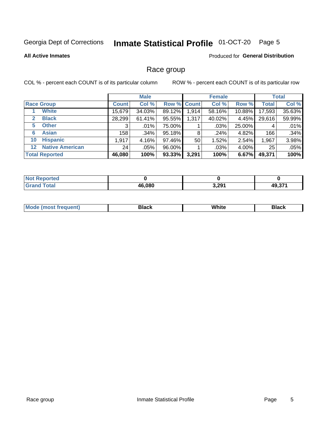#### Inmate Statistical Profile 01-OCT-20 Page 5

#### **All Active Inmates**

#### Produced for General Distribution

#### Race group

COL % - percent each COUNT is of its particular column

|                       |                        |              | <b>Male</b> |             |       | <b>Female</b> |        |                 | <b>Total</b> |
|-----------------------|------------------------|--------------|-------------|-------------|-------|---------------|--------|-----------------|--------------|
| <b>Race Group</b>     |                        | <b>Count</b> | Col %       | Row % Count |       | Col %         | Row %  | <b>Total</b>    | Col %        |
|                       | <b>White</b>           | 15,679       | 34.03%      | 89.12%      | 1,914 | 58.16%        | 10.88% | 17,593          | 35.63%       |
| 2                     | <b>Black</b>           | 28,299       | 61.41%      | 95.55%      | 1,317 | 40.02%        | 4.45%  | 29,616          | 59.99%       |
| 5.                    | <b>Other</b>           |              | $.01\%$     | 75.00%      |       | .03%          | 25.00% | 4               | .01%         |
| 6                     | <b>Asian</b>           | 158          | .34%        | 95.18%      | 8     | .24%          | 4.82%  | 166             | .34%         |
| 10                    | <b>Hispanic</b>        | 1,917        | 4.16%       | 97.46%      | 50    | 1.52%         | 2.54%  | 1,967           | 3.98%        |
| $12 \,$               | <b>Native American</b> | 24           | $.05\%$     | 96.00%      |       | .03%          | 4.00%  | 25 <sub>1</sub> | .05%         |
| <b>Total Reported</b> |                        | 46,080       | 100%        | 93.33%      | 3,291 | 100%          | 6.67%  | 49,371          | 100%         |

| eported<br>'NO.              |        |       |        |
|------------------------------|--------|-------|--------|
| <b>Total</b><br><b>Grano</b> | 46,080 | 3,291 | 49,371 |

| <b>M</b><br><b>AAIIII</b><br>___ |  |
|----------------------------------|--|
|----------------------------------|--|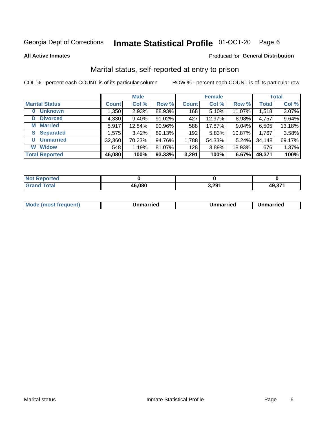#### Inmate Statistical Profile 01-OCT-20 Page 6

**All Active Inmates** 

#### Produced for General Distribution

### Marital status, self-reported at entry to prison

COL % - percent each COUNT is of its particular column

|                            |              | <b>Male</b> |        | <b>Female</b> |        |        | <b>Total</b> |        |
|----------------------------|--------------|-------------|--------|---------------|--------|--------|--------------|--------|
| <b>Marital Status</b>      | <b>Count</b> | Col %       | Row %  | <b>Count</b>  | Col %  | Row %  | <b>Total</b> | Col %  |
| <b>Unknown</b><br>$\bf{0}$ | 1,350        | 2.93%       | 88.93% | 168           | 5.10%  | 11.07% | 1,518        | 3.07%  |
| <b>Divorced</b><br>D       | 4,330        | 9.40%       | 91.02% | 427           | 12.97% | 8.98%  | 4,757        | 9.64%  |
| <b>Married</b><br>М        | 5,917        | 12.84%      | 90.96% | 588           | 17.87% | 9.04%  | 6,505        | 13.18% |
| <b>Separated</b><br>S      | 1,575        | 3.42%       | 89.13% | 192           | 5.83%  | 10.87% | 1,767        | 3.58%  |
| <b>Unmarried</b><br>U      | 32,360       | 70.23%      | 94.76% | 1,788         | 54.33% | 5.24%  | 34,148       | 69.17% |
| <b>Widow</b><br>W          | 548          | 1.19%       | 81.07% | 128           | 3.89%  | 18.93% | 676          | 1.37%  |
| <b>Total Reported</b>      | 46,080       | 100%        | 93.33% | 3,291         | 100%   | 6.67%  | 49,371       | 100%   |

| orted<br>NO |        |       |                             |
|-------------|--------|-------|-----------------------------|
| $\sim$      | 16,080 | 3,291 | 49.37 <sup>4</sup><br>49.91 |

|--|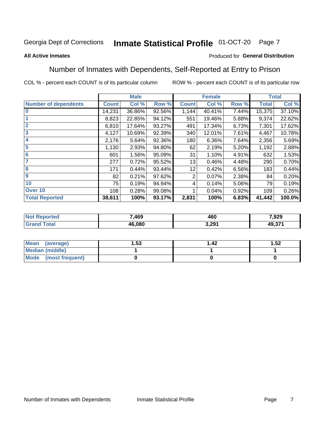#### Inmate Statistical Profile 01-OCT-20 Page 7

#### **All Active Inmates**

#### Produced for General Distribution

### Number of Inmates with Dependents, Self-Reported at Entry to Prison

COL % - percent each COUNT is of its particular column

|                             |              | <b>Male</b> |        |              | <b>Female</b> |       |              | <b>Total</b> |
|-----------------------------|--------------|-------------|--------|--------------|---------------|-------|--------------|--------------|
| <b>Number of dependents</b> | <b>Count</b> | Col %       | Row %  | <b>Count</b> | Col %         | Row % | <b>Total</b> | Col %        |
| l 0                         | 14,231       | 36.86%      | 92.56% | 1,144        | 40.41%        | 7.44% | 15,375       | 37.10%       |
|                             | 8,823        | 22.85%      | 94.12% | 551          | 19.46%        | 5.88% | 9,374        | 22.62%       |
| $\overline{2}$              | 6,810        | 17.64%      | 93.27% | 491          | 17.34%        | 6.73% | 7,301        | 17.62%       |
| $\overline{\mathbf{3}}$     | 4,127        | 10.69%      | 92.39% | 340          | 12.01%        | 7.61% | 4,467        | 10.78%       |
| 4                           | 2,176        | 5.64%       | 92.36% | 180          | 6.36%         | 7.64% | 2,356        | 5.69%        |
| $\overline{\mathbf{5}}$     | 1,130        | 2.93%       | 94.80% | 62           | 2.19%         | 5.20% | 1,192        | 2.88%        |
| 6                           | 601          | 1.56%       | 95.09% | 31           | 1.10%         | 4.91% | 632          | 1.53%        |
| 7                           | 277          | 0.72%       | 95.52% | 13           | 0.46%         | 4.48% | 290          | 0.70%        |
| $\overline{\mathbf{8}}$     | 171          | 0.44%       | 93.44% | 12           | 0.42%         | 6.56% | 183          | 0.44%        |
| 9                           | 82           | 0.21%       | 97.62% | 2            | 0.07%         | 2.38% | 84           | 0.20%        |
| 10                          | 75           | 0.19%       | 94.94% | 4            | 0.14%         | 5.06% | 79           | 0.19%        |
| Over 10                     | 108          | 0.28%       | 99.08% |              | 0.04%         | 0.92% | 109          | 0.26%        |
| <b>Total Reported</b>       | 38,611       | 100%        | 93.17% | 2,831        | 100%          | 6.83% | 41,442       | 100.0%       |

| 7,469  | 100<br>טע | 7,929     |
|--------|-----------|-----------|
| 46.080 | 3,291     | 274<br>ЛC |

| Mean (average)       | l.53 | l 42 | 1.52 |
|----------------------|------|------|------|
| Median (middle)      |      |      |      |
| Mode (most frequent) |      |      |      |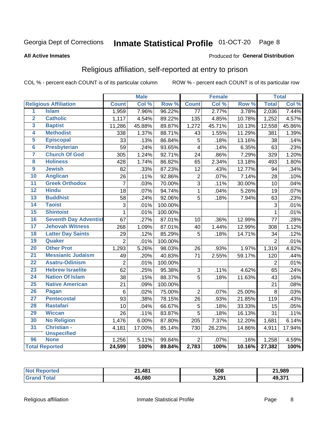#### Inmate Statistical Profile 01-OCT-20 Page 8

#### **All Active Inmates**

#### Produced for General Distribution

### Religious affiliation, self-reported at entry to prison

COL % - percent each COUNT is of its particular column

|                         |                              |                 | <b>Male</b> |         |                  | <b>Female</b> |                  |                | <b>Total</b> |
|-------------------------|------------------------------|-----------------|-------------|---------|------------------|---------------|------------------|----------------|--------------|
|                         | <b>Religious Affiliation</b> | <b>Count</b>    | Col %       | Row %   | <b>Count</b>     | Col %         | Row <sup>%</sup> | <b>Total</b>   | Col %        |
| $\overline{1}$          | <b>Islam</b>                 | 1,959           | 7.96%       | 96.22%  | 77               | 2.77%         | 3.78%            | 2,036          | 7.44%        |
| $\overline{2}$          | <b>Catholic</b>              | 1,117           | 4.54%       | 89.22%  | 135              | 4.85%         | 10.78%           | 1,252          | 4.57%        |
| 3                       | <b>Baptist</b>               | 11,286          | 45.88%      | 89.87%  | 1,272            | 45.71%        | 10.13%           | 12,558         | 45.86%       |
| 4                       | <b>Methodist</b>             | 338             | 1.37%       | 88.71%  | 43               | 1.55%         | 11.29%           | 381            | 1.39%        |
| 5                       | <b>Episcopal</b>             | 33              | .13%        | 86.84%  | 5                | .18%          | 13.16%           | 38             | .14%         |
| $\overline{\bf{6}}$     | <b>Presbyterian</b>          | 59              | .24%        | 93.65%  | $\overline{4}$   | .14%          | 6.35%            | 63             | .23%         |
| 7                       | <b>Church Of God</b>         | 305             | 1.24%       | 92.71%  | 24               | .86%          | 7.29%            | 329            | 1.20%        |
| $\overline{\mathbf{8}}$ | <b>Holiness</b>              | 428             | 1.74%       | 86.82%  | 65               | 2.34%         | 13.18%           | 493            | 1.80%        |
| $\overline{9}$          | <b>Jewish</b>                | 82              | .33%        | 87.23%  | 12               | .43%          | 12.77%           | 94             | .34%         |
| 10                      | <b>Anglican</b>              | 26              | .11%        | 92.86%  | $\boldsymbol{2}$ | .07%          | 7.14%            | 28             | .10%         |
| $\overline{11}$         | <b>Greek Orthodox</b>        | $\overline{7}$  | .03%        | 70.00%  | $\overline{3}$   | .11%          | 30.00%           | 10             | .04%         |
| 12                      | <b>Hindu</b>                 | 18              | .07%        | 94.74%  | $\mathbf{1}$     | .04%          | 5.26%            | 19             | .07%         |
| 13                      | <b>Buddhist</b>              | 58              | .24%        | 92.06%  | 5                | .18%          | 7.94%            | 63             | .23%         |
| 14                      | <b>Taoist</b>                | 3               | .01%        | 100.00% |                  |               |                  | 3              | .01%         |
| 15                      | <b>Shintoist</b>             | $\mathbf{1}$    | .01%        | 100.00% |                  |               |                  | 1              | .01%         |
| 16                      | <b>Seventh Day Adventist</b> | 67              | .27%        | 87.01%  | 10               | .36%          | 12.99%           | 77             | .28%         |
| 17                      | <b>Jehovah Witness</b>       | 268             | 1.09%       | 87.01%  | 40               | 1.44%         | 12.99%           | 308            | 1.12%        |
| 18                      | <b>Latter Day Saints</b>     | 29              | .12%        | 85.29%  | 5                | .18%          | 14.71%           | 34             | .12%         |
| 19                      | Quaker                       | $\overline{2}$  | .01%        | 100.00% |                  |               |                  | $\overline{2}$ | .01%         |
| 20                      | <b>Other Prot</b>            | 1,293           | 5.26%       | 98.03%  | 26               | .93%          | 1.97%            | 1,319          | 4.82%        |
| $\overline{21}$         | <b>Messianic Judaism</b>     | 49              | .20%        | 40.83%  | 71               | 2.55%         | 59.17%           | 120            | .44%         |
| 22                      | <b>Asatru-Odinism</b>        | $\overline{2}$  | .01%        | 100.00% |                  |               |                  | $\overline{2}$ | .01%         |
| 23                      | <b>Hebrew Israelite</b>      | 62              | .25%        | 95.38%  | $\sqrt{3}$       | .11%          | 4.62%            | 65             | .24%         |
| 24                      | <b>Nation Of Islam</b>       | 38              | .15%        | 88.37%  | 5                | .18%          | 11.63%           | 43             | .16%         |
| 25                      | <b>Native American</b>       | $\overline{21}$ | .09%        | 100.00% |                  |               |                  | 21             | .08%         |
| 26                      | <b>Pagan</b>                 | $\,6$           | .02%        | 75.00%  | $\overline{2}$   | .07%          | 25.00%           | 8              | .03%         |
| 27                      | <b>Pentecostal</b>           | 93              | .38%        | 78.15%  | 26               | .93%          | 21.85%           | 119            | .43%         |
| 28                      | <b>Rastafari</b>             | 10              | .04%        | 66.67%  | $\overline{5}$   | .18%          | 33.33%           | 15             | .05%         |
| 29                      | <b>Wiccan</b>                | 26              | .11%        | 83.87%  | 5                | .18%          | 16.13%           | 31             | .11%         |
| 30                      | <b>No Religion</b>           | 1,476           | 6.00%       | 87.80%  | 205              | 7.37%         | 12.20%           | 1,681          | 6.14%        |
| 31                      | Christian -                  | 4,181           | 17.00%      | 85.14%  | 730              | 26.23%        | 14.86%           | 4,911          | 17.94%       |
|                         | <b>Unspecified</b>           |                 |             |         |                  |               |                  |                |              |
| 96                      | <b>None</b>                  | 1,256           | 5.11%       | 99.84%  | $\overline{2}$   | .07%          | .16%             | 1,258          | 4.59%        |
|                         | <b>Total Reported</b>        | 24,599          | 100%        | 89.84%  | 2,783            | 100%          | 10.16%           | 27,382         | 100%         |

| ted:<br>N | $\mathbf{A}$<br>ີ | 508   | 21,989 |
|-----------|-------------------|-------|--------|
|           | 46.080            | 3,291 | 49.371 |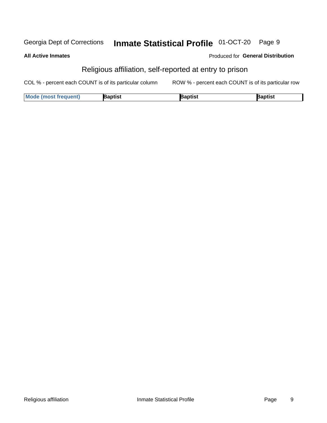#### Inmate Statistical Profile 01-OCT-20 Georgia Dept of Corrections Page 9

**All Active Inmates** 

#### Produced for General Distribution

### Religious affiliation, self-reported at entry to prison

COL % - percent each COUNT is of its particular column ROW % - percent each COUNT is of its particular row

| <b>Mode (most frequent)</b> | Baptist | 3aptist | Baptist |
|-----------------------------|---------|---------|---------|
|-----------------------------|---------|---------|---------|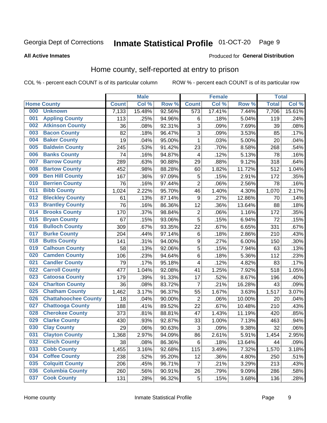#### Inmate Statistical Profile 01-OCT-20 Page 9

#### **All Active Inmates**

#### **Produced for General Distribution**

### Home county, self-reported at entry to prison

COL % - percent each COUNT is of its particular column

|     |                             |              | <b>Male</b> |                  |                         | <b>Female</b> |        | <b>Total</b> |        |
|-----|-----------------------------|--------------|-------------|------------------|-------------------------|---------------|--------|--------------|--------|
|     | <b>Home County</b>          | <b>Count</b> | Col %       | Row <sup>%</sup> | <b>Count</b>            | Col %         | Row %  | <b>Total</b> | Col %  |
| 000 | <b>Unknown</b>              | 7,133        | 15.48%      | 92.56%           | 573                     | 17.41%        | 7.44%  | 7,706        | 15.61% |
| 001 | <b>Appling County</b>       | 113          | .25%        | 94.96%           | 6                       | .18%          | 5.04%  | 119          | .24%   |
| 002 | <b>Atkinson County</b>      | 36           | .08%        | 92.31%           | 3                       | .09%          | 7.69%  | 39           | .08%   |
| 003 | <b>Bacon County</b>         | 82           | .18%        | 96.47%           | 3                       | .09%          | 3.53%  | 85           | .17%   |
| 004 | <b>Baker County</b>         | 19           | .04%        | 95.00%           | 1                       | .03%          | 5.00%  | 20           | .04%   |
| 005 | <b>Baldwin County</b>       | 245          | .53%        | 91.42%           | 23                      | .70%          | 8.58%  | 268          | .54%   |
| 006 | <b>Banks County</b>         | 74           | .16%        | 94.87%           | 4                       | .12%          | 5.13%  | 78           | .16%   |
| 007 | <b>Barrow County</b>        | 289          | .63%        | 90.88%           | 29                      | .88%          | 9.12%  | 318          | .64%   |
| 008 | <b>Bartow County</b>        | 452          | .98%        | 88.28%           | 60                      | 1.82%         | 11.72% | 512          | 1.04%  |
| 009 | <b>Ben Hill County</b>      | 167          | .36%        | 97.09%           | 5                       | .15%          | 2.91%  | 172          | .35%   |
| 010 | <b>Berrien County</b>       | 76           | .16%        | 97.44%           | $\overline{2}$          | .06%          | 2.56%  | 78           | .16%   |
| 011 | <b>Bibb County</b>          | 1,024        | 2.22%       | 95.70%           | 46                      | 1.40%         | 4.30%  | 1,070        | 2.17%  |
| 012 | <b>Bleckley County</b>      | 61           | .13%        | 87.14%           | 9                       | .27%          | 12.86% | 70           | .14%   |
| 013 | <b>Brantley County</b>      | 76           | .16%        | 86.36%           | 12                      | .36%          | 13.64% | 88           | .18%   |
| 014 | <b>Brooks County</b>        | 170          | .37%        | 98.84%           | $\overline{c}$          | .06%          | 1.16%  | 172          | .35%   |
| 015 | <b>Bryan County</b>         | 67           | .15%        | 93.06%           | 5                       | .15%          | 6.94%  | 72           | .15%   |
| 016 | <b>Bulloch County</b>       | 309          | .67%        | 93.35%           | 22                      | .67%          | 6.65%  | 331          | .67%   |
| 017 | <b>Burke County</b>         | 204          | .44%        | 97.14%           | $\,6$                   | .18%          | 2.86%  | 210          | .43%   |
| 018 | <b>Butts County</b>         | 141          | .31%        | 94.00%           | $\boldsymbol{9}$        | .27%          | 6.00%  | 150          | .30%   |
| 019 | <b>Calhoun County</b>       | 58           | .13%        | 92.06%           | 5                       | .15%          | 7.94%  | 63           | .13%   |
| 020 | <b>Camden County</b>        | 106          | .23%        | 94.64%           | 6                       | .18%          | 5.36%  | 112          | .23%   |
| 021 | <b>Candler County</b>       | 79           | .17%        | 95.18%           | $\overline{\mathbf{4}}$ | .12%          | 4.82%  | 83           | .17%   |
| 022 | <b>Carroll County</b>       | 477          | 1.04%       | 92.08%           | 41                      | 1.25%         | 7.92%  | 518          | 1.05%  |
| 023 | <b>Catoosa County</b>       | 179          | .39%        | 91.33%           | 17                      | .52%          | 8.67%  | 196          | .40%   |
| 024 | <b>Charlton County</b>      | 36           | .08%        | 83.72%           | 7                       | .21%          | 16.28% | 43           | .09%   |
| 025 | <b>Chatham County</b>       | 1,462        | 3.17%       | 96.37%           | 55                      | 1.67%         | 3.63%  | 1,517        | 3.07%  |
| 026 | <b>Chattahoochee County</b> | 18           | .04%        | 90.00%           | $\mathbf 2$             | .06%          | 10.00% | 20           | .04%   |
| 027 | <b>Chattooga County</b>     | 188          | .41%        | 89.52%           | 22                      | .67%          | 10.48% | 210          | .43%   |
| 028 | <b>Cherokee County</b>      | 373          | .81%        | 88.81%           | 47                      | 1.43%         | 11.19% | 420          | .85%   |
| 029 | <b>Clarke County</b>        | 430          | .93%        | 92.87%           | 33                      | 1.00%         | 7.13%  | 463          | .94%   |
| 030 | <b>Clay County</b>          | 29           | .06%        | 90.63%           | 3                       | .09%          | 9.38%  | 32           | .06%   |
| 031 | <b>Clayton County</b>       | 1,368        | 2.97%       | 94.09%           | 86                      | 2.61%         | 5.91%  | 1,454        | 2.95%  |
| 032 | <b>Clinch County</b>        | 38           | .08%        | 86.36%           | 6                       | .18%          | 13.64% | 44           | .09%   |
| 033 | <b>Cobb County</b>          | 1,455        | 3.16%       | 92.68%           | 115                     | 3.49%         | 7.32%  | 1,570        | 3.18%  |
| 034 | <b>Coffee County</b>        | 238          | .52%        | 95.20%           | 12                      | .36%          | 4.80%  | 250          | .51%   |
| 035 | <b>Colquitt County</b>      | 206          | .45%        | 96.71%           | $\overline{7}$          | .21%          | 3.29%  | 213          | .43%   |
| 036 | <b>Columbia County</b>      | 260          | .56%        | 90.91%           | 26                      | .79%          | 9.09%  | 286          | .58%   |
| 037 | <b>Cook County</b>          | 131          | .28%        | 96.32%           | $\mathbf 5$             | .15%          | 3.68%  | 136          | .28%   |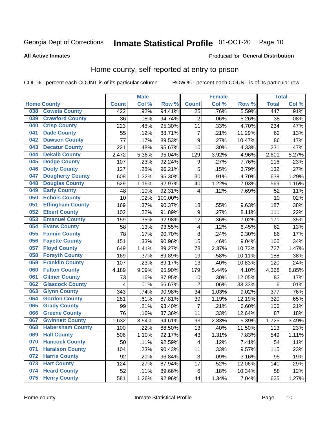#### Inmate Statistical Profile 01-OCT-20 Page 10

#### **All Active Inmates**

#### Produced for General Distribution

#### Home county, self-reported at entry to prison

COL % - percent each COUNT is of its particular column

|     |                         |              | <b>Male</b> |         |                  | <b>Female</b> |        | <b>Total</b> |       |
|-----|-------------------------|--------------|-------------|---------|------------------|---------------|--------|--------------|-------|
|     | <b>Home County</b>      | <b>Count</b> | Col %       | Row %   | <b>Count</b>     | Col %         | Row %  | <b>Total</b> | Col % |
| 038 | <b>Coweta County</b>    | 422          | .92%        | 94.41%  | $\overline{25}$  | .76%          | 5.59%  | 447          | .91%  |
| 039 | <b>Crawford County</b>  | 36           | .08%        | 94.74%  | $\overline{2}$   | .06%          | 5.26%  | 38           | .08%  |
| 040 | <b>Crisp County</b>     | 223          | .48%        | 95.30%  | 11               | .33%          | 4.70%  | 234          | .47%  |
| 041 | <b>Dade County</b>      | 55           | .12%        | 88.71%  | $\overline{7}$   | .21%          | 11.29% | 62           | .13%  |
| 042 | <b>Dawson County</b>    | 77           | .17%        | 89.53%  | $\boldsymbol{9}$ | .27%          | 10.47% | 86           | .17%  |
| 043 | <b>Decatur County</b>   | 221          | .48%        | 95.67%  | 10               | .30%          | 4.33%  | 231          | .47%  |
| 044 | <b>Dekalb County</b>    | 2,472        | 5.36%       | 95.04%  | 129              | 3.92%         | 4.96%  | 2,601        | 5.27% |
| 045 | <b>Dodge County</b>     | 107          | .23%        | 92.24%  | 9                | .27%          | 7.76%  | 116          | .23%  |
| 046 | <b>Dooly County</b>     | 127          | .28%        | 96.21%  | 5                | .15%          | 3.79%  | 132          | .27%  |
| 047 | <b>Dougherty County</b> | 608          | 1.32%       | 95.30%  | 30               | .91%          | 4.70%  | 638          | 1.29% |
| 048 | <b>Douglas County</b>   | 529          | 1.15%       | 92.97%  | 40               | 1.22%         | 7.03%  | 569          | 1.15% |
| 049 | <b>Early County</b>     | 48           | .10%        | 92.31%  | 4                | .12%          | 7.69%  | 52           | .11%  |
| 050 | <b>Echols County</b>    | 10           | .02%        | 100.00% |                  |               |        | 10           | .02%  |
| 051 | <b>Effingham County</b> | 169          | .37%        | 90.37%  | 18               | .55%          | 9.63%  | 187          | .38%  |
| 052 | <b>Elbert County</b>    | 102          | .22%        | 91.89%  | $\boldsymbol{9}$ | .27%          | 8.11%  | 111          | .22%  |
| 053 | <b>Emanuel County</b>   | 159          | .35%        | 92.98%  | 12               | .36%          | 7.02%  | 171          | .35%  |
| 054 | <b>Evans County</b>     | 58           | .13%        | 93.55%  | 4                | .12%          | 6.45%  | 62           | .13%  |
| 055 | <b>Fannin County</b>    | 78           | .17%        | 90.70%  | $\overline{8}$   | .24%          | 9.30%  | 86           | .17%  |
| 056 | <b>Fayette County</b>   | 151          | .33%        | 90.96%  | 15               | .46%          | 9.04%  | 166          | .34%  |
| 057 | <b>Floyd County</b>     | 649          | 1.41%       | 89.27%  | 78               | 2.37%         | 10.73% | 727          | 1.47% |
| 058 | <b>Forsyth County</b>   | 169          | .37%        | 89.89%  | 19               | .58%          | 10.11% | 188          | .38%  |
| 059 | <b>Franklin County</b>  | 107          | .23%        | 89.17%  | 13               | .40%          | 10.83% | 120          | .24%  |
| 060 | <b>Fulton County</b>    | 4,189        | 9.09%       | 95.90%  | 179              | 5.44%         | 4.10%  | 4,368        | 8.85% |
| 061 | <b>Gilmer County</b>    | 73           | .16%        | 87.95%  | 10               | .30%          | 12.05% | 83           | .17%  |
| 062 | <b>Glascock County</b>  | 4            | .01%        | 66.67%  | $\overline{2}$   | .06%          | 33.33% | 6            | .01%  |
| 063 | <b>Glynn County</b>     | 343          | .74%        | 90.98%  | 34               | 1.03%         | 9.02%  | 377          | .76%  |
| 064 | <b>Gordon County</b>    | 281          | .61%        | 87.81%  | 39               | 1.19%         | 12.19% | 320          | .65%  |
| 065 | <b>Grady County</b>     | 99           | .21%        | 93.40%  | $\overline{7}$   | .21%          | 6.60%  | 106          | .21%  |
| 066 | <b>Greene County</b>    | 76           | .16%        | 87.36%  | 11               | .33%          | 12.64% | 87           | .18%  |
| 067 | <b>Gwinnett County</b>  | 1,632        | 3.54%       | 94.61%  | 93               | 2.83%         | 5.39%  | 1,725        | 3.49% |
| 068 | <b>Habersham County</b> | 100          | .22%        | 88.50%  | 13               | .40%          | 11.50% | 113          | .23%  |
| 069 | <b>Hall County</b>      | 506          | 1.10%       | 92.17%  | 43               | 1.31%         | 7.83%  | 549          | 1.11% |
| 070 | <b>Hancock County</b>   | 50           | .11%        | 92.59%  | 4                | .12%          | 7.41%  | 54           | .11%  |
| 071 | <b>Haralson County</b>  | 104          | .23%        | 90.43%  | 11               | .33%          | 9.57%  | 115          | .23%  |
| 072 | <b>Harris County</b>    | 92           | .20%        | 96.84%  | $\mathbf{3}$     | .09%          | 3.16%  | 95           | .19%  |
| 073 | <b>Hart County</b>      | 124          | .27%        | 87.94%  | 17               | .52%          | 12.06% | 141          | .29%  |
| 074 | <b>Heard County</b>     | 52           | .11%        | 89.66%  | $\,6$            | .18%          | 10.34% | 58           | .12%  |
| 075 | <b>Henry County</b>     | 581          | 1.26%       | 92.96%  | 44               | 1.34%         | 7.04%  | 625          | 1.27% |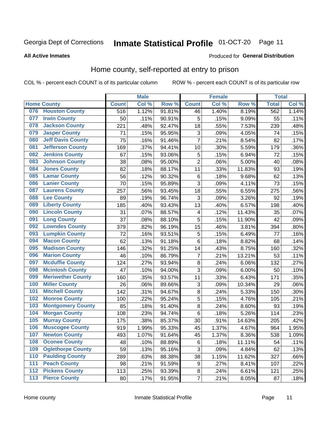## Inmate Statistical Profile 01-OCT-20 Page 11

**All Active Inmates** 

#### Produced for General Distribution

#### Home county, self-reported at entry to prison

COL % - percent each COUNT is of its particular column

|     |                          |              | <b>Male</b> |                  |                         | <b>Female</b> |        | <b>Total</b> |       |
|-----|--------------------------|--------------|-------------|------------------|-------------------------|---------------|--------|--------------|-------|
|     | <b>Home County</b>       | <b>Count</b> | Col %       | Row <sup>%</sup> | <b>Count</b>            | Col %         | Row %  | <b>Total</b> | Col % |
|     | 076 Houston County       | 516          | 1.12%       | 91.81%           | 46                      | 1.40%         | 8.19%  | 562          | 1.14% |
| 077 | <b>Irwin County</b>      | 50           | .11%        | 90.91%           | 5                       | .15%          | 9.09%  | 55           | .11%  |
| 078 | <b>Jackson County</b>    | 221          | .48%        | 92.47%           | 18                      | .55%          | 7.53%  | 239          | .48%  |
| 079 | <b>Jasper County</b>     | 71           | .15%        | 95.95%           | 3                       | .09%          | 4.05%  | 74           | .15%  |
| 080 | <b>Jeff Davis County</b> | 75           | .16%        | 91.46%           | $\overline{7}$          | .21%          | 8.54%  | 82           | .17%  |
| 081 | <b>Jefferson County</b>  | 169          | .37%        | 94.41%           | 10                      | .30%          | 5.59%  | 179          | .36%  |
| 082 | <b>Jenkins County</b>    | 67           | .15%        | 93.06%           | 5                       | .15%          | 6.94%  | 72           | .15%  |
| 083 | <b>Johnson County</b>    | 38           | .08%        | 95.00%           | $\overline{2}$          | .06%          | 5.00%  | 40           | .08%  |
| 084 | <b>Jones County</b>      | 82           | .18%        | 88.17%           | 11                      | .33%          | 11.83% | 93           | .19%  |
| 085 | <b>Lamar County</b>      | 56           | .12%        | 90.32%           | $\,6$                   | .18%          | 9.68%  | 62           | .13%  |
| 086 | <b>Lanier County</b>     | 70           | .15%        | 95.89%           | 3                       | .09%          | 4.11%  | 73           | .15%  |
| 087 | <b>Laurens County</b>    | 257          | .56%        | 93.45%           | 18                      | .55%          | 6.55%  | 275          | .56%  |
| 088 | <b>Lee County</b>        | 89           | .19%        | 96.74%           | 3                       | .09%          | 3.26%  | 92           | .19%  |
| 089 | <b>Liberty County</b>    | 185          | .40%        | 93.43%           | 13                      | .40%          | 6.57%  | 198          | .40%  |
| 090 | <b>Lincoln County</b>    | 31           | .07%        | 88.57%           | 4                       | .12%          | 11.43% | 35           | .07%  |
| 091 | <b>Long County</b>       | 37           | .08%        | 88.10%           | 5                       | .15%          | 11.90% | 42           | .09%  |
| 092 | <b>Lowndes County</b>    | 379          | .82%        | 96.19%           | 15                      | .46%          | 3.81%  | 394          | .80%  |
| 093 | <b>Lumpkin County</b>    | 72           | .16%        | 93.51%           | $\overline{5}$          | .15%          | 6.49%  | 77           | .16%  |
| 094 | <b>Macon County</b>      | 62           | .13%        | 91.18%           | $\,6$                   | .18%          | 8.82%  | 68           | .14%  |
| 095 | <b>Madison County</b>    | 146          | .32%        | 91.25%           | 14                      | .43%          | 8.75%  | 160          | .32%  |
| 096 | <b>Marion County</b>     | 46           | .10%        | 86.79%           | $\overline{7}$          | .21%          | 13.21% | 53           | .11%  |
| 097 | <b>Mcduffie County</b>   | 124          | .27%        | 93.94%           | 8                       | .24%          | 6.06%  | 132          | .27%  |
| 098 | <b>Mcintosh County</b>   | 47           | .10%        | 94.00%           | 3                       | .09%          | 6.00%  | 50           | .10%  |
| 099 | <b>Meriwether County</b> | 160          | .35%        | 93.57%           | 11                      | .33%          | 6.43%  | 171          | .35%  |
| 100 | <b>Miller County</b>     | 26           | .06%        | 89.66%           | 3                       | .09%          | 10.34% | 29           | .06%  |
| 101 | <b>Mitchell County</b>   | 142          | .31%        | 94.67%           | 8                       | .24%          | 5.33%  | 150          | .30%  |
| 102 | <b>Monroe County</b>     | 100          | .22%        | 95.24%           | 5                       | .15%          | 4.76%  | 105          | .21%  |
| 103 | <b>Montgomery County</b> | 85           | .18%        | 91.40%           | 8                       | .24%          | 8.60%  | 93           | .19%  |
| 104 | <b>Morgan County</b>     | 108          | .23%        | 94.74%           | $\,6$                   | .18%          | 5.26%  | 114          | .23%  |
| 105 | <b>Murray County</b>     | 175          | .38%        | 85.37%           | 30                      | .91%          | 14.63% | 205          | .42%  |
| 106 | <b>Muscogee County</b>   | 919          | 1.99%       | 95.33%           | 45                      | 1.37%         | 4.67%  | 964          | 1.95% |
| 107 | <b>Newton County</b>     | 493          | 1.07%       | 91.64%           | 45                      | 1.37%         | 8.36%  | 538          | 1.09% |
| 108 | <b>Oconee County</b>     | 48           | .10%        | 88.89%           | 6                       | .18%          | 11.11% | 54           | .11%  |
| 109 | <b>Oglethorpe County</b> | 59           | .13%        | 95.16%           | 3                       | .09%          | 4.84%  | 62           | .13%  |
| 110 | <b>Paulding County</b>   | 289          | .63%        | 88.38%           | 38                      | 1.15%         | 11.62% | 327          | .66%  |
| 111 | <b>Peach County</b>      | 98           | .21%        | 91.59%           | $\boldsymbol{9}$        | .27%          | 8.41%  | 107          | .22%  |
| 112 | <b>Pickens County</b>    | 113          | .25%        | 93.39%           | $\bf 8$                 | .24%          | 6.61%  | 121          | .25%  |
| 113 | <b>Pierce County</b>     | 80           | .17%        | 91.95%           | $\overline{\mathbf{7}}$ | .21%          | 8.05%  | 87           | .18%  |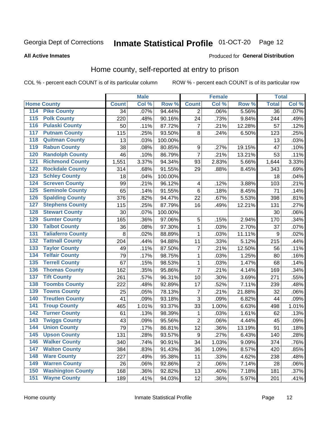### Inmate Statistical Profile 01-OCT-20 Page 12

#### **All Active Inmates**

#### Produced for General Distribution

#### Home county, self-reported at entry to prison

COL % - percent each COUNT is of its particular column

|                  |                          |              | <b>Male</b> |                  |                         | <b>Female</b> |        | <b>Total</b>    |       |
|------------------|--------------------------|--------------|-------------|------------------|-------------------------|---------------|--------|-----------------|-------|
|                  | <b>Home County</b>       | <b>Count</b> | Col %       | Row <sup>%</sup> | <b>Count</b>            | Col %         | Row %  | <b>Total</b>    | Col % |
| 114              | <b>Pike County</b>       | 34           | .07%        | 94.44%           | $\overline{2}$          | .06%          | 5.56%  | $\overline{36}$ | .07%  |
| $\overline{115}$ | <b>Polk County</b>       | 220          | .48%        | 90.16%           | 24                      | .73%          | 9.84%  | 244             | .49%  |
| 116              | <b>Pulaski County</b>    | 50           | .11%        | 87.72%           | $\overline{7}$          | .21%          | 12.28% | 57              | .12%  |
| 117              | <b>Putnam County</b>     | 115          | .25%        | 93.50%           | 8                       | .24%          | 6.50%  | 123             | .25%  |
| 118              | <b>Quitman County</b>    | 13           | .03%        | 100.00%          |                         |               |        | 13              | .03%  |
| 119              | <b>Rabun County</b>      | 38           | .08%        | 80.85%           | $\boldsymbol{9}$        | .27%          | 19.15% | 47              | .10%  |
| 120              | <b>Randolph County</b>   | 46           | .10%        | 86.79%           | $\overline{7}$          | .21%          | 13.21% | 53              | .11%  |
| $\overline{121}$ | <b>Richmond County</b>   | 1,551        | 3.37%       | 94.34%           | 93                      | 2.83%         | 5.66%  | 1,644           | 3.33% |
| 122              | <b>Rockdale County</b>   | 314          | .68%        | 91.55%           | 29                      | .88%          | 8.45%  | 343             | .69%  |
| 123              | <b>Schley County</b>     | 18           | .04%        | 100.00%          |                         |               |        | 18              | .04%  |
| 124              | <b>Screven County</b>    | 99           | .21%        | 96.12%           | $\overline{\mathbf{4}}$ | .12%          | 3.88%  | 103             | .21%  |
| 125              | <b>Seminole County</b>   | 65           | .14%        | 91.55%           | $\,6$                   | .18%          | 8.45%  | 71              | .14%  |
| 126              | <b>Spalding County</b>   | 376          | .82%        | 94.47%           | 22                      | .67%          | 5.53%  | 398             | .81%  |
| 127              | <b>Stephens County</b>   | 115          | .25%        | 87.79%           | 16                      | .49%          | 12.21% | 131             | .27%  |
| 128              | <b>Stewart County</b>    | 30           | .07%        | 100.00%          |                         |               |        | 30              | .06%  |
| 129              | <b>Sumter County</b>     | 165          | .36%        | 97.06%           | 5                       | .15%          | 2.94%  | 170             | .34%  |
| 130              | <b>Talbot County</b>     | 36           | .08%        | 97.30%           | 1                       | .03%          | 2.70%  | 37              | .07%  |
| 131              | <b>Taliaferro County</b> | 8            | .02%        | 88.89%           | $\mathbf{1}$            | .03%          | 11.11% | 9               | .02%  |
| 132              | <b>Tattnall County</b>   | 204          | .44%        | 94.88%           | 11                      | .33%          | 5.12%  | 215             | .44%  |
| 133              | <b>Taylor County</b>     | 49           | .11%        | 87.50%           | $\overline{7}$          | .21%          | 12.50% | 56              | .11%  |
| 134              | <b>Telfair County</b>    | 79           | .17%        | 98.75%           | $\mathbf 1$             | .03%          | 1.25%  | 80              | .16%  |
| 135              | <b>Terrell County</b>    | 67           | .15%        | 98.53%           | 1                       | .03%          | 1.47%  | 68              | .14%  |
| 136              | <b>Thomas County</b>     | 162          | .35%        | 95.86%           | $\overline{7}$          | .21%          | 4.14%  | 169             | .34%  |
| 137              | <b>Tift County</b>       | 261          | .57%        | 96.31%           | 10                      | .30%          | 3.69%  | 271             | .55%  |
| 138              | <b>Toombs County</b>     | 222          | .48%        | 92.89%           | 17                      | .52%          | 7.11%  | 239             | .48%  |
| 139              | <b>Towns County</b>      | 25           | .05%        | 78.13%           | $\overline{7}$          | .21%          | 21.88% | 32              | .06%  |
| 140              | <b>Treutlen County</b>   | 41           | .09%        | 93.18%           | 3                       | .09%          | 6.82%  | 44              | .09%  |
| 141              | <b>Troup County</b>      | 465          | 1.01%       | 93.37%           | 33                      | 1.00%         | 6.63%  | 498             | 1.01% |
| $\overline{142}$ | <b>Turner County</b>     | 61           | .13%        | 98.39%           | 1                       | .03%          | 1.61%  | 62              | .13%  |
| 143              | <b>Twiggs County</b>     | 43           | .09%        | 95.56%           | $\mathbf 2$             | .06%          | 4.44%  | 45              | .09%  |
| 144              | <b>Union County</b>      | 79           | .17%        | 86.81%           | 12                      | .36%          | 13.19% | 91              | .18%  |
| 145              | <b>Upson County</b>      | 131          | .28%        | 93.57%           | $\boldsymbol{9}$        | .27%          | 6.43%  | 140             | .28%  |
| 146              | <b>Walker County</b>     | 340          | .74%        | 90.91%           | 34                      | 1.03%         | 9.09%  | 374             | .76%  |
| 147              | <b>Walton County</b>     | 384          | .83%        | 91.43%           | 36                      | 1.09%         | 8.57%  | 420             | .85%  |
| 148              | <b>Ware County</b>       | 227          | .49%        | 95.38%           | 11                      | .33%          | 4.62%  | 238             | .48%  |
| 149              | <b>Warren County</b>     | 26           | .06%        | 92.86%           | $\overline{c}$          | .06%          | 7.14%  | 28              | .06%  |
| 150              | <b>Washington County</b> | 168          | .36%        | 92.82%           | 13                      | .40%          | 7.18%  | 181             | .37%  |
| 151              | <b>Wayne County</b>      | 189          | .41%        | 94.03%           | 12                      | .36%          | 5.97%  | 201             | .41%  |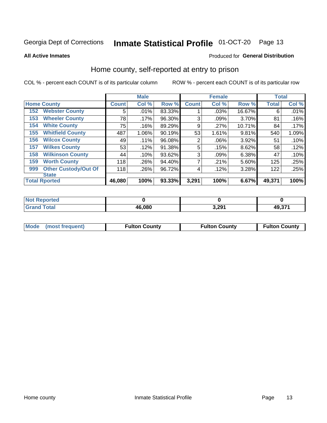## Inmate Statistical Profile 01-OCT-20 Page 13

**All Active Inmates** 

#### Produced for General Distribution

#### Home county, self-reported at entry to prison

COL % - percent each COUNT is of its particular column

|     |                             |              | <b>Male</b> |        |                | <b>Female</b> |        | <b>Total</b> |       |
|-----|-----------------------------|--------------|-------------|--------|----------------|---------------|--------|--------------|-------|
|     | <b>Home County</b>          | <b>Count</b> | Col %       | Row %  | <b>Count</b>   | Col %         | Row %  | <b>Total</b> | Col % |
| 152 | <b>Webster County</b>       | 5            | .01%        | 83.33% |                | .03%          | 16.67% | 6            | .01%  |
| 153 | <b>Wheeler County</b>       | 78           | $.17\%$     | 96.30% | 3              | .09%          | 3.70%  | 81           | .16%  |
| 154 | <b>White County</b>         | 75           | .16%        | 89.29% | 9              | .27%          | 10.71% | 84           | .17%  |
| 155 | <b>Whitfield County</b>     | 487          | 1.06%       | 90.19% | 53             | 1.61%         | 9.81%  | 540          | 1.09% |
| 156 | <b>Wilcox County</b>        | 49           | .11%        | 96.08% | $\overline{2}$ | .06%          | 3.92%  | 51           | .10%  |
| 157 | <b>Wilkes County</b>        | 53           | .12%        | 91.38% | 5              | .15%          | 8.62%  | 58           | .12%  |
| 158 | <b>Wilkinson County</b>     | 44           | .10%        | 93.62% | 3              | .09%          | 6.38%  | 47           | .10%  |
| 159 | <b>Worth County</b>         | 118          | .26%        | 94.40% | 7              | .21%          | 5.60%  | 125          | .25%  |
| 999 | <b>Other Custody/Out Of</b> | 118          | .26%        | 96.72% | 4              | .12%          | 3.28%  | 122          | .25%  |
|     | <b>State</b>                |              |             |        |                |               |        |              |       |
|     | <b>Total Rported</b>        | 46,080       | 100%        | 93.33% | 3,291          | 100%          | 6.67%  | 49,371       | 100%  |

| <b>Not</b><br>Reported |        |              |                 |
|------------------------|--------|--------------|-----------------|
| <b>Total</b>           | 46,080 | 3.291<br>∪⊾ט | 80 974<br>49.37 |

| Mode (most frequent) | <b>Fulton County</b> | <b>Fulton County</b> | <b>Fulton County</b> |
|----------------------|----------------------|----------------------|----------------------|
|                      |                      |                      |                      |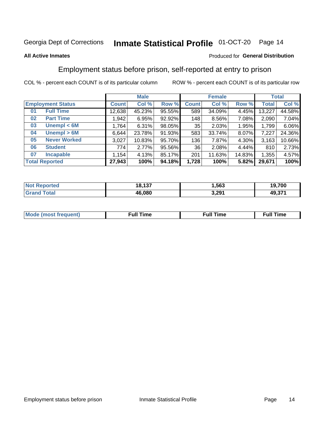#### Inmate Statistical Profile 01-OCT-20 Page 14

#### **All Active Inmates**

#### Produced for General Distribution

### Employment status before prison, self-reported at entry to prison

COL % - percent each COUNT is of its particular column

|                           | <b>Male</b>  |        |        | <b>Female</b> |        |        | <b>Total</b> |        |
|---------------------------|--------------|--------|--------|---------------|--------|--------|--------------|--------|
| <b>Employment Status</b>  | <b>Count</b> | Col %  | Row %  | <b>Count</b>  | Col %  | Row %  | <b>Total</b> | Col %  |
| <b>Full Time</b><br>01    | 12,638       | 45.23% | 95.55% | 589           | 34.09% | 4.45%  | 13,227       | 44.58% |
| <b>Part Time</b><br>02    | 1,942        | 6.95%  | 92.92% | 148           | 8.56%  | 7.08%  | 2,090        | 7.04%  |
| Unempl $<$ 6M<br>03       | 1,764        | 6.31%  | 98.05% | 35            | 2.03%  | 1.95%  | 1,799        | 6.06%  |
| Unempl > 6M<br>04         | 6,644        | 23.78% | 91.93% | 583           | 33.74% | 8.07%  | 7,227        | 24.36% |
| <b>Never Worked</b><br>05 | 3,027        | 10.83% | 95.70% | 136           | 7.87%  | 4.30%  | 3,163        | 10.66% |
| <b>Student</b><br>06      | 774          | 2.77%  | 95.56% | 36            | 2.08%  | 4.44%  | 810          | 2.73%  |
| <b>Incapable</b><br>07    | .154         | 4.13%  | 85.17% | 201           | 11.63% | 14.83% | 1,355        | 4.57%  |
| <b>Total Reported</b>     | 27,943       | 100%   | 94.18% | 1,728         | 100%   | 5.82%  | 29,671       | 100%   |

| orteo<br>NO | 18,137 | .563  | 19,700       |
|-------------|--------|-------|--------------|
| 5551        | 46.080 | 3,291 | 274<br>49.37 |

| Mc | ∴ull | ----<br>ıme<br>w |
|----|------|------------------|
|    |      |                  |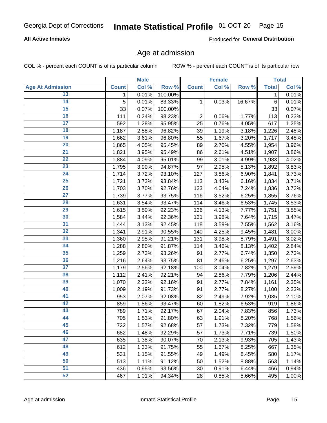## Inmate Statistical Profile 01-OCT-20 Page 15

#### **All Active Inmates**

Produced for General Distribution

#### Age at admission

COL % - percent each COUNT is of its particular column

|                         |              | <b>Male</b> |         |                | <b>Female</b> |          |              | <b>Total</b> |
|-------------------------|--------------|-------------|---------|----------------|---------------|----------|--------------|--------------|
| <b>Age At Admission</b> | <b>Count</b> | Col %       | Row %   | <b>Count</b>   | Col %         | Row %    | <b>Total</b> | Col %        |
| 13                      | 1            | 0.01%       | 100.00% |                |               |          | 1            | 0.01%        |
| $\overline{14}$         | 5            | 0.01%       | 83.33%  | 1              | 0.03%         | 16.67%   | $\,6$        | 0.01%        |
| 15                      | 33           | 0.07%       | 100.00% |                |               |          | 33           | 0.07%        |
| 16                      | 111          | 0.24%       | 98.23%  | $\overline{2}$ | 0.06%         | 1.77%    | 113          | 0.23%        |
| $\overline{17}$         | 592          | 1.28%       | 95.95%  | 25             | 0.76%         | 4.05%    | 617          | 1.25%        |
| 18                      | 1,187        | 2.58%       | 96.82%  | 39             | 1.19%         | 3.18%    | 1,226        | 2.48%        |
| 19                      | 1,662        | 3.61%       | 96.80%  | 55             | 1.67%         | 3.20%    | 1,717        | 3.48%        |
| $\overline{20}$         | 1,865        | 4.05%       | 95.45%  | 89             | 2.70%         | 4.55%    | 1,954        | 3.96%        |
| $\overline{21}$         | 1,821        | 3.95%       | 95.49%  | 86             | 2.61%         | 4.51%    | 1,907        | 3.86%        |
| $\overline{22}$         | 1,884        | 4.09%       | 95.01%  | 99             | 3.01%         | 4.99%    | 1,983        | 4.02%        |
| 23                      | 1,795        | 3.90%       | 94.87%  | 97             | 2.95%         | 5.13%    | 1,892        | 3.83%        |
| $\overline{24}$         | 1,714        | 3.72%       | 93.10%  | 127            | 3.86%         | 6.90%    | 1,841        | 3.73%        |
| $\overline{25}$         | 1,721        | 3.73%       | 93.84%  | 113            | 3.43%         | 6.16%    | 1,834        | 3.71%        |
| 26                      | 1,703        | 3.70%       | 92.76%  | 133            | 4.04%         | $7.24\%$ | 1,836        | 3.72%        |
| $\overline{27}$         | 1,739        | 3.77%       | 93.75%  | 116            | 3.52%         | 6.25%    | 1,855        | 3.76%        |
| 28                      | 1,631        | 3.54%       | 93.47%  | 114            | 3.46%         | 6.53%    | 1,745        | 3.53%        |
| 29                      | 1,615        | 3.50%       | 92.23%  | 136            | 4.13%         | 7.77%    | 1,751        | 3.55%        |
| 30                      | 1,584        | 3.44%       | 92.36%  | 131            | 3.98%         | 7.64%    | 1,715        | 3.47%        |
| 31                      | 1,444        | 3.13%       | 92.45%  | 118            | 3.59%         | 7.55%    | 1,562        | 3.16%        |
| 32                      | 1,341        | 2.91%       | 90.55%  | 140            | 4.25%         | 9.45%    | 1,481        | 3.00%        |
| 33                      | 1,360        | 2.95%       | 91.21%  | 131            | 3.98%         | 8.79%    | 1,491        | 3.02%        |
| 34                      | 1,288        | 2.80%       | 91.87%  | 114            | 3.46%         | 8.13%    | 1,402        | 2.84%        |
| 35                      | 1,259        | 2.73%       | 93.26%  | 91             | 2.77%         | 6.74%    | 1,350        | 2.73%        |
| 36                      | 1,216        | 2.64%       | 93.75%  | 81             | 2.46%         | 6.25%    | 1,297        | 2.63%        |
| $\overline{37}$         | 1,179        | 2.56%       | 92.18%  | 100            | 3.04%         | 7.82%    | 1,279        | 2.59%        |
| 38                      | 1,112        | 2.41%       | 92.21%  | 94             | 2.86%         | 7.79%    | 1,206        | 2.44%        |
| 39                      | 1,070        | 2.32%       | 92.16%  | 91             | 2.77%         | 7.84%    | 1,161        | 2.35%        |
| 40                      | 1,009        | 2.19%       | 91.73%  | 91             | 2.77%         | 8.27%    | 1,100        | 2.23%        |
| 41                      | 953          | 2.07%       | 92.08%  | 82             | 2.49%         | 7.92%    | 1,035        | 2.10%        |
| 42                      | 859          | 1.86%       | 93.47%  | 60             | 1.82%         | 6.53%    | 919          | 1.86%        |
| 43                      | 789          | 1.71%       | 92.17%  | 67             | 2.04%         | 7.83%    | 856          | 1.73%        |
| 44                      | 705          | 1.53%       | 91.80%  | 63             | 1.91%         | 8.20%    | 768          | 1.56%        |
| 45                      | 722          | 1.57%       | 92.68%  | 57             | 1.73%         | 7.32%    | 779          | 1.58%        |
| 46                      | 682          | 1.48%       | 92.29%  | 57             | 1.73%         | 7.71%    | 739          | 1.50%        |
| 47                      | 635          | 1.38%       | 90.07%  | 70             | 2.13%         | 9.93%    | 705          | 1.43%        |
| 48                      | 612          | 1.33%       | 91.75%  | 55             | 1.67%         | 8.25%    | 667          | 1.35%        |
| 49                      | 531          | 1.15%       | 91.55%  | 49             | 1.49%         | 8.45%    | 580          | 1.17%        |
| 50                      | 513          | 1.11%       | 91.12%  | 50             | 1.52%         | 8.88%    | 563          | 1.14%        |
| $\overline{51}$         | 436          | 0.95%       | 93.56%  | 30             | 0.91%         | 6.44%    | 466          | 0.94%        |
| 52                      | 467          | 1.01%       | 94.34%  | 28             | 0.85%         | 5.66%    | 495          | 1.00%        |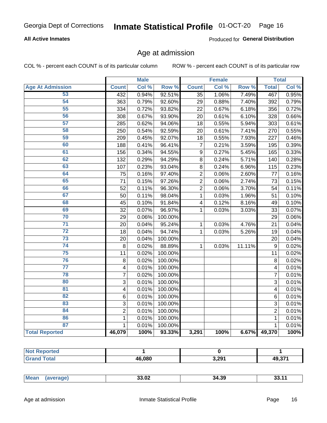## Inmate Statistical Profile 01-OCT-20 Page 16

#### **All Active Inmates**

Produced for General Distribution

#### Age at admission

COL % - percent each COUNT is of its particular column

|                         |                         | <b>Male</b> |         |                  | <b>Female</b> |           |                | <b>Total</b> |
|-------------------------|-------------------------|-------------|---------|------------------|---------------|-----------|----------------|--------------|
| <b>Age At Admission</b> | <b>Count</b>            | Col %       | Row %   | <b>Count</b>     | Col %         | Row %     | <b>Total</b>   | Col %        |
| 53                      | 432                     | 0.94%       | 92.51%  | 35               | 1.06%         | 7.49%     | 467            | 0.95%        |
| 54                      | 363                     | 0.79%       | 92.60%  | 29               | 0.88%         | 7.40%     | 392            | 0.79%        |
| 55                      | 334                     | 0.72%       | 93.82%  | 22               | 0.67%         | 6.18%     | 356            | 0.72%        |
| 56                      | 308                     | 0.67%       | 93.90%  | 20               | 0.61%         | 6.10%     | 328            | 0.66%        |
| $\overline{57}$         | 285                     | 0.62%       | 94.06%  | 18               | 0.55%         | 5.94%     | 303            | 0.61%        |
| 58                      | 250                     | 0.54%       | 92.59%  | 20               | 0.61%         | 7.41%     | 270            | 0.55%        |
| 59                      | 209                     | 0.45%       | 92.07%  | 18               | 0.55%         | 7.93%     | 227            | 0.46%        |
| 60                      | 188                     | 0.41%       | 96.41%  | $\overline{7}$   | 0.21%         | 3.59%     | 195            | 0.39%        |
| 61                      | 156                     | 0.34%       | 94.55%  | $\boldsymbol{9}$ | 0.27%         | 5.45%     | 165            | 0.33%        |
| 62                      | 132                     | 0.29%       | 94.29%  | 8                | 0.24%         | 5.71%     | 140            | 0.28%        |
| 63                      | 107                     | 0.23%       | 93.04%  | 8                | 0.24%         | 6.96%     | 115            | 0.23%        |
| 64                      | 75                      | 0.16%       | 97.40%  | $\overline{2}$   | 0.06%         | 2.60%     | 77             | 0.16%        |
| 65                      | 71                      | 0.15%       | 97.26%  | $\overline{2}$   | 0.06%         | 2.74%     | 73             | 0.15%        |
| 66                      | 52                      | 0.11%       | 96.30%  | $\overline{2}$   | 0.06%         | 3.70%     | 54             | 0.11%        |
| 67                      | 50                      | 0.11%       | 98.04%  | 1                | 0.03%         | 1.96%     | 51             | 0.10%        |
| 68                      | 45                      | 0.10%       | 91.84%  | 4                | 0.12%         | 8.16%     | 49             | 0.10%        |
| 69                      | 32                      | 0.07%       | 96.97%  | 1                | 0.03%         | 3.03%     | 33             | 0.07%        |
| 70                      | 29                      | 0.06%       | 100.00% |                  |               |           | 29             | 0.06%        |
| $\overline{71}$         | 20                      | 0.04%       | 95.24%  | 1                | 0.03%         | 4.76%     | 21             | 0.04%        |
| $\overline{72}$         | 18                      | 0.04%       | 94.74%  | $\mathbf 1$      | 0.03%         | 5.26%     | 19             | 0.04%        |
| $\overline{73}$         | 20                      | 0.04%       | 100.00% |                  |               |           | 20             | 0.04%        |
| $\overline{74}$         | 8                       | 0.02%       | 88.89%  | $\mathbf{1}$     | 0.03%         | $11.11\%$ | $\mathsf g$    | 0.02%        |
| 75                      | 11                      | 0.02%       | 100.00% |                  |               |           | 11             | 0.02%        |
| 76                      | 8                       | 0.02%       | 100.00% |                  |               |           | 8              | 0.02%        |
| $\overline{77}$         | $\overline{\mathbf{4}}$ | 0.01%       | 100.00% |                  |               |           | 4              | 0.01%        |
| 78                      | $\overline{7}$          | 0.02%       | 100.00% |                  |               |           | $\overline{7}$ | 0.01%        |
| 80                      | $\mathbf{3}$            | 0.01%       | 100.00% |                  |               |           | $\overline{3}$ | 0.01%        |
| $\overline{81}$         | $\overline{\mathbf{4}}$ | 0.01%       | 100.00% |                  |               |           | 4              | 0.01%        |
| 82                      | 6                       | 0.01%       | 100.00% |                  |               |           | 6              | 0.01%        |
| 83                      | 3                       | 0.01%       | 100.00% |                  |               |           | 3              | 0.01%        |
| 84                      | $\overline{2}$          | 0.01%       | 100.00% |                  |               |           | $\overline{2}$ | 0.01%        |
| 86                      | $\mathbf 1$             | 0.01%       | 100.00% |                  |               |           | 1              | 0.01%        |
| 87                      | $\mathbf{1}$            | 0.01%       | 100.00% |                  |               |           | $\mathbf{1}$   | 0.01%        |
| <b>Total Reported</b>   | 46,079                  | 100%        | 93.33%  | 3,291            | 100%          | 6.67%     | 49,370         | 100%         |

| 46.080 | 2.201<br>- - | <b>10 371</b><br>וכ פו |
|--------|--------------|------------------------|

|  | Mean | 0000<br>33.UZ<br>. | 34.39 |  |
|--|------|--------------------|-------|--|
|--|------|--------------------|-------|--|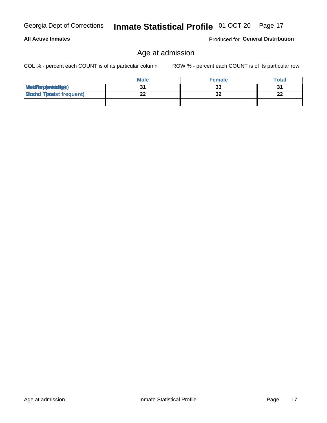| <b>Georgia Dept of Corrections</b> |
|------------------------------------|
|                                    |

#### **All Active Inmates**

Produced for General Distribution

### Age at admission

COL % - percent each COUNT is of its particular column

|                                  | <b>Male</b> | <b>Female</b> | Total |
|----------------------------------|-------------|---------------|-------|
| MetiRep(aniektig)                |             | 33            | 31    |
| <b>Gloaded Tomadst frequent)</b> | ^^          | 32            | 22    |
|                                  |             |               |       |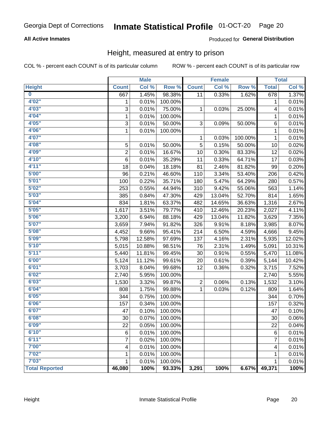## Inmate Statistical Profile 01-OCT-20 Page 20

#### **All Active Inmates**

#### Produced for General Distribution

#### Height, measured at entry to prison

COL % - percent each COUNT is of its particular column

|                         |                | <b>Male</b> |         |              | <b>Female</b> |         |                | <b>Total</b> |
|-------------------------|----------------|-------------|---------|--------------|---------------|---------|----------------|--------------|
| <b>Height</b>           | <b>Count</b>   | Col %       | Row %   | <b>Count</b> | Col %         | Row %   | <b>Total</b>   | Col %        |
| $\overline{\mathbf{0}}$ | 667            | 1.45%       | 98.38%  | 11           | 0.33%         | 1.62%   | 678            | 1.37%        |
| 4'02"                   | 1              | 0.01%       | 100.00% |              |               |         | 1              | 0.01%        |
| 4'03''                  | 3              | 0.01%       | 75.00%  | 1            | 0.03%         | 25.00%  | 4              | 0.01%        |
| 4'04"                   | 1              | 0.01%       | 100.00% |              |               |         | 1              | 0.01%        |
| 4'05"                   | 3              | 0.01%       | 50.00%  | 3            | 0.09%         | 50.00%  | $\,6$          | 0.01%        |
| 4'06"                   | $\mathbf{1}$   | 0.01%       | 100.00% |              |               |         | 1              | 0.01%        |
| 4'07"                   |                |             |         | 1            | 0.03%         | 100.00% | $\mathbf{1}$   | 0.01%        |
| 4'08"                   | 5              | 0.01%       | 50.00%  | 5            | 0.15%         | 50.00%  | 10             | 0.02%        |
| 4'09"                   | $\overline{2}$ | 0.01%       | 16.67%  | 10           | 0.30%         | 83.33%  | 12             | 0.02%        |
| 4'10''                  | 6              | 0.01%       | 35.29%  | 11           | 0.33%         | 64.71%  | 17             | 0.03%        |
| 4'11''                  | 18             | 0.04%       | 18.18%  | 81           | 2.46%         | 81.82%  | 99             | 0.20%        |
| 5'00''                  | 96             | 0.21%       | 46.60%  | 110          | 3.34%         | 53.40%  | 206            | 0.42%        |
| 5'01"                   | 100            | 0.22%       | 35.71%  | 180          | 5.47%         | 64.29%  | 280            | 0.57%        |
| 5'02"                   | 253            | 0.55%       | 44.94%  | 310          | 9.42%         | 55.06%  | 563            | 1.14%        |
| 5'03''                  | 385            | 0.84%       | 47.30%  | 429          | 13.04%        | 52.70%  | 814            | 1.65%        |
| 5'04"                   | 834            | 1.81%       | 63.37%  | 482          | 14.65%        | 36.63%  | 1,316          | 2.67%        |
| 5'05"                   | 1,617          | 3.51%       | 79.77%  | 410          | 12.46%        | 20.23%  | 2,027          | 4.11%        |
| 5'06''                  | 3,200          | 6.94%       | 88.18%  | 429          | 13.04%        | 11.82%  | 3,629          | 7.35%        |
| 5'07"                   | 3,659          | 7.94%       | 91.82%  | 326          | 9.91%         | 8.18%   | 3,985          | 8.07%        |
| 5'08''                  | 4,452          | 9.66%       | 95.41%  | 214          | 6.50%         | 4.59%   | 4,666          | 9.45%        |
| 5'09''                  | 5,798          | 12.58%      | 97.69%  | 137          | 4.16%         | 2.31%   | 5,935          | 12.02%       |
| 5'10''                  | 5,015          | 10.88%      | 98.51%  | 76           | 2.31%         | 1.49%   | 5,091          | 10.31%       |
| 5'11"                   | 5,440          | 11.81%      | 99.45%  | 30           | 0.91%         | 0.55%   | 5,470          | 11.08%       |
| 6'00''                  | 5,124          | 11.12%      | 99.61%  | 20           | 0.61%         | 0.39%   | 5,144          | 10.42%       |
| 6'01''                  | 3,703          | 8.04%       | 99.68%  | 12           | 0.36%         | 0.32%   | 3,715          | 7.52%        |
| 6'02"                   | 2,740          | 5.95%       | 100.00% |              |               |         | 2,740          | 5.55%        |
| 6'03''                  | 1,530          | 3.32%       | 99.87%  | 2            | 0.06%         | 0.13%   | 1,532          | 3.10%        |
| 6'04"                   | 808            | 1.75%       | 99.88%  | 1            | 0.03%         | 0.12%   | 809            | 1.64%        |
| 6'05"                   | 344            | 0.75%       | 100.00% |              |               |         | 344            | 0.70%        |
| 6'06''                  | 157            | 0.34%       | 100.00% |              |               |         | 157            | 0.32%        |
| 6'07''                  | 47             | 0.10%       | 100.00% |              |               |         | 47             | 0.10%        |
| 6'08"                   | 30             | 0.07%       | 100.00% |              |               |         | 30             | 0.06%        |
| 6'09''                  | 22             | 0.05%       | 100.00% |              |               |         | 22             | 0.04%        |
| 6'10''                  | 6              | 0.01%       | 100.00% |              |               |         | 6              | 0.01%        |
| 6'11''                  | 7              | 0.02%       | 100.00% |              |               |         | $\overline{7}$ | 0.01%        |
| 7'00"                   | 4              | 0.01%       | 100.00% |              |               |         | 4              | 0.01%        |
| 7'02"                   | 1              | 0.01%       | 100.00% |              |               |         | 1              | 0.01%        |
| 7'03''                  | 1              | 0.01%       | 100.00% |              |               |         | 1              | 0.01%        |
| <b>Total Reported</b>   | 46,080         | 100%        | 93.33%  | 3,291        | 100%          | 6.67%   | 49,371         | 100%         |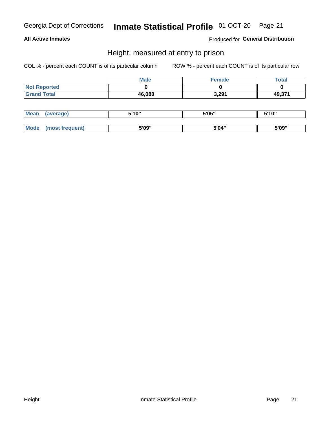## Inmate Statistical Profile 01-OCT-20 Page 21

#### **All Active Inmates**

Produced for General Distribution

#### Height, measured at entry to prison

COL % - percent each COUNT is of its particular column

|                     | <b>Male</b> | <b>Female</b> | <b>Total</b> |
|---------------------|-------------|---------------|--------------|
| <b>Not Reported</b> |             |               |              |
| <b>Grand Total</b>  | 46,080      | 3,291         | 49,371       |

| <b>Mean</b> | erage) | 5'10" | 5'05" | <b>CIA AIL</b><br>. . |
|-------------|--------|-------|-------|-----------------------|
|             |        |       |       |                       |
| <b>Mode</b> |        | 5'09" | 5'04" | 5'09"                 |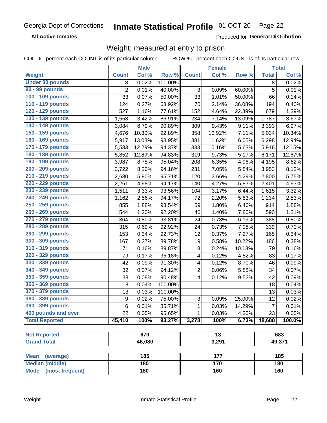#### Inmate Statistical Profile 01-OCT-20 Page 22

**All Active Inmates** 

Produced for General Distribution

### Weight, measured at entry to prison

COL % - percent each COUNT is of its particular column ROW % - percent each COUNT is of its particular row

|                                |                  | <b>Male</b> |         |                         | <b>Female</b>   |        |                | <b>Total</b> |
|--------------------------------|------------------|-------------|---------|-------------------------|-----------------|--------|----------------|--------------|
| Weight                         | <b>Count</b>     | Col %       | Row %   | <b>Count</b>            | Col %           | Row %  | <b>Total</b>   | Col %        |
| <b>Under 80 pounds</b>         | 8                | 0.02%       | 100.00% |                         |                 |        | 8              | 0.02%        |
| 90 - 99 pounds                 | $\overline{2}$   | 0.01%       | 40.00%  | 3                       | 0.09%           | 60.00% | $\overline{5}$ | 0.01%        |
| 100 - 109 pounds               | 33               | 0.07%       | 50.00%  | 33                      | 1.01%           | 50.00% | 66             | 0.14%        |
| 110 - 119 pounds               | 124              | 0.27%       | 63.92%  | 70                      | 2.14%           | 36.08% | 194            | 0.40%        |
| 120 - 129 pounds               | 527              | 1.16%       | 77.61%  | 152                     | 4.64%           | 22.39% | 679            | 1.39%        |
| 130 - 139 pounds               | 1,553            | 3.42%       | 86.91%  | 234                     | 7.14%           | 13.09% | 1,787          | 3.67%        |
| 140 - 149 pounds               | 3,084            | 6.79%       | 90.89%  | 309                     | 9.43%           | 9.11%  | 3,393          | 6.97%        |
| 150 - 159 pounds               | 4,676            | 10.30%      | 92.89%  | 358                     | 10.92%          | 7.11%  | 5,034          | 10.34%       |
| 160 - 169 pounds               | 5,917            | 13.03%      | 93.95%  | 381                     | 11.62%          | 6.05%  | 6,298          | 12.94%       |
| 170 - 179 pounds               | 5,583            | 12.29%      | 94.37%  | 333                     | 10.16%          | 5.63%  | 5,916          | 12.15%       |
| 180 - 189 pounds               | 5,852            | 12.89%      | 94.83%  | 319                     | 9.73%           | 5.17%  | 6,171          | 12.67%       |
| 190 - 199 pounds               | 3,987            | 8.78%       | 95.04%  | 208                     | 6.35%           | 4.96%  | 4,195          | 8.62%        |
| 200 - 209 pounds               | 3,722            | 8.20%       | 94.16%  | 231                     | 7.05%           | 5.84%  | 3,953          | 8.12%        |
| 210 - 219 pounds               | 2,680            | 5.90%       | 95.71%  | 120                     | 3.66%           | 4.29%  | 2,800          | 5.75%        |
| 220 - 229 pounds               | 2,261            | 4.98%       | 94.17%  | 140                     | 4.27%           | 5.83%  | 2,401          | 4.93%        |
| 230 - 239 pounds               | 1,511            | 3.33%       | 93.56%  | 104                     | 3.17%           | 6.44%  | 1,615          | 3.32%        |
| 240 - 249 pounds               | 1,162            | 2.56%       | 94.17%  | 72                      | 2.20%           | 5.83%  | 1,234          | 2.53%        |
| 250 - 259 pounds               | 855              | 1.88%       | 93.54%  | 59                      | 1.80%           | 6.46%  | 914            | 1.88%        |
| 260 - 269 pounds               | 544              | 1.20%       | 92.20%  | 46                      | 1.40%           | 7.80%  | 590            | 1.21%        |
| 270 - 279 pounds               | 364              | 0.80%       | 93.81%  | 24                      | 0.73%           | 6.19%  | 388            | 0.80%        |
| 280 - 289 pounds               | 315              | 0.69%       | 92.92%  | 24                      | 0.73%           | 7.08%  | 339            | 0.70%        |
| 290 - 299 pounds               | 153              | 0.34%       | 92.73%  | 12                      | 0.37%           | 7.27%  | 165            | 0.34%        |
| 300 - 309 pounds               | 167              | 0.37%       | 89.78%  | 19                      | 0.58%           | 10.22% | 186            | 0.38%        |
| 310 - 319 pounds               | 71               | 0.16%       | 89.87%  | 8                       | 0.24%           | 10.13% | 79             | 0.16%        |
| 320 - 329 pounds               | 79               | 0.17%       | 95.18%  | 4                       | 0.12%           | 4.82%  | 83             | 0.17%        |
| 330 - 339 pounds               | 42               | 0.09%       | 91.30%  | 4                       | 0.12%           | 8.70%  | 46             | 0.09%        |
| 340 - 349 pounds               | 32               | 0.07%       | 94.12%  | $\overline{2}$          | 0.06%           | 5.88%  | 34             | 0.07%        |
| 350 - 359 pounds               | 38               | 0.08%       | 90.48%  | $\overline{\mathbf{4}}$ | 0.12%           | 9.52%  | 42             | 0.09%        |
| 360 - 369 pounds               | 18               | 0.04%       | 100.00% |                         |                 |        | 18             | 0.04%        |
| 370 - 379 pounds               | 13               | 0.03%       | 100.00% |                         |                 |        | 13             | 0.03%        |
| 380 - 389 pounds               | $\boldsymbol{9}$ | 0.02%       | 75.00%  | 3                       | 0.09%           | 25.00% | 12             | 0.02%        |
| 390 - 399 pounds               | 6                | 0.01%       | 85.71%  | 1                       | 0.03%           | 14.29% | $\overline{7}$ | 0.01%        |
| 400 pounds and over            | 22               | 0.05%       | 95.65%  | 1                       | 0.03%           | 4.35%  | 23             | 0.05%        |
| <b>Total Reported</b>          | 45,410           | 100%        | 93.27%  | 3,278                   | 100%            | 6.73%  | 48,688         | 100.0%       |
|                                |                  |             |         |                         |                 |        |                |              |
| <b>Not Reported</b>            |                  | 670         |         |                         | $\overline{13}$ |        |                | 683          |
| <b>Grand Total</b>             |                  | 46,080      |         |                         | 3,291           |        |                | 49,371       |
| <b>Mean</b><br>(average)       |                  | 185         |         |                         | 177             |        |                | 185          |
| <b>Median (middle)</b>         |                  | 180         |         |                         | 170             |        |                | 180          |
| <b>Mode</b><br>(most frequent) |                  | 180         |         |                         | 160             |        |                | 160          |
|                                |                  |             |         |                         |                 |        |                |              |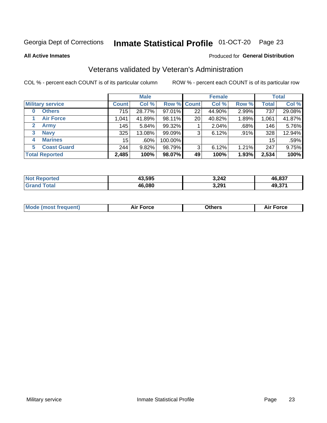#### Inmate Statistical Profile 01-OCT-20 Page 23

**All Active Inmates** 

#### Produced for General Distribution

### Veterans validated by Veteran's Administration

COL % - percent each COUNT is of its particular column

|                             |              | <b>Male</b> |         |                    | <b>Female</b> |       |              | <b>Total</b> |
|-----------------------------|--------------|-------------|---------|--------------------|---------------|-------|--------------|--------------|
| <b>Military service</b>     | <b>Count</b> | Col %       |         | <b>Row % Count</b> | Col %         | Row % | <b>Total</b> | Col %        |
| <b>Others</b><br>0          | 715          | 28.77%      | 97.01%  | 22                 | 44.90%        | 2.99% | 737          | 29.08%       |
| <b>Air Force</b>            | 1,041        | 41.89%      | 98.11%  | 20                 | 40.82%        | 1.89% | 1,061        | 41.87%       |
| $\mathbf{2}$<br><b>Army</b> | 145          | 5.84%       | 99.32%  |                    | 2.04%         | .68%  | 146          | 5.76%        |
| <b>Navy</b><br>3            | 325          | 13.08%      | 99.09%  | 3                  | 6.12%         | .91%  | 328          | 12.94%       |
| <b>Marines</b><br>4         | 15           | $.60\%$     | 100.00% |                    |               |       | 15           | .59%         |
| <b>Coast Guard</b><br>5.    | 244          | 9.82%       | 98.79%  | 3                  | 6.12%         | 1.21% | 247          | 9.75%        |
| <b>Total Reported</b>       | 2,485        | 100%        | 98.07%  | 49                 | 100%          | 1.93% | 2,534        | 100%         |

| orted<br><b>NOT</b> | 43,595 | 3,242 | 0.027<br>/1 L |
|---------------------|--------|-------|---------------|
| <b>c</b> otal       | 46,080 | 3,291 | 49,371        |

|  |  | <b>Mode (most frequent)</b> | <b>Force</b><br>Aır | วthers | orce |
|--|--|-----------------------------|---------------------|--------|------|
|--|--|-----------------------------|---------------------|--------|------|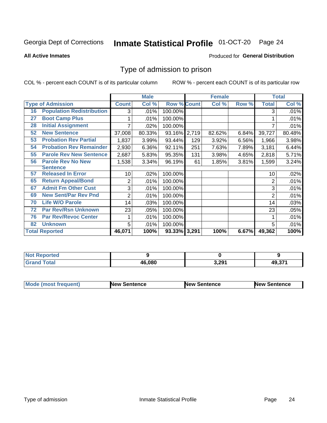#### Inmate Statistical Profile 01-OCT-20 Page 24

**All Active Inmates** 

#### Produced for General Distribution

### Type of admission to prison

COL % - percent each COUNT is of its particular column

|    |                                  |              | <b>Male</b> |                    |       | <b>Female</b> |       |              | <b>Total</b> |
|----|----------------------------------|--------------|-------------|--------------------|-------|---------------|-------|--------------|--------------|
|    | <b>Type of Admission</b>         | <b>Count</b> | Col %       | <b>Row % Count</b> |       | Col %         | Row % | <b>Total</b> | Col %        |
| 16 | <b>Population Redistribution</b> | 3            | .01%        | 100.00%            |       |               |       | 3            | .01%         |
| 27 | <b>Boot Camp Plus</b>            |              | .01%        | 100.00%            |       |               |       |              | $.01\%$      |
| 28 | <b>Initial Assignment</b>        |              | .02%        | 100.00%            |       |               |       |              | .01%         |
| 52 | <b>New Sentence</b>              | 37,008       | 80.33%      | 93.16% 2,719       |       | 82.62%        | 6.84% | 39,727       | 80.48%       |
| 53 | <b>Probation Rev Partial</b>     | 1,837        | 3.99%       | 93.44%             | 129   | 3.92%         | 6.56% | 1,966        | 3.98%        |
| 54 | <b>Probation Rev Remainder</b>   | 2,930        | 6.36%       | 92.11%             | 251   | 7.63%         | 7.89% | 3,181        | 6.44%        |
| 55 | <b>Parole Rev New Sentence</b>   | 2,687        | 5.83%       | 95.35%             | 131   | 3.98%         | 4.65% | 2,818        | 5.71%        |
| 56 | <b>Parole Rev No New</b>         | 1,538        | 3.34%       | 96.19%             | 61    | 1.85%         | 3.81% | 1,599        | 3.24%        |
|    | <b>Sentence</b>                  |              |             |                    |       |               |       |              |              |
| 57 | <b>Released In Error</b>         | 10           | .02%        | 100.00%            |       |               |       | 10           | .02%         |
| 65 | <b>Return Appeal/Bond</b>        | 2            | .01%        | 100.00%            |       |               |       | 2            | .01%         |
| 67 | <b>Admit Fm Other Cust</b>       | 3            | .01%        | 100.00%            |       |               |       | 3            | .01%         |
| 69 | <b>New Sent/Par Rev Pnd</b>      | 2            | .01%        | 100.00%            |       |               |       | 2            | .01%         |
| 70 | <b>Life W/O Parole</b>           | 14           | .03%        | 100.00%            |       |               |       | 14           | .03%         |
| 72 | <b>Par Rev/Rsn Unknown</b>       | 23           | .05%        | 100.00%            |       |               |       | 23           | .05%         |
| 76 | <b>Par Rev/Revoc Center</b>      |              | .01%        | 100.00%            |       |               |       |              | .01%         |
| 82 | <b>Unknown</b>                   | 5            | .01%        | 100.00%            |       |               |       | 5            | .01%         |
|    | <b>Total Reported</b>            | 46,071       | 100%        | 93.33%             | 3,291 | 100%          | 6.67% | 49,362       | 100%         |

| <b>Not Reported</b>  |        |       |        |
|----------------------|--------|-------|--------|
| <b>Total</b><br>Grar | 46.080 | 3,291 | 49,371 |

| <b>Mode (most frequent)</b> | <b>New Sentence</b> | <b>New Sentence</b> | <b>New Sentence</b> |
|-----------------------------|---------------------|---------------------|---------------------|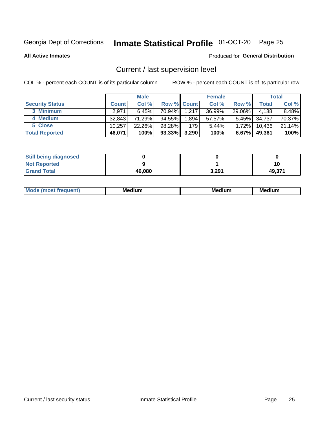## Inmate Statistical Profile 01-OCT-20 Page 25

**All Active Inmates** 

#### Produced for General Distribution

### Current / last supervision level

COL % - percent each COUNT is of its particular column

|                        |              | <b>Male</b> |             |       | <b>Female</b> |          |        | <b>Total</b> |
|------------------------|--------------|-------------|-------------|-------|---------------|----------|--------|--------------|
| <b>Security Status</b> | <b>Count</b> | Col %       | Row % Count |       | Col %         | Row %    | Total  | Col %        |
| 3 Minimum              | 2.971        | 6.45%       | 70.94%      | 1,217 | 36.99%        | 29.06%   | 4,188  | 8.48%        |
| 4 Medium               | 32,843       | 71.29%      | 94.55%      | 1,894 | 57.57%        | $5.45\%$ | 34,737 | 70.37%       |
| 5 Close                | 10.257       | 22.26%      | 98.28%      | 179   | 5.44%         | $1.72\%$ | 10,436 | 21.14%       |
| <b>Total Reported</b>  | 46,071       | 100%        | $93.33\%$   | 3,290 | 100%          | $6.67\%$ | 49,361 | 100%         |

| <b>Still being diagnosed</b> |        |       |        |
|------------------------------|--------|-------|--------|
| <b>Not Reported</b>          |        |       | 10     |
| <b>Grand Total</b>           | 46,080 | 3,291 | 49,371 |

| M | M | . . |
|---|---|-----|
|   |   |     |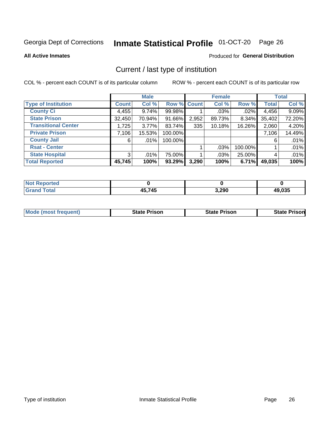## Inmate Statistical Profile 01-OCT-20 Page 26

**All Active Inmates** 

#### Produced for General Distribution

### Current / last type of institution

COL % - percent each COUNT is of its particular column

|                            |                | <b>Male</b> |             |       | <b>Female</b> |         |              | <b>Total</b> |
|----------------------------|----------------|-------------|-------------|-------|---------------|---------|--------------|--------------|
| <b>Type of Institution</b> | <b>Count</b>   | Col %       | Row % Count |       | Col %         | Row %   | <b>Total</b> | Col %        |
| <b>County Ci</b>           | 4,455          | 9.74%       | 99.98%      |       | $.03\%$       | $.02\%$ | 4,456        | 9.09%        |
| <b>State Prison</b>        | 32,450         | 70.94%      | 91.66%      | 2,952 | 89.73%        | 8.34%   | 35,402       | 72.20%       |
| <b>Transitional Center</b> | 1,725          | $3.77\%$    | 83.74%      | 335   | 10.18%        | 16.26%  | 2,060        | 4.20%        |
| <b>Private Prison</b>      | 7,106          | 15.53%      | 100.00%     |       |               |         | 7,106        | 14.49%       |
| <b>County Jail</b>         | 6              | .01%        | 100.00%     |       |               |         | 6            | .01%         |
| <b>Rsat - Center</b>       |                |             |             |       | .03%          | 100.00% |              | .01%         |
| <b>State Hospital</b>      | 3 <sup>1</sup> | .01%        | 75.00%      |       | .03%          | 25.00%  | 4            | .01%         |
| <b>Total Reported</b>      | 45,745         | 100%        | 93.29%      | 3,290 | 100%          | 6.71%   | 49,035       | 100%         |

| Reported    |               |       |        |
|-------------|---------------|-------|--------|
| <b>Tota</b> | 45,745<br>ль. | 3,290 | 19,035 |

| <b>Mode (most frequent)</b> | <b>State Prison</b> | <b>State Prison</b> | <b>State Prison</b> |
|-----------------------------|---------------------|---------------------|---------------------|
|                             |                     |                     |                     |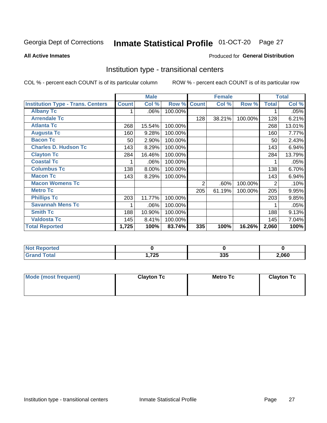#### Inmate Statistical Profile 01-OCT-20 Page 27

#### **All Active Inmates**

#### Produced for General Distribution

### Institution type - transitional centers

COL % - percent each COUNT is of its particular column

|                                          |              | <b>Male</b> |         |                | <b>Female</b> |         |              | <b>Total</b> |
|------------------------------------------|--------------|-------------|---------|----------------|---------------|---------|--------------|--------------|
| <b>Institution Type - Trans. Centers</b> | <b>Count</b> | Col %       | Row %   | <b>Count</b>   | Col %         | Row %   | <b>Total</b> | Col %        |
| <b>Albany Tc</b>                         |              | .06%        | 100.00% |                |               |         |              | .05%         |
| <b>Arrendale Tc</b>                      |              |             |         | 128            | 38.21%        | 100.00% | 128          | 6.21%        |
| <b>Atlanta Tc</b>                        | 268          | 15.54%      | 100.00% |                |               |         | 268          | 13.01%       |
| <b>Augusta Tc</b>                        | 160          | 9.28%       | 100.00% |                |               |         | 160          | 7.77%        |
| <b>Bacon Tc</b>                          | 50           | 2.90%       | 100.00% |                |               |         | 50           | 2.43%        |
| <b>Charles D. Hudson Tc</b>              | 143          | 8.29%       | 100.00% |                |               |         | 143          | 6.94%        |
| <b>Clayton Tc</b>                        | 284          | 16.46%      | 100.00% |                |               |         | 284          | 13.79%       |
| <b>Coastal Tc</b>                        |              | .06%        | 100.00% |                |               |         |              | .05%         |
| <b>Columbus Tc</b>                       | 138          | 8.00%       | 100.00% |                |               |         | 138          | 6.70%        |
| <b>Macon Tc</b>                          | 143          | 8.29%       | 100.00% |                |               |         | 143          | 6.94%        |
| <b>Macon Womens Tc</b>                   |              |             |         | $\overline{2}$ | .60%          | 100.00% | 2            | .10%         |
| <b>Metro Tc</b>                          |              |             |         | 205            | 61.19%        | 100.00% | 205          | 9.95%        |
| <b>Phillips Tc</b>                       | 203          | 11.77%      | 100.00% |                |               |         | 203          | 9.85%        |
| <b>Savannah Mens Tc</b>                  |              | .06%        | 100.00% |                |               |         |              | .05%         |
| <b>Smith Tc</b>                          | 188          | 10.90%      | 100.00% |                |               |         | 188          | 9.13%        |
| <b>Valdosta Tc</b>                       | 145          | 8.41%       | 100.00% |                |               |         | 145          | 7.04%        |
| <b>Total Reported</b>                    | 1,725        | 100%        | 83.74%  | 335            | 100%          | 16.26%  | 2,060        | 100%         |

| <b>Reported</b><br><b>NOT</b> |             |            |       |
|-------------------------------|-------------|------------|-------|
| `otal                         | フつに<br>74 J | つつに<br>ააა | 2,060 |

| Mode (most frequent) | <b>Clayton Tc</b> | Metro Tc | <b>Clayton Tc</b> |
|----------------------|-------------------|----------|-------------------|
|                      |                   |          |                   |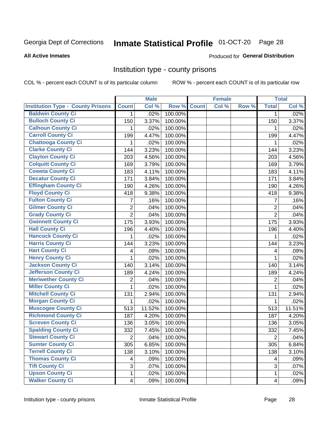## Inmate Statistical Profile 01-OCT-20 Page 28

#### **All Active Inmates**

#### Produced for General Distribution

#### Institution type - county prisons

COL % - percent each COUNT is of its particular column

|                                          |                         | <b>Male</b> |         |              | <b>Female</b> |       |                         | <b>Total</b> |
|------------------------------------------|-------------------------|-------------|---------|--------------|---------------|-------|-------------------------|--------------|
| <b>Institution Type - County Prisons</b> | <b>Count</b>            | Col %       | Row %   | <b>Count</b> | Col %         | Row % | <b>Total</b>            | Col %        |
| <b>Baldwin County Ci</b>                 | $\mathbf{1}$            | .02%        | 100.00% |              |               |       | $\mathbf{1}$            | .02%         |
| <b>Bulloch County Ci</b>                 | 150                     | 3.37%       | 100.00% |              |               |       | 150                     | 3.37%        |
| <b>Calhoun County Ci</b>                 | 1                       | .02%        | 100.00% |              |               |       | 1                       | .02%         |
| <b>Carroll County Ci</b>                 | 199                     | 4.47%       | 100.00% |              |               |       | 199                     | 4.47%        |
| <b>Chattooga County Ci</b>               | 1                       | .02%        | 100.00% |              |               |       | 1                       | .02%         |
| <b>Clarke County Ci</b>                  | 144                     | 3.23%       | 100.00% |              |               |       | 144                     | 3.23%        |
| <b>Clayton County Ci</b>                 | 203                     | 4.56%       | 100.00% |              |               |       | 203                     | 4.56%        |
| <b>Colquitt County Ci</b>                | 169                     | 3.79%       | 100.00% |              |               |       | 169                     | 3.79%        |
| <b>Coweta County Ci</b>                  | 183                     | 4.11%       | 100.00% |              |               |       | 183                     | 4.11%        |
| <b>Decatur County Ci</b>                 | 171                     | 3.84%       | 100.00% |              |               |       | 171                     | 3.84%        |
| <b>Effingham County Ci</b>               | 190                     | 4.26%       | 100.00% |              |               |       | 190                     | 4.26%        |
| <b>Floyd County Ci</b>                   | 418                     | 9.38%       | 100.00% |              |               |       | 418                     | 9.38%        |
| <b>Fulton County Ci</b>                  | 7                       | .16%        | 100.00% |              |               |       | $\overline{7}$          | .16%         |
| <b>Gilmer County Ci</b>                  | 2                       | .04%        | 100.00% |              |               |       | $\overline{2}$          | .04%         |
| <b>Grady County Ci</b>                   | $\overline{2}$          | .04%        | 100.00% |              |               |       | $\overline{2}$          | .04%         |
| <b>Gwinnett County Ci</b>                | 175                     | 3.93%       | 100.00% |              |               |       | 175                     | 3.93%        |
| <b>Hall County Ci</b>                    | 196                     | 4.40%       | 100.00% |              |               |       | 196                     | 4.40%        |
| <b>Hancock County Ci</b>                 | 1                       | .02%        | 100.00% |              |               |       | 1                       | .02%         |
| <b>Harris County Ci</b>                  | 144                     | 3.23%       | 100.00% |              |               |       | 144                     | 3.23%        |
| <b>Hart County Ci</b>                    | 4                       | .09%        | 100.00% |              |               |       | 4                       | .09%         |
| <b>Henry County Ci</b>                   | 1                       | .02%        | 100.00% |              |               |       | 1                       | .02%         |
| <b>Jackson County Ci</b>                 | 140                     | 3.14%       | 100.00% |              |               |       | 140                     | 3.14%        |
| <b>Jefferson County Ci</b>               | 189                     | 4.24%       | 100.00% |              |               |       | 189                     | 4.24%        |
| <b>Meriwether County Ci</b>              | 2                       | .04%        | 100.00% |              |               |       | $\overline{2}$          | .04%         |
| <b>Miller County Ci</b>                  | 1                       | .02%        | 100.00% |              |               |       | $\mathbf{1}$            | .02%         |
| <b>Mitchell County Ci</b>                | 131                     | 2.94%       | 100.00% |              |               |       | 131                     | 2.94%        |
| <b>Morgan County Ci</b>                  | 1                       | .02%        | 100.00% |              |               |       | 1                       | .02%         |
| <b>Muscogee County Ci</b>                | 513                     | 11.52%      | 100.00% |              |               |       | 513                     | 11.51%       |
| <b>Richmond County Ci</b>                | 187                     | 4.20%       | 100.00% |              |               |       | 187                     | 4.20%        |
| <b>Screven County Ci</b>                 | 136                     | 3.05%       | 100.00% |              |               |       | 136                     | 3.05%        |
| <b>Spalding County Ci</b>                | 332                     | 7.45%       | 100.00% |              |               |       | 332                     | 7.45%        |
| <b>Stewart County Ci</b>                 | $\overline{2}$          | .04%        | 100.00% |              |               |       | $\overline{2}$          | .04%         |
| <b>Sumter County Ci</b>                  | 305                     | 6.85%       | 100.00% |              |               |       | 305                     | 6.84%        |
| <b>Terrell County Ci</b>                 | 138                     | 3.10%       | 100.00% |              |               |       | 138                     | 3.10%        |
| <b>Thomas County Ci</b>                  | 4                       | .09%        | 100.00% |              |               |       | 4                       | .09%         |
| <b>Tift County Ci</b>                    | 3                       | .07%        | 100.00% |              |               |       | 3                       | .07%         |
| <b>Upson County Ci</b>                   | 1                       | .02%        | 100.00% |              |               |       | 1                       | .02%         |
| <b>Walker County Ci</b>                  | $\overline{\mathbf{4}}$ | .09%        | 100.00% |              |               |       | $\overline{\mathbf{4}}$ | .09%         |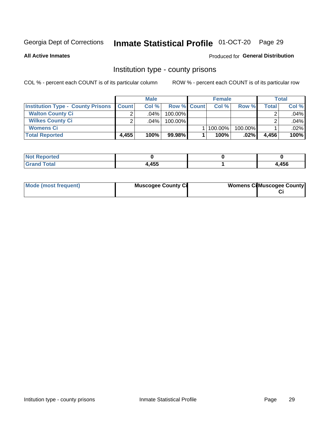## Inmate Statistical Profile 01-OCT-20 Page 29

**All Active Inmates** 

#### Produced for General Distribution

#### Institution type - county prisons

COL % - percent each COUNT is of its particular column

|                                          |              | <b>Male</b> |                    | <b>Female</b> |         |       | Total   |
|------------------------------------------|--------------|-------------|--------------------|---------------|---------|-------|---------|
| <b>Institution Type - County Prisons</b> | <b>Count</b> | Col%        | <b>Row % Count</b> | Col%          | Row %   | Total | Col %   |
| <b>Walton County Ci</b>                  | ⌒            | $.04\%$     | 100.00%            |               |         |       | .04%    |
| <b>Wilkes County Ci</b>                  | ົ            | $.04\%$     | 100.00%            |               |         |       | .04%    |
| <b>Womens Ci</b>                         |              |             |                    | 100.00%       | 100.00% |       | $.02\%$ |
| <b>Total Reported</b>                    | 4,455        | 100%        | $99.98\%$          | 100%          | .02%    | 4.456 | 100%    |

| τeα                         |      |      |
|-----------------------------|------|------|
| $\sim$ $\sim$ $\sim$ $\sim$ | ,455 | ,456 |

| Mode (most frequent) | <b>Muscogee County Ci</b> | <b>Womens CilMuscogee County</b> |
|----------------------|---------------------------|----------------------------------|
|----------------------|---------------------------|----------------------------------|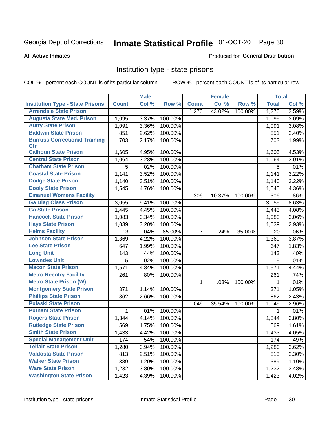## Inmate Statistical Profile 01-OCT-20 Page 30

#### **All Active Inmates**

#### Produced for General Distribution

#### Institution type - state prisons

COL % - percent each COUNT is of its particular column

|                                         |              | <b>Male</b>         |         |                    | <b>Female</b> |         | <b>Total</b> |       |
|-----------------------------------------|--------------|---------------------|---------|--------------------|---------------|---------|--------------|-------|
| <b>Institution Type - State Prisons</b> | <b>Count</b> | Col %               | Row %   | <b>Count</b>       | Col %         | Row %   | <b>Total</b> | Col % |
| <b>Arrendale State Prison</b>           |              |                     |         | $\overline{1,270}$ | 43.02%        | 100.00% | 1,270        | 3.59% |
| <b>Augusta State Med. Prison</b>        | 1,095        | 3.37%               | 100.00% |                    |               |         | 1,095        | 3.09% |
| <b>Autry State Prison</b>               | 1,091        | 3.36%               | 100.00% |                    |               |         | 1,091        | 3.08% |
| <b>Baldwin State Prison</b>             | 851          | 2.62%               | 100.00% |                    |               |         | 851          | 2.40% |
| <b>Burruss Correctional Training</b>    | 703          | 2.17%               | 100.00% |                    |               |         | 703          | 1.99% |
| <b>Ctr</b>                              |              |                     |         |                    |               |         |              |       |
| <b>Calhoun State Prison</b>             | 1,605        | 4.95%               | 100.00% |                    |               |         | 1,605        | 4.53% |
| <b>Central State Prison</b>             | 1,064        | 3.28%               | 100.00% |                    |               |         | 1,064        | 3.01% |
| <b>Chatham State Prison</b>             | 5            | .02%                | 100.00% |                    |               |         | 5            | .01%  |
| <b>Coastal State Prison</b>             | 1,141        | 3.52%               | 100.00% |                    |               |         | 1,141        | 3.22% |
| <b>Dodge State Prison</b>               | 1,140        | 3.51%               | 100.00% |                    |               |         | 1,140        | 3.22% |
| <b>Dooly State Prison</b>               | 1,545        | 4.76%               | 100.00% |                    |               |         | 1,545        | 4.36% |
| <b>Emanuel Womens Facility</b>          |              |                     |         | 306                | 10.37%        | 100.00% | 306          | .86%  |
| <b>Ga Diag Class Prison</b>             | 3,055        | 9.41%               | 100.00% |                    |               |         | 3,055        | 8.63% |
| <b>Ga State Prison</b>                  | 1,445        | 4.45%               | 100.00% |                    |               |         | 1,445        | 4.08% |
| <b>Hancock State Prison</b>             | 1,083        | 3.34%               | 100.00% |                    |               |         | 1,083        | 3.06% |
| <b>Hays State Prison</b>                | 1,039        | 3.20%               | 100.00% |                    |               |         | 1,039        | 2.93% |
| <b>Helms Facility</b>                   | 13           | .04%                | 65.00%  | $\overline{7}$     | .24%          | 35.00%  | 20           | .06%  |
| <b>Johnson State Prison</b>             | 1,369        | 4.22%               | 100.00% |                    |               |         | 1,369        | 3.87% |
| <b>Lee State Prison</b>                 | 647          | 1.99%               | 100.00% |                    |               |         | 647          | 1.83% |
| <b>Long Unit</b>                        | 143          | .44%                | 100.00% |                    |               |         | 143          | .40%  |
| <b>Lowndes Unit</b>                     | 5            | .02%                | 100.00% |                    |               |         | 5            | .01%  |
| <b>Macon State Prison</b>               | 1,571        | 4.84%               | 100.00% |                    |               |         | 1,571        | 4.44% |
| <b>Metro Reentry Facility</b>           | 261          | .80%                | 100.00% |                    |               |         | 261          | .74%  |
| <b>Metro State Prison (W)</b>           |              |                     |         | 1                  | .03%          | 100.00% | 1            | .01%  |
| <b>Montgomery State Prison</b>          | 371          | 1.14%               | 100.00% |                    |               |         | 371          | 1.05% |
| <b>Phillips State Prison</b>            | 862          | 2.66%               | 100.00% |                    |               |         | 862          | 2.43% |
| <b>Pulaski State Prison</b>             |              |                     |         | 1,049              | 35.54%        | 100.00% | 1,049        | 2.96% |
| <b>Putnam State Prison</b>              | 1            | .01%                | 100.00% |                    |               |         | 1            | .01%  |
| <b>Rogers State Prison</b>              | 1,344        | 4.14%               | 100.00% |                    |               |         | 1,344        | 3.80% |
| <b>Rutledge State Prison</b>            | 569          | 1.75%               | 100.00% |                    |               |         | 569          | 1.61% |
| <b>Smith State Prison</b>               | 1,433        | $4.42\%$            | 100.00% |                    |               |         | 1,433        | 4.05% |
| <b>Special Management Unit</b>          | 174          | .54%                | 100.00% |                    |               |         | 174          | .49%  |
| <b>Telfair State Prison</b>             | 1,280        | 3.94%               | 100.00% |                    |               |         | 1,280        | 3.62% |
| <b>Valdosta State Prison</b>            | 813          | 2.51%               | 100.00% |                    |               |         | 813          | 2.30% |
| <b>Walker State Prison</b>              | 389          | $\overline{1.20\%}$ | 100.00% |                    |               |         | 389          | 1.10% |
| <b>Ware State Prison</b>                | 1,232        | 3.80%               | 100.00% |                    |               |         | 1,232        | 3.48% |
| <b>Washington State Prison</b>          | 1,423        | 4.39%               | 100.00% |                    |               |         | 1,423        | 4.02% |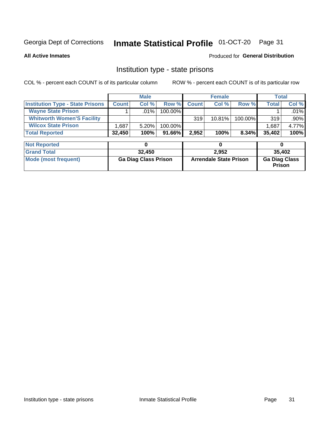#### Inmate Statistical Profile 01-OCT-20 Page 31

**All Active Inmates** 

#### Produced for General Distribution

### Institution type - state prisons

COL % - percent each COUNT is of its particular column

|                                         |              | <b>Male</b> |            |              | <b>Female</b> |          | Total  |         |
|-----------------------------------------|--------------|-------------|------------|--------------|---------------|----------|--------|---------|
| <b>Institution Type - State Prisons</b> | <b>Count</b> | Col %       | Row %I     | <b>Count</b> | Col %         | Row %    | Total  | Col %   |
| <b>Wayne State Prison</b>               |              | $.01\%$     | $100.00\%$ |              |               |          |        | $.01\%$ |
| <b>Whitworth Women'S Facility</b>       |              |             |            | 319          | $10.81\%$     | 100.00%  | 319    | $.90\%$ |
| <b>Wilcox State Prison</b>              | .687         | 5.20%       | 100.00%    |              |               |          | 1,687  | 4.77%   |
| <b>Total Reported</b>                   | 32,450       | 100%        | 91.66%     | 2,952        | 100%          | $8.34\%$ | 35,402 | 100%    |

| <b>Not Reported</b>  |                             |                               |                                       |
|----------------------|-----------------------------|-------------------------------|---------------------------------------|
| <b>Grand Total</b>   | 32,450                      | 2.952                         | 35.402                                |
| Mode (most frequent) | <b>Ga Diag Class Prison</b> | <b>Arrendale State Prison</b> | <b>Ga Diag Class</b><br><b>Prison</b> |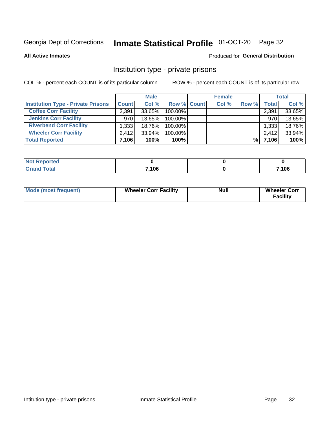## Inmate Statistical Profile 01-OCT-20 Page 32

**All Active Inmates** 

#### Produced for General Distribution

### Institution type - private prisons

COL % - percent each COUNT is of its particular column

|                                           |              | <b>Male</b> |                    | <b>Female</b> |       |       | <b>Total</b> |
|-------------------------------------------|--------------|-------------|--------------------|---------------|-------|-------|--------------|
| <b>Institution Type - Private Prisons</b> | <b>Count</b> | Col %       | <b>Row % Count</b> | Col %         | Row % | Total | Col %        |
| <b>Coffee Corr Facility</b>               | 2.391        | 33.65%      | 100.00%            |               |       | 2,391 | 33.65%       |
| <b>Jenkins Corr Facility</b>              | 970          | $13.65\%$   | 100.00%            |               |       | 970   | 13.65%       |
| <b>Riverbend Corr Facility</b>            | 1,333        | 18.76%      | 100.00%            |               |       | 1,333 | 18.76%       |
| <b>Wheeler Corr Facility</b>              | 2.412        | 33.94%      | 100.00%            |               |       | 2,412 | 33.94%       |
| <b>Total Reported</b>                     | 7,106        | 100%        | $100\%$            |               | %     | 7,106 | 100%         |

| <b>Not</b><br>Reported |       |       |
|------------------------|-------|-------|
| <b>Total</b>           | 7,106 | 7,106 |

| <b>Mode (most frequent)</b> | <b>Wheeler Corr Facility</b> | <b>Null</b> | <b>Wheeler Corr</b><br><b>Facility</b> |
|-----------------------------|------------------------------|-------------|----------------------------------------|
|-----------------------------|------------------------------|-------------|----------------------------------------|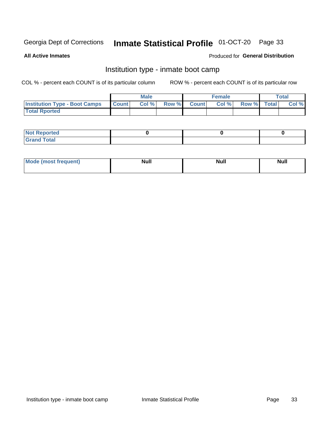### Inmate Statistical Profile 01-OCT-20 Page 33

**All Active Inmates** 

#### Produced for General Distribution

### Institution type - inmate boot camp

COL % - percent each COUNT is of its particular column

|                                      | <b>Male</b>     |       |              | <b>Female</b> |       |             | <b>Total</b> |       |
|--------------------------------------|-----------------|-------|--------------|---------------|-------|-------------|--------------|-------|
| <b>Institution Type - Boot Camps</b> | <b>I</b> Count⊥ | Col % | <b>Row %</b> | <b>Count</b>  | Col % | Row % Total |              | Col % |
| <b>Total Rported</b>                 |                 |       |              |               |       |             |              |       |

| <b>Not Reported</b>            |  |  |
|--------------------------------|--|--|
| <b>Total</b><br>C <sub>r</sub> |  |  |

| Mod<br>uamo | Nul.<br>$- - - - - -$ | <b>Null</b> | . .<br>uu.<br>------ |
|-------------|-----------------------|-------------|----------------------|
|             |                       |             |                      |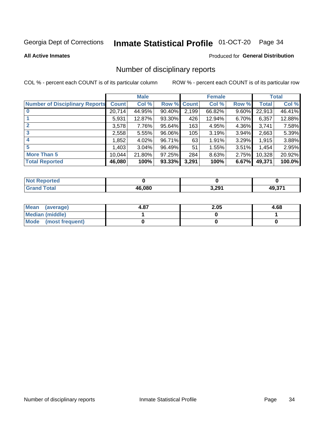## Inmate Statistical Profile 01-OCT-20 Page 34

#### **All Active Inmates**

#### Produced for General Distribution

### Number of disciplinary reports

COL % - percent each COUNT is of its particular column

|                                       |              | <b>Male</b> |             |       | <b>Female</b> |          |        | <b>Total</b> |
|---------------------------------------|--------------|-------------|-------------|-------|---------------|----------|--------|--------------|
| <b>Number of Disciplinary Reports</b> | <b>Count</b> | Col %       | Row % Count |       | Col %         | Row %    | Total  | Col %        |
|                                       | 20,714       | 44.95%      | 90.40%      | 2,199 | 66.82%        | $9.60\%$ | 22,913 | 46.41%       |
|                                       | 5,931        | 12.87%      | 93.30%      | 426   | 12.94%        | 6.70%    | 6,357  | 12.88%       |
|                                       | 3,578        | 7.76%       | 95.64%      | 163   | 4.95%         | 4.36%    | 3,741  | 7.58%        |
| 3                                     | 2,558        | 5.55%       | 96.06%      | 105   | 3.19%         | 3.94%    | 2,663  | 5.39%        |
| $\boldsymbol{4}$                      | 1,852        | 4.02%       | 96.71%      | 63    | 1.91%         | 3.29%    | 1,915  | 3.88%        |
| 5                                     | 1,403        | 3.04%       | 96.49%      | 51    | 1.55%         | 3.51%    | 1,454  | 2.95%        |
| <b>More Than 5</b>                    | 10,044       | 21.80%      | 97.25%      | 284   | 8.63%         | 2.75%    | 10,328 | 20.92%       |
| <b>Total Reported</b>                 | 46,080       | 100%        | 93.33%      | 3,291 | 100%          | 6.67%    | 49,371 | 100.0%       |

| orted<br>NO1 |        |       |        |
|--------------|--------|-------|--------|
| Total        | 46.080 | 3,291 | גדה הו |

| Mean (average)       | 4.87 | 2.05 | 4.68 |
|----------------------|------|------|------|
| Median (middle)      |      |      |      |
| Mode (most frequent) |      |      |      |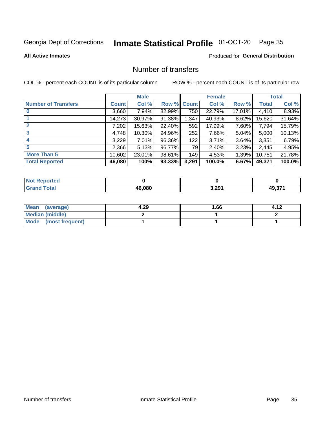## Inmate Statistical Profile 01-OCT-20 Page 35

#### **All Active Inmates**

#### Produced for General Distribution

### Number of transfers

COL % - percent each COUNT is of its particular column

|                            |         | <b>Male</b> |        |              | <b>Female</b> |          |              | <b>Total</b> |
|----------------------------|---------|-------------|--------|--------------|---------------|----------|--------------|--------------|
| <b>Number of Transfers</b> | Count l | Col %       | Row %  | <b>Count</b> | Col %         | Row %    | <b>Total</b> | Col %        |
|                            | 3,660   | 7.94%       | 82.99% | 750          | 22.79%        | 17.01%   | 4,410        | 8.93%        |
|                            | 14,273  | 30.97%      | 91.38% | 1,347        | 40.93%        | 8.62%    | 15,620       | 31.64%       |
| $\mathbf{2}$               | 7,202   | 15.63%      | 92.40% | 592          | 17.99%        | 7.60%    | 7,794        | 15.79%       |
| 3                          | 4,748   | 10.30%      | 94.96% | 252          | 7.66%         | $5.04\%$ | 5,000        | 10.13%       |
| 4                          | 3,229   | $7.01\%$    | 96.36% | 122          | 3.71%         | $3.64\%$ | 3,351        | 6.79%        |
| 5                          | 2,366   | 5.13%       | 96.77% | 79           | 2.40%         | 3.23%    | 2,445        | 4.95%        |
| <b>More Than 5</b>         | 10,602  | 23.01%      | 98.61% | 149          | 4.53%         | $1.39\%$ | 10,751       | 21.78%       |
| <b>Total Reported</b>      | 46,080  | 100%        | 93.33% | 3,291        | 100.0%        | 6.67%    | 49,371       | 100.0%       |

| orted<br>NO1 |        |       |        |
|--------------|--------|-------|--------|
| Total        | 46.080 | 3,291 | גדה הו |

| Mean (average)         | 4.29 | I.66 | 4.12 |
|------------------------|------|------|------|
| <b>Median (middle)</b> |      |      |      |
| Mode (most frequent)   |      |      |      |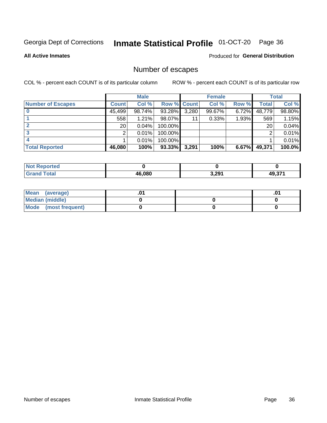## Inmate Statistical Profile 01-OCT-20 Page 36

**All Active Inmates** 

#### Produced for General Distribution

### Number of escapes

COL % - percent each COUNT is of its particular column

|                          |              | <b>Male</b> |             |       | <b>Female</b> |          |        | <b>Total</b> |
|--------------------------|--------------|-------------|-------------|-------|---------------|----------|--------|--------------|
| <b>Number of Escapes</b> | <b>Count</b> | Col %       | Row % Count |       | Col %         | Row %    | Total  | Col %        |
|                          | 45,499       | 98.74%      | 93.28%      | 3,280 | 99.67%        | $6.72\%$ | 48,779 | 98.80%       |
|                          | 558          | 1.21%       | 98.07%      | 11    | 0.33%         | 1.93%    | 569    | 1.15%        |
|                          | 20           | 0.04%       | 100.00%     |       |               |          | 20     | 0.04%        |
|                          | っ            | 0.01%       | 100.00%     |       |               |          | ◠      | 0.01%        |
|                          |              | 0.01%       | 100.00%     |       |               |          |        | $0.01\%$     |
| <b>Total Reported</b>    | 46,080       | 100%        | 93.33%      | 3,291 | 100%          | 6.67%    | 49,371 | 100.0%       |

| <b>Not Reported</b> |        |       |     |
|---------------------|--------|-------|-----|
| <b>Total</b>        | 46.080 | 3,291 | 274 |

| Mean (average)       |  | .0 <sup>4</sup> |
|----------------------|--|-----------------|
| Median (middle)      |  |                 |
| Mode (most frequent) |  |                 |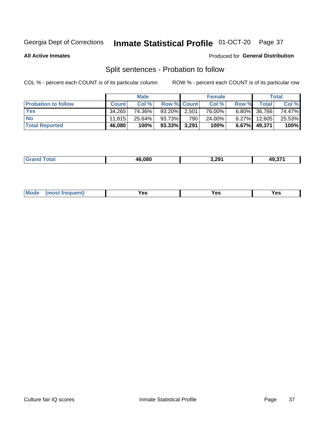#### Inmate Statistical Profile 01-OCT-20 Page 37

**All Active Inmates** 

#### Produced for General Distribution

### Split sentences - Probation to follow

COL % - percent each COUNT is of its particular column

|                            |              | <b>Male</b> |                    |     | <b>Female</b> |          |                 | <b>Total</b> |
|----------------------------|--------------|-------------|--------------------|-----|---------------|----------|-----------------|--------------|
| <b>Probation to follow</b> | <b>Count</b> | Col%        | <b>Row % Count</b> |     | Col %         | Row %    | <b>Total</b>    | Col %        |
| <b>Yes</b>                 | 34.265       | 74.36%      | 93.20% 2.501       |     | 76.00%        |          | $6.80\%$ 36,766 | 74.47%       |
| <b>No</b>                  | 11.815       | $25.64\%$   | 93.73%             | 790 | 24.00%        | $6.27\%$ | 12,605          | 25.53%       |
| <b>Total Reported</b>      | 46,080       | 100%        | $93.33\%$ 3,291    |     | 100%          | $6.67\%$ | 49.371          | 100%         |

|  |  | 46.080 | - 201 | $  -$<br>— 49 — |
|--|--|--------|-------|-----------------|
|--|--|--------|-------|-----------------|

| <b>Mode</b><br>reauent)<br>Yes<br>v.c<br>0٥<br>.<br>. .<br>$\sim$ |
|-------------------------------------------------------------------|
|-------------------------------------------------------------------|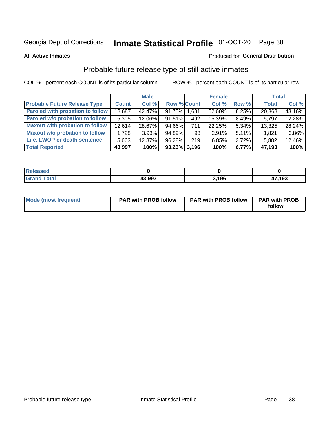# Inmate Statistical Profile 01-OCT-20 Page 38

**All Active Inmates** 

## Produced for General Distribution

# Probable future release type of still active inmates

COL % - percent each COUNT is of its particular column

|                                         |              | <b>Male</b> |                    |     | <b>Female</b> |          | <b>Total</b> |        |
|-----------------------------------------|--------------|-------------|--------------------|-----|---------------|----------|--------------|--------|
| <b>Probable Future Release Type</b>     | <b>Count</b> | Col %       | <b>Row % Count</b> |     | Col %         | Row %    | <b>Total</b> | Col %  |
| <b>Paroled with probation to follow</b> | 18,687       | 42.47%      | 91.75% 1,681       |     | 52.60%        | 8.25%    | 20,368       | 43.16% |
| Paroled w/o probation to follow         | 5,305        | 12.06%      | 91.51%             | 492 | 15.39%        | 8.49%    | 5,797        | 12.28% |
| <b>Maxout with probation to follow</b>  | 12,614       | 28.67%      | 94.66%             | 711 | 22.25%        | 5.34%    | 13,325       | 28.24% |
| <b>Maxout w/o probation to follow</b>   | 1,728        | 3.93%       | 94.89%             | 93  | 2.91%         | $5.11\%$ | 1,821        | 3.86%  |
| Life, LWOP or death sentence            | 5,663        | 12.87%      | 96.28%             | 219 | 6.85%         | $3.72\%$ | 5,882        | 12.46% |
| <b>Total Reported</b>                   | 43,997       | 100%        | $93.23\%$ 3,196    |     | 100%          | 6.77%    | 47,193       | 100%   |

| eleased     |        |      |        |
|-------------|--------|------|--------|
| <b>otal</b> | 43.997 | .196 | 17,193 |

| <b>Mode (most frequent)</b> | <b>PAR with PROB follow</b> | <b>PAR with PROB follow</b> | <b>PAR with PROB</b> |
|-----------------------------|-----------------------------|-----------------------------|----------------------|
|                             |                             |                             | follow               |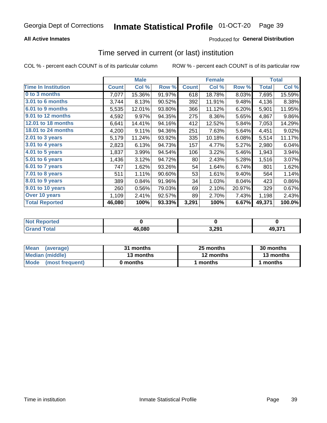## **All Active Inmates**

# **Produced for General Distribution**

# Time served in current (or last) institution

COL % - percent each COUNT is of its particular column

|                            |              | <b>Male</b> |        |              | <b>Female</b> |        |        | <b>Total</b> |
|----------------------------|--------------|-------------|--------|--------------|---------------|--------|--------|--------------|
| <b>Time In Institution</b> | <b>Count</b> | Col %       | Row %  | <b>Count</b> | Col %         | Row %  | Total  | Col $%$      |
| 0 to 3 months              | 7,077        | 15.36%      | 91.97% | 618          | 18.78%        | 8.03%  | 7,695  | 15.59%       |
| <b>3.01 to 6 months</b>    | 3,744        | 8.13%       | 90.52% | 392          | 11.91%        | 9.48%  | 4,136  | 8.38%        |
| 6.01 to 9 months           | 5,535        | 12.01%      | 93.80% | 366          | 11.12%        | 6.20%  | 5,901  | 11.95%       |
| 9.01 to 12 months          | 4,592        | 9.97%       | 94.35% | 275          | 8.36%         | 5.65%  | 4,867  | 9.86%        |
| <b>12.01 to 18 months</b>  | 6,641        | 14.41%      | 94.16% | 412          | 12.52%        | 5.84%  | 7,053  | 14.29%       |
| <b>18.01 to 24 months</b>  | 4,200        | 9.11%       | 94.36% | 251          | 7.63%         | 5.64%  | 4,451  | 9.02%        |
| 2.01 to 3 years            | 5,179        | 11.24%      | 93.92% | 335          | 10.18%        | 6.08%  | 5,514  | 11.17%       |
| $3.01$ to 4 years          | 2,823        | 6.13%       | 94.73% | 157          | 4.77%         | 5.27%  | 2,980  | 6.04%        |
| 4.01 to 5 years            | 1,837        | 3.99%       | 94.54% | 106          | 3.22%         | 5.46%  | 1,943  | 3.94%        |
| 5.01 to 6 years            | 1,436        | 3.12%       | 94.72% | 80           | 2.43%         | 5.28%  | 1,516  | 3.07%        |
| $6.01$ to 7 years          | 747          | 1.62%       | 93.26% | 54           | 1.64%         | 6.74%  | 801    | 1.62%        |
| $7.01$ to 8 years          | 511          | 1.11%       | 90.60% | 53           | 1.61%         | 9.40%  | 564    | 1.14%        |
| $8.01$ to 9 years          | 389          | 0.84%       | 91.96% | 34           | 1.03%         | 8.04%  | 423    | 0.86%        |
| 9.01 to 10 years           | 260          | 0.56%       | 79.03% | 69           | 2.10%         | 20.97% | 329    | 0.67%        |
| Over 10 years              | 1,109        | 2.41%       | 92.57% | 89           | 2.70%         | 7.43%  | 1,198  | 2.43%        |
| <b>Total Reported</b>      | 46,080       | 100%        | 93.33% | 3,291        | 100%          | 6.67%  | 49,371 | 100.0%       |

| <b>NOT</b><br>чес |        |    |                    |
|-------------------|--------|----|--------------------|
|                   | 46.080 | ാവ | 10.37 <sup>4</sup> |

| <b>Mean</b><br>(average) | 31 months | 25 months | 30 months |
|--------------------------|-----------|-----------|-----------|
| Median (middle)          | 13 months | 12 months | 13 months |
| Mode (most frequent)     | 0 months  | l months  | months    |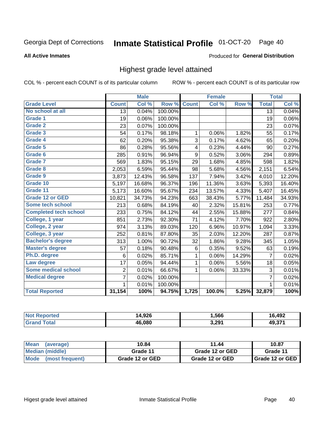#### Inmate Statistical Profile 01-OCT-20 Page 40

### **All Active Inmates**

## Produced for General Distribution

# Highest grade level attained

COL % - percent each COUNT is of its particular column

|                              |                 | <b>Male</b> |         |              | <b>Female</b> |        |                 | <b>Total</b> |
|------------------------------|-----------------|-------------|---------|--------------|---------------|--------|-----------------|--------------|
| <b>Grade Level</b>           | <b>Count</b>    | Col %       | Row %   | <b>Count</b> | Col %         | Row %  | <b>Total</b>    | Col %        |
| No school at all             | $\overline{13}$ | 0.04%       | 100.00% |              |               |        | $\overline{13}$ | 0.04%        |
| <b>Grade 1</b>               | 19              | 0.06%       | 100.00% |              |               |        | 19              | 0.06%        |
| <b>Grade 2</b>               | 23              | 0.07%       | 100.00% |              |               |        | 23              | 0.07%        |
| Grade 3                      | 54              | 0.17%       | 98.18%  | $\mathbf{1}$ | 0.06%         | 1.82%  | 55              | 0.17%        |
| Grade 4                      | 62              | 0.20%       | 95.38%  | 3            | 0.17%         | 4.62%  | 65              | 0.20%        |
| Grade 5                      | 86              | 0.28%       | 95.56%  | 4            | 0.23%         | 4.44%  | 90              | 0.27%        |
| Grade 6                      | 285             | 0.91%       | 96.94%  | 9            | 0.52%         | 3.06%  | 294             | 0.89%        |
| <b>Grade 7</b>               | 569             | 1.83%       | 95.15%  | 29           | 1.68%         | 4.85%  | 598             | 1.82%        |
| Grade 8                      | 2,053           | 6.59%       | 95.44%  | 98           | 5.68%         | 4.56%  | 2,151           | 6.54%        |
| Grade 9                      | 3,873           | 12.43%      | 96.58%  | 137          | 7.94%         | 3.42%  | 4,010           | 12.20%       |
| Grade 10                     | 5,197           | 16.68%      | 96.37%  | 196          | 11.36%        | 3.63%  | 5,393           | 16.40%       |
| Grade 11                     | 5,173           | 16.60%      | 95.67%  | 234          | 13.57%        | 4.33%  | 5,407           | 16.45%       |
| <b>Grade 12 or GED</b>       | 10,821          | 34.73%      | 94.23%  | 663          | 38.43%        | 5.77%  | 11,484          | 34.93%       |
| <b>Some tech school</b>      | 213             | 0.68%       | 84.19%  | 40           | 2.32%         | 15.81% | 253             | 0.77%        |
| <b>Completed tech school</b> | 233             | 0.75%       | 84.12%  | 44           | 2.55%         | 15.88% | 277             | 0.84%        |
| College, 1 year              | 851             | 2.73%       | 92.30%  | 71           | 4.12%         | 7.70%  | 922             | 2.80%        |
| College, 2 year              | 974             | 3.13%       | 89.03%  | 120          | 6.96%         | 10.97% | 1,094           | 3.33%        |
| College, 3 year              | 252             | 0.81%       | 87.80%  | 35           | 2.03%         | 12.20% | 287             | 0.87%        |
| <b>Bachelor's degree</b>     | 313             | 1.00%       | 90.72%  | 32           | 1.86%         | 9.28%  | 345             | 1.05%        |
| <b>Master's degree</b>       | 57              | 0.18%       | 90.48%  | 6            | 0.35%         | 9.52%  | 63              | 0.19%        |
| Ph.D. degree                 | 6               | 0.02%       | 85.71%  | 1            | 0.06%         | 14.29% | $\overline{7}$  | 0.02%        |
| Law degree                   | 17              | 0.05%       | 94.44%  | $\mathbf{1}$ | 0.06%         | 5.56%  | 18              | 0.05%        |
| <b>Some medical school</b>   | $\overline{2}$  | 0.01%       | 66.67%  | 1            | 0.06%         | 33.33% | 3               | 0.01%        |
| <b>Medical degree</b>        | $\overline{7}$  | 0.02%       | 100.00% |              |               |        | $\overline{7}$  | 0.02%        |
|                              | $\mathbf 1$     | 0.01%       | 100.00% |              |               |        | 1               | 0.01%        |
| <b>Total Reported</b>        | 31,154          | 100%        | 94.75%  | 1,725        | 100.0%        | 5.25%  | 32,879          | 100%         |

| 4,926<br>ıл | 566, ا | .497<br>. s |
|-------------|--------|-------------|
| 46.080      | 3,291  | 10.274      |

| <b>Mean</b><br>(average) | 10.84           | 11.44           | 10.87           |
|--------------------------|-----------------|-----------------|-----------------|
| Median (middle)          | Grade 11        | Grade 12 or GED | Grade 11        |
| Mode<br>(most frequent)  | Grade 12 or GED | Grade 12 or GED | Grade 12 or GED |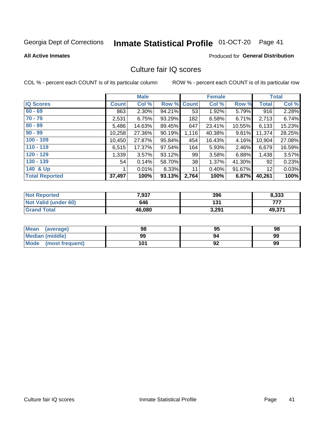# Inmate Statistical Profile 01-OCT-20 Page 41

### **All Active Inmates**

## **Produced for General Distribution**

# Culture fair IQ scores

COL % - percent each COUNT is of its particular column

|                       |              | <b>Male</b> |             |       | <b>Female</b> |        |              | <b>Total</b> |
|-----------------------|--------------|-------------|-------------|-------|---------------|--------|--------------|--------------|
| <b>IQ Scores</b>      | <b>Count</b> | Col %       | Row % Count |       | Col %         | Row %  | <b>Total</b> | Col %        |
| $60 - 69$             | 863          | 2.30%       | 94.21%      | 53    | 1.92%         | 5.79%  | 916          | 2.28%        |
| $70 - 79$             | 2,531        | 6.75%       | 93.29%      | 182   | 6.58%         | 6.71%  | 2,713        | 6.74%        |
| $80 - 89$             | 5,486        | 14.63%      | 89.45%      | 647   | 23.41%        | 10.55% | 6,133        | 15.23%       |
| $90 - 99$             | 10,258       | 27.36%      | 90.19%      | 1,116 | 40.38%        | 9.81%  | 11,374       | 28.25%       |
| $100 - 109$           | 10,450       | 27.87%      | 95.84%      | 454   | 16.43%        | 4.16%  | 10,904       | 27.08%       |
| $110 - 119$           | 6,515        | 17.37%      | 97.54%      | 164   | 5.93%         | 2.46%  | 6,679        | 16.59%       |
| $120 - 129$           | 1,339        | 3.57%       | 93.12%      | 99    | 3.58%         | 6.88%  | 1,438        | 3.57%        |
| $130 - 139$           | 54           | 0.14%       | 58.70%      | 38    | 1.37%         | 41.30% | 92           | 0.23%        |
| 140 & Up              |              | 0.01%       | 8.33%       | 11    | 0.40%         | 91.67% | 12           | 0.03%        |
| <b>Total Reported</b> | 37,497       | 100%        | 93.13%      | 2,764 | 100%          | 6.87%  | 40,261       | 100%         |

| <b>Not Reported</b>         | 7,937  | 396   | 8,333  |
|-----------------------------|--------|-------|--------|
| <b>Not Valid (under 60)</b> | 646    | 131   | フフフ    |
| <b>Grand Total</b>          | 46,080 | 3,291 | 49,371 |

| <b>Mean</b><br>(average) | 98  | 95 | 98 |
|--------------------------|-----|----|----|
| Median (middle)          | 99  | 94 | 99 |
| Mode<br>(most frequent)  | 101 | 92 | 99 |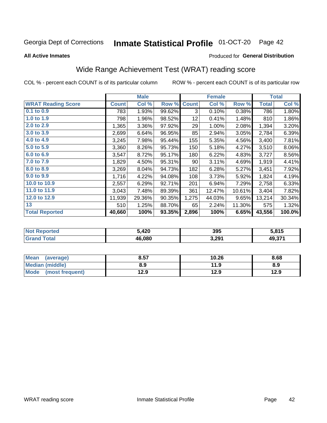#### Inmate Statistical Profile 01-OCT-20 Page 42

**All Active Inmates** 

## Produced for General Distribution

# Wide Range Achievement Test (WRAT) reading score

COL % - percent each COUNT is of its particular column

|                           |              | <b>Male</b> |        |              | <b>Female</b> |        |              | <b>Total</b> |
|---------------------------|--------------|-------------|--------|--------------|---------------|--------|--------------|--------------|
| <b>WRAT Reading Score</b> | <b>Count</b> | Col %       | Row %  | <b>Count</b> | Col %         | Row %  | <b>Total</b> | Col %        |
| 0.1 to 0.9                | 783          | 1.93%       | 99.62% | 3            | 0.10%         | 0.38%  | 786          | 1.80%        |
| 1.0 to 1.9                | 798          | 1.96%       | 98.52% | 12           | 0.41%         | 1.48%  | 810          | 1.86%        |
| 2.0 to 2.9                | 1,365        | 3.36%       | 97.92% | 29           | 1.00%         | 2.08%  | 1,394        | 3.20%        |
| 3.0 to 3.9                | 2,699        | 6.64%       | 96.95% | 85           | 2.94%         | 3.05%  | 2,784        | 6.39%        |
| 4.0 to 4.9                | 3,245        | 7.98%       | 95.44% | 155          | 5.35%         | 4.56%  | 3,400        | 7.81%        |
| 5.0 to 5.9                | 3,360        | 8.26%       | 95.73% | 150          | 5.18%         | 4.27%  | 3,510        | 8.06%        |
| 6.0 to 6.9                | 3,547        | 8.72%       | 95.17% | 180          | 6.22%         | 4.83%  | 3,727        | 8.56%        |
| 7.0 to 7.9                | 1,829        | 4.50%       | 95.31% | 90           | 3.11%         | 4.69%  | 1,919        | 4.41%        |
| 8.0 to 8.9                | 3,269        | 8.04%       | 94.73% | 182          | 6.28%         | 5.27%  | 3,451        | 7.92%        |
| 9.0 to 9.9                | 1,716        | 4.22%       | 94.08% | 108          | 3.73%         | 5.92%  | 1,824        | 4.19%        |
| 10.0 to 10.9              | 2,557        | 6.29%       | 92.71% | 201          | 6.94%         | 7.29%  | 2,758        | 6.33%        |
| 11.0 to 11.9              | 3,043        | 7.48%       | 89.39% | 361          | 12.47%        | 10.61% | 3,404        | 7.82%        |
| 12.0 to 12.9              | 11,939       | 29.36%      | 90.35% | 1,275        | 44.03%        | 9.65%  | 13,214       | 30.34%       |
| 13                        | 510          | 1.25%       | 88.70% | 65           | 2.24%         | 11.30% | 575          | 1.32%        |
| <b>Total Reported</b>     | 40,660       | 100%        | 93.35% | 2,896        | 100%          | 6.65%  | 43,556       | 100.0%       |

| orted<br>N0 | 420,   | 395   | : 915<br>. .     |
|-------------|--------|-------|------------------|
| <b>otal</b> | 46.080 | 3,291 | גדה הו<br>49.37. |

| <b>Mean</b><br>(average) | 8.57 | 10.26 | 8.68 |
|--------------------------|------|-------|------|
| Median (middle)          | 8.9  | 11.9  | 8.9  |
| Mode (most frequent)     | 12.9 | 12.9  | 12.9 |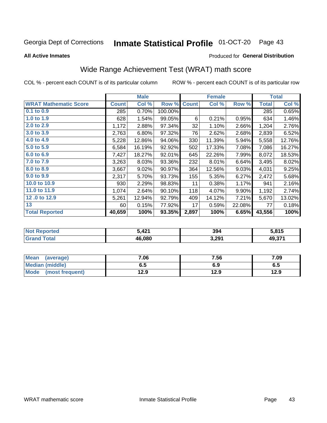#### Inmate Statistical Profile 01-OCT-20 Page 43

**All Active Inmates** 

## Produced for General Distribution

# Wide Range Achievement Test (WRAT) math score

COL % - percent each COUNT is of its particular column

|                              |              | <b>Male</b> |         |              | <b>Female</b> |        |              | <b>Total</b> |
|------------------------------|--------------|-------------|---------|--------------|---------------|--------|--------------|--------------|
| <b>WRAT Mathematic Score</b> | <b>Count</b> | Col %       | Row %   | <b>Count</b> | Col %         | Row %  | <b>Total</b> | Col %        |
| $0.1$ to $0.9$               | 285          | 0.70%       | 100.00% |              |               |        | 285          | 0.65%        |
| 1.0 to 1.9                   | 628          | 1.54%       | 99.05%  | 6            | 0.21%         | 0.95%  | 634          | 1.46%        |
| 2.0 to 2.9                   | 1,172        | 2.88%       | 97.34%  | 32           | 1.10%         | 2.66%  | 1,204        | 2.76%        |
| 3.0 to 3.9                   | 2,763        | 6.80%       | 97.32%  | 76           | 2.62%         | 2.68%  | 2,839        | 6.52%        |
| 4.0 to 4.9                   | 5,228        | 12.86%      | 94.06%  | 330          | 11.39%        | 5.94%  | 5,558        | 12.76%       |
| 5.0 to 5.9                   | 6,584        | 16.19%      | 92.92%  | 502          | 17.33%        | 7.08%  | 7,086        | 16.27%       |
| 6.0 to 6.9                   | 7,427        | 18.27%      | 92.01%  | 645          | 22.26%        | 7.99%  | 8,072        | 18.53%       |
| 7.0 to 7.9                   | 3,263        | 8.03%       | 93.36%  | 232          | 8.01%         | 6.64%  | 3,495        | 8.02%        |
| 8.0 to 8.9                   | 3,667        | 9.02%       | 90.97%  | 364          | 12.56%        | 9.03%  | 4,031        | 9.25%        |
| 9.0 to 9.9                   | 2,317        | 5.70%       | 93.73%  | 155          | 5.35%         | 6.27%  | 2,472        | 5.68%        |
| 10.0 to 10.9                 | 930          | 2.29%       | 98.83%  | 11           | 0.38%         | 1.17%  | 941          | 2.16%        |
| 11.0 to 11.9                 | 1,074        | 2.64%       | 90.10%  | 118          | 4.07%         | 9.90%  | 1,192        | 2.74%        |
| 12.0 to 12.9                 | 5,261        | 12.94%      | 92.79%  | 409          | 14.12%        | 7.21%  | 5,670        | 13.02%       |
| 13                           | 60           | 0.15%       | 77.92%  | 17           | 0.59%         | 22.08% | 77           | 0.18%        |
| <b>Total Reported</b>        | 40,659       | 100%        | 93.35%  | 2,897        | 100%          | 6.65%  | 43,556       | 100%         |

| Teu.<br>NO | : 421<br>74 L | 394   | 815    |
|------------|---------------|-------|--------|
| $\sim$ 10  | 46.080        | 3,291 | 49,371 |

| Mean<br>(average)              | 7.06 | 7.56 | 7.09 |
|--------------------------------|------|------|------|
| Median (middle)                | ხ. J | 6.9  | ხ.ე  |
| <b>Mode</b><br>(most frequent) | 12.9 | 12.9 | 12.9 |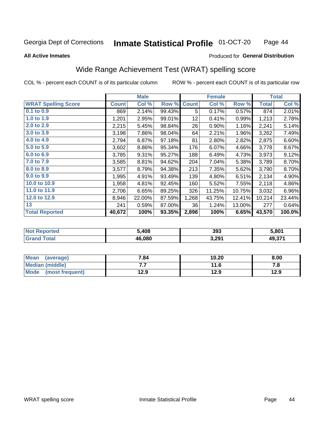#### **Inmate Statistical Profile 01-OCT-20** Page 44

### **All Active Inmates**

## Produced for General Distribution

# Wide Range Achievement Test (WRAT) spelling score

COL % - percent each COUNT is of its particular column

|                            |              | <b>Male</b> |        |              | <b>Female</b> |        |              | <b>Total</b> |
|----------------------------|--------------|-------------|--------|--------------|---------------|--------|--------------|--------------|
| <b>WRAT Spelling Score</b> | <b>Count</b> | Col %       | Row %  | <b>Count</b> | Col %         | Row %  | <b>Total</b> | Col %        |
| 0.1 to 0.9                 | 869          | 2.14%       | 99.43% | 5            | 0.17%         | 0.57%  | 874          | 2.01%        |
| 1.0 to 1.9                 | 1,201        | 2.95%       | 99.01% | 12           | 0.41%         | 0.99%  | 1,213        | 2.78%        |
| 2.0 to 2.9                 | 2,215        | 5.45%       | 98.84% | 26           | 0.90%         | 1.16%  | 2,241        | 5.14%        |
| 3.0 to 3.9                 | 3,198        | 7.86%       | 98.04% | 64           | 2.21%         | 1.96%  | 3,262        | 7.49%        |
| 4.0 to 4.9                 | 2,794        | 6.87%       | 97.18% | 81           | 2.80%         | 2.82%  | 2,875        | 6.60%        |
| 5.0 to 5.9                 | 3,602        | 8.86%       | 95.34% | 176          | 6.07%         | 4.66%  | 3,778        | 8.67%        |
| 6.0 to 6.9                 | 3,785        | 9.31%       | 95.27% | 188          | 6.49%         | 4.73%  | 3,973        | 9.12%        |
| 7.0 to 7.9                 | 3,585        | 8.81%       | 94.62% | 204          | 7.04%         | 5.38%  | 3,789        | 8.70%        |
| 8.0 to 8.9                 | 3,577        | 8.79%       | 94.38% | 213          | 7.35%         | 5.62%  | 3,790        | 8.70%        |
| 9.0 to 9.9                 | 1,995        | 4.91%       | 93.49% | 139          | 4.80%         | 6.51%  | 2,134        | 4.90%        |
| 10.0 to 10.9               | 1,958        | 4.81%       | 92.45% | 160          | 5.52%         | 7.55%  | 2,118        | 4.86%        |
| 11.0 to 11.9               | 2,706        | 6.65%       | 89.25% | 326          | 11.25%        | 10.75% | 3,032        | 6.96%        |
| 12.0 to 12.9               | 8,946        | 22.00%      | 87.59% | 1,268        | 43.75%        | 12.41% | 10,214       | 23.44%       |
| 13                         | 241          | 0.59%       | 87.00% | 36           | 1.24%         | 13.00% | 277          | 0.64%        |
| <b>Total Reported</b>      | 40,672       | 100%        | 93.35% | 2,898        | 100%          | 6.65%  | 43,570       | 100.0%       |

| <b>rteg</b><br>NO | 5,408  | 393   | 5,801  |
|-------------------|--------|-------|--------|
| int               | 46.080 | 3,291 | 49,371 |

| <b>Mean</b><br>(average) | 7.84 | 10.20 | 8.00 |
|--------------------------|------|-------|------|
| <b>Median (middle)</b>   | . .  | 11.6  | ه. ، |
| Mode<br>(most frequent)  | 12.9 | 12.9  | 12.9 |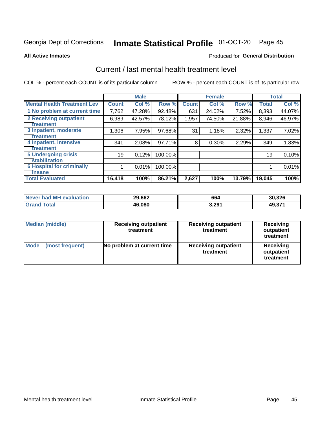# Inmate Statistical Profile 01-OCT-20 Page 45

### **All Active Inmates**

## Produced for General Distribution

# Current / last mental health treatment level

COL % - percent each COUNT is of its particular column

|                                    |              | <b>Male</b> |         |              | <b>Female</b> |        |              | <b>Total</b> |
|------------------------------------|--------------|-------------|---------|--------------|---------------|--------|--------------|--------------|
| <b>Mental Health Treatment Lev</b> | <b>Count</b> | Col %       | Row %   | <b>Count</b> | Col %         | Row %  | <b>Total</b> | Col %        |
| 1 No problem at current time       | 7,762        | 47.28%      | 92.48%  | 631          | 24.02%        | 7.52%  | 8,393        | 44.07%       |
| 2 Receiving outpatient             | 6,989        | 42.57%      | 78.12%  | 1,957        | 74.50%        | 21.88% | 8,946        | 46.97%       |
| <b>Treatment</b>                   |              |             |         |              |               |        |              |              |
| 3 Inpatient, moderate              | 1,306        | 7.95%       | 97.68%  | 31           | 1.18%         | 2.32%  | 1,337        | 7.02%        |
| Treatment                          |              |             |         |              |               |        |              |              |
| 4 Inpatient, intensive             | 341          | 2.08%       | 97.71%  | 8            | 0.30%         | 2.29%  | 349          | 1.83%        |
| <b>Treatment</b>                   |              |             |         |              |               |        |              |              |
| <b>5 Undergoing crisis</b>         | 19           | 0.12%       | 100.00% |              |               |        | 19           | 0.10%        |
| <b>Stabilization</b>               |              |             |         |              |               |        |              |              |
| <b>6 Hospital for criminally</b>   |              | 0.01%       | 100.00% |              |               |        |              | 0.01%        |
| <b>Tinsane</b>                     |              |             |         |              |               |        |              |              |
| <b>Total Evaluated</b>             | 16,418       | 100%        | 86.21%  | 2,627        | 100%          | 13.79% | 19,045       | 100%         |

| Never had MH evaluation | 29,662 | 664   | 30,326 |
|-------------------------|--------|-------|--------|
| <b>Grand Total</b>      | 46,080 | 3,291 | 49,371 |

| <b>Median (middle)</b>         | <b>Receiving outpatient</b><br>treatment | <b>Receiving outpatient</b><br>treatment | <b>Receiving</b><br>outpatient<br>treatment |  |
|--------------------------------|------------------------------------------|------------------------------------------|---------------------------------------------|--|
| <b>Mode</b><br>(most frequent) | No problem at current time               | <b>Receiving outpatient</b><br>treatment | Receiving<br>outpatient<br>treatment        |  |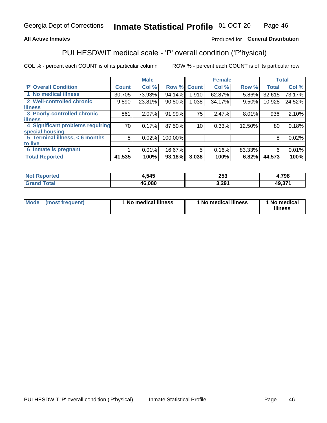## **All Active Inmates**

# Produced for General Distribution

# PULHESDWIT medical scale - 'P' overall condition ('P'hysical)

COL % - percent each COUNT is of its particular column

|                                  |              | <b>Male</b> |         |              | <b>Female</b> |        |              | <b>Total</b> |
|----------------------------------|--------------|-------------|---------|--------------|---------------|--------|--------------|--------------|
| 'P' Overall Condition            | <b>Count</b> | Col %       | Row %   | <b>Count</b> | Col %         | Row %  | <b>Total</b> | Col %        |
| 1 No medical illness             | 30,705       | 73.93%      | 94.14%  | 1,910        | 62.87%        | 5.86%  | 32,615       | 73.17%       |
| 2 Well-controlled chronic        | 9,890        | 23.81%      | 90.50%  | 1,038        | 34.17%        | 9.50%  | 10,928       | 24.52%       |
| <b>illness</b>                   |              |             |         |              |               |        |              |              |
| 3 Poorly-controlled chronic      | 861          | $2.07\%$    | 91.99%  | 75           | 2.47%         | 8.01%  | 936          | 2.10%        |
| <b>illness</b>                   |              |             |         |              |               |        |              |              |
| 4 Significant problems requiring | 70           | 0.17%       | 87.50%  | 10           | 0.33%         | 12.50% | 80           | 0.18%        |
| special housing                  |              |             |         |              |               |        |              |              |
| 5 Terminal illness, < 6 months   | 8            | 0.02%       | 100.00% |              |               |        | 8            | 0.02%        |
| to live                          |              |             |         |              |               |        |              |              |
| 6 Inmate is pregnant             |              | 0.01%       | 16.67%  | 5            | 0.16%         | 83.33% | 6            | 0.01%        |
| <b>Total Reported</b>            | 41,535       | 100%        | 93.18%  | 3,038        | 100%          | 6.82%  | 44,573       | 100%         |

| тес | ,545           | <b>OF 2</b><br>ZJJ   | .798   |
|-----|----------------|----------------------|--------|
|     | <u> ነድ በՋቦ</u> | 3.291<br>, <i>lj</i> | 49.37' |

| Mode | (most frequent) | 1 No medical illness | 1 No medical illness | 1 No medical<br>illness |
|------|-----------------|----------------------|----------------------|-------------------------|
|------|-----------------|----------------------|----------------------|-------------------------|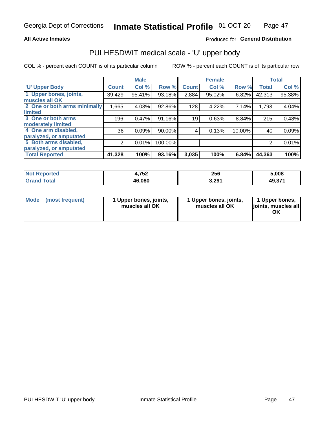## **All Active Inmates**

# Produced for General Distribution

# PULHESDWIT medical scale - 'U' upper body

COL % - percent each COUNT is of its particular column

|                              |              | <b>Male</b> |         |              | <b>Female</b> |        |              | <b>Total</b> |
|------------------------------|--------------|-------------|---------|--------------|---------------|--------|--------------|--------------|
| <b>U' Upper Body</b>         | <b>Count</b> | Col %       | Row %   | <b>Count</b> | Col %         | Row %  | <b>Total</b> | Col %        |
| 1 Upper bones, joints,       | 39,429       | 95.41%      | 93.18%  | 2,884        | 95.02%        | 6.82%  | 42,313       | 95.38%       |
| muscles all OK               |              |             |         |              |               |        |              |              |
| 2 One or both arms minimally | 1,665        | 4.03%       | 92.86%  | 128          | 4.22%         | 7.14%  | 1,793        | 4.04%        |
| limited                      |              |             |         |              |               |        |              |              |
| 3 One or both arms           | 196          | 0.47%       | 91.16%  | 19           | 0.63%         | 8.84%  | 215          | 0.48%        |
| <b>moderately limited</b>    |              |             |         |              |               |        |              |              |
| 4 One arm disabled,          | 36           | 0.09%       | 90.00%  | 4            | 0.13%         | 10.00% | 40           | 0.09%        |
| paralyzed, or amputated      |              |             |         |              |               |        |              |              |
| 5 Both arms disabled,        | 2            | 0.01%       | 100.00% |              |               |        | 2            | 0.01%        |
| paralyzed, or amputated      |              |             |         |              |               |        |              |              |
| <b>Total Reported</b>        | 41,328       | 100%        | 93.16%  | 3,035        | 100%          | 6.84%  | 44,363       | 100%         |

| <b>Not Reported</b>   | 4,752  | 256   | 5,008  |
|-----------------------|--------|-------|--------|
| <b>Total</b><br>Grand | 46,080 | 3,291 | 49,371 |

| Mode | (most frequent) | 1 Upper bones, joints,<br>muscles all OK | 1 Upper bones, joints,<br>muscles all OK | 1 Upper bones,<br>joints, muscles all<br>ΟK |
|------|-----------------|------------------------------------------|------------------------------------------|---------------------------------------------|
|------|-----------------|------------------------------------------|------------------------------------------|---------------------------------------------|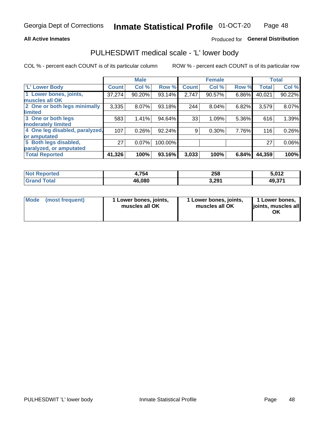## **All Active Inmates**

# Produced for General Distribution

# PULHESDWIT medical scale - 'L' lower body

COL % - percent each COUNT is of its particular column

|                                |                 | <b>Male</b> |         |              | <b>Female</b> |       |              | <b>Total</b> |
|--------------------------------|-----------------|-------------|---------|--------------|---------------|-------|--------------|--------------|
| 'L' Lower Body                 | <b>Count</b>    | Col %       | Row %   | <b>Count</b> | Col %         | Row % | <b>Total</b> | Col %        |
| 1 Lower bones, joints,         | 37,274          | 90.20%      | 93.14%  | 2,747        | 90.57%        | 6.86% | 40,021       | 90.22%       |
| muscles all OK                 |                 |             |         |              |               |       |              |              |
| 2 One or both legs minimally   | 3,335           | 8.07%       | 93.18%  | 244          | 8.04%         | 6.82% | 3,579        | 8.07%        |
| limited                        |                 |             |         |              |               |       |              |              |
| 3 One or both legs             | 583             | 1.41%       | 94.64%  | 33           | 1.09%         | 5.36% | 616          | 1.39%        |
| moderately limited             |                 |             |         |              |               |       |              |              |
| 4 One leg disabled, paralyzed, | 107             | 0.26%       | 92.24%  | 9            | 0.30%         | 7.76% | 116          | 0.26%        |
| or amputated                   |                 |             |         |              |               |       |              |              |
| 5 Both legs disabled,          | 27 <sup>1</sup> | 0.07%       | 100.00% |              |               |       | 27           | $0.06\%$     |
| paralyzed, or amputated        |                 |             |         |              |               |       |              |              |
| <b>Total Reported</b>          | 41,326          | 100%        | 93.16%  | 3,033        | 100%          | 6.84% | 44,359       | 100%         |

| <b>Not Reported</b>   | 4,754  | 258   | 5,012  |
|-----------------------|--------|-------|--------|
| <b>Total</b><br>Grand | 46,080 | 3,291 | 49,371 |

| Mode | (most frequent) | 1 Lower bones, joints,<br>muscles all OK | I Lower bones, joints,<br>muscles all OK | 1 Lower bones,<br>joints, muscles all<br>ΟK |
|------|-----------------|------------------------------------------|------------------------------------------|---------------------------------------------|
|------|-----------------|------------------------------------------|------------------------------------------|---------------------------------------------|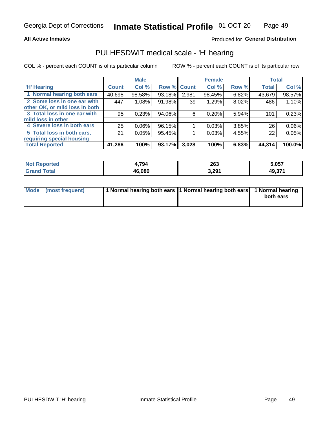## **All Active Inmates**

## Produced for General Distribution

# PULHESDWIT medical scale - 'H' hearing

COL % - percent each COUNT is of its particular column

|                                |              | <b>Male</b> |             |       | <b>Female</b> |       | <b>Total</b> |        |
|--------------------------------|--------------|-------------|-------------|-------|---------------|-------|--------------|--------|
| <b>'H' Hearing</b>             | <b>Count</b> | Col %       | Row % Count |       | Col %         | Row % | <b>Total</b> | Col %  |
| 1 Normal hearing both ears     | 40,698       | 98.58%      | 93.18%      | 2,981 | 98.45%        | 6.82% | 43,679       | 98.57% |
| 2 Some loss in one ear with    | 447          | 1.08%       | 91.98%      | 39    | 1.29%         | 8.02% | 486          | 1.10%  |
| other OK, or mild loss in both |              |             |             |       |               |       |              |        |
| 3 Total loss in one ear with   | 95           | 0.23%       | 94.06%      | 6     | 0.20%         | 5.94% | 101          | 0.23%  |
| mild loss in other             |              |             |             |       |               |       |              |        |
| 4 Severe loss in both ears     | 25           | $0.06\%$    | 96.15%      |       | 0.03%         | 3.85% | 26           | 0.06%  |
| 5 Total loss in both ears,     | 21           | 0.05%       | 95.45%      |       | 0.03%         | 4.55% | 22           | 0.05%  |
| requiring special housing      |              |             |             |       |               |       |              |        |
| <b>Total Reported</b>          | 41,286       | 100%        | 93.17%      | 3,028 | 100%          | 6.83% | 44,314       | 100.0% |

| <b>Not Renc</b><br>≅norted i | 794    | 200<br>∠໐ວ | 5.057        |
|------------------------------|--------|------------|--------------|
| Total                        | 46.080 | 3,291      | 074<br>49,37 |

| Mode (most frequent) | 1 Normal hearing both ears 1 Normal hearing both ears 1 Normal hearing | both ears |
|----------------------|------------------------------------------------------------------------|-----------|
|                      |                                                                        |           |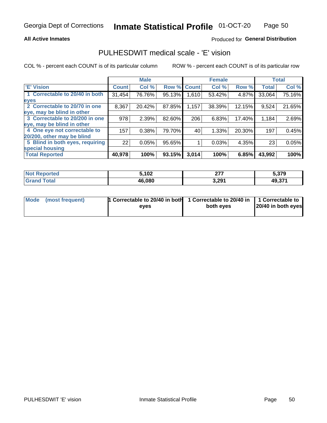## **All Active Inmates**

# Produced for General Distribution

# PULHESDWIT medical scale - 'E' vision

COL % - percent each COUNT is of its particular column

|                                 |              | <b>Male</b> |        |              | <b>Female</b> |        |              | <b>Total</b> |
|---------------------------------|--------------|-------------|--------|--------------|---------------|--------|--------------|--------------|
| 'E' Vision                      | <b>Count</b> | Col %       | Row %  | <b>Count</b> | Col %         | Row %  | <b>Total</b> | Col %        |
| 1 Correctable to 20/40 in both  | 31,454       | 76.76%      | 95.13% | 1,610        | 53.42%        | 4.87%  | 33,064       | 75.16%       |
| eyes                            |              |             |        |              |               |        |              |              |
| 2 Correctable to 20/70 in one   | 8,367        | 20.42%      | 87.85% | 1,157        | 38.39%        | 12.15% | 9,524        | 21.65%       |
| eye, may be blind in other      |              |             |        |              |               |        |              |              |
| 3 Correctable to 20/200 in one  | 978          | 2.39%       | 82.60% | 206          | 6.83%         | 17.40% | 1,184        | 2.69%        |
| eye, may be blind in other      |              |             |        |              |               |        |              |              |
| 4 One eye not correctable to    | 157          | 0.38%       | 79.70% | 40           | 1.33%         | 20.30% | 197          | 0.45%        |
| 20/200, other may be blind      |              |             |        |              |               |        |              |              |
| 5 Blind in both eyes, requiring | 22           | 0.05%       | 95.65% |              | 0.03%         | 4.35%  | 23           | 0.05%        |
| special housing                 |              |             |        |              |               |        |              |              |
| <b>Total Reported</b>           | 40,978       | 100%        | 93.15% | 3,014        | 100%          | 6.85%  | 43,992       | 100%         |

| <b>Not Reported</b>   | 5,102  | ^77<br>. | 5,379  |
|-----------------------|--------|----------|--------|
| <b>Total</b><br>Grand | 46,080 | 3,291    | 49,371 |

| Mode (most frequent) | 1 Correctable to 20/40 in both<br>eves | 1 Correctable to 20/40 in   1 Correctable to  <br>both eves | 20/40 in both eyes |
|----------------------|----------------------------------------|-------------------------------------------------------------|--------------------|
|                      |                                        |                                                             |                    |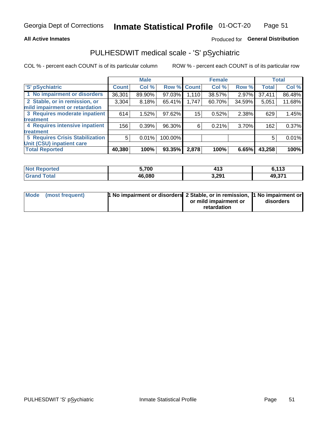## **All Active Inmates**

# Produced for General Distribution

# PULHESDWIT medical scale - 'S' pSychiatric

COL % - percent each COUNT is of its particular column

|                                        |              | <b>Male</b> |         |              | <b>Female</b> |          |              | <b>Total</b> |
|----------------------------------------|--------------|-------------|---------|--------------|---------------|----------|--------------|--------------|
| 'S' pSychiatric                        | <b>Count</b> | Col %       | Row %   | <b>Count</b> | Col %         | Row %    | <b>Total</b> | Col %        |
| 1 No impairment or disorders           | 36,301       | 89.90%      | 97.03%  | 1,110        | 38.57%        | $2.97\%$ | 37,411       | 86.48%       |
| 2 Stable, or in remission, or          | 3,304        | 8.18%       | 65.41%  | 1,747        | 60.70%        | 34.59%   | 5,051        | 11.68%       |
| mild impairment or retardation         |              |             |         |              |               |          |              |              |
| 3 Requires moderate inpatient          | 614          | 1.52%       | 97.62%  | 15           | 0.52%         | 2.38%    | 629          | 1.45%        |
| treatment                              |              |             |         |              |               |          |              |              |
| 4 Requires intensive inpatient         | 156          | 0.39%       | 96.30%  | 6            | 0.21%         | 3.70%    | 162          | 0.37%        |
| treatment                              |              |             |         |              |               |          |              |              |
| <b>5 Requires Crisis Stabilization</b> | 5            | 0.01%       | 100.00% |              |               |          | 5            | 0.01%        |
| Unit (CSU) inpatient care              |              |             |         |              |               |          |              |              |
| <b>Total Reported</b>                  | 40,380       | 100%        | 93.35%  | 2,878        | 100%          | 6.65%    | 43,258       | 100%         |

| <b>Not Reported</b>          | 5,700  | $\overline{112}$<br>7 I J | 6,113  |
|------------------------------|--------|---------------------------|--------|
| <b>Total</b><br><b>Grand</b> | 46,080 | 3,291                     | 49,371 |

| Mode (most frequent) | <b>1 No impairment or disorders 2 Stable, or in remission, 1 No impairment or</b> |                       |           |
|----------------------|-----------------------------------------------------------------------------------|-----------------------|-----------|
|                      |                                                                                   | or mild impairment or | disorders |
|                      |                                                                                   | retardation           |           |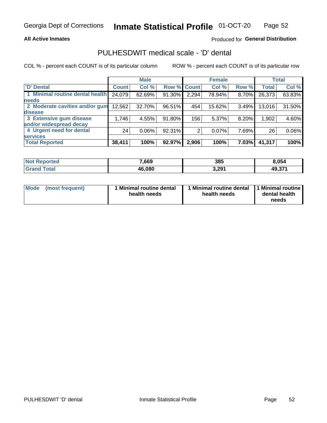## **All Active Inmates**

# Produced for General Distribution

# PULHESDWIT medical scale - 'D' dental

COL % - percent each COUNT is of its particular column

|                                 |              | <b>Male</b> |        |              | <b>Female</b> |       |              | <b>Total</b> |
|---------------------------------|--------------|-------------|--------|--------------|---------------|-------|--------------|--------------|
| <b>D'</b> Dental                | <b>Count</b> | Col %       | Row %  | <b>Count</b> | Col %         | Row % | <b>Total</b> | Col %        |
| 1 Minimal routine dental health | 24,079       | 62.69%      | 91.30% | 2,294        | 78.94%        | 8.70% | 26,373       | 63.83%       |
| <b>needs</b>                    |              |             |        |              |               |       |              |              |
| 2 Moderate cavities and/or gum  | 12,562       | 32.70%      | 96.51% | 454          | 15.62%        | 3.49% | 13,016       | 31.50%       |
| disease                         |              |             |        |              |               |       |              |              |
| 3 Extensive gum disease         | 1,746        | 4.55%       | 91.80% | 156          | 5.37%         | 8.20% | 1,902        | 4.60%        |
| and/or widespread decay         |              |             |        |              |               |       |              |              |
| 4 Urgent need for dental        | 24           | $0.06\%$    | 92.31% | 2            | 0.07%         | 7.69% | 26           | 0.06%        |
| <b>services</b>                 |              |             |        |              |               |       |              |              |
| <b>Total Reported</b>           | 38,411       | 100%        | 92.97% | 2,906        | 100%          | 7.03% | 41,317       | 100%         |

| <b>Not Reported</b> | 7,669  | 385   | 8,054  |
|---------------------|--------|-------|--------|
| Total               | 46,080 | 3,291 | 49,371 |

| <b>Mode</b> | (most frequent) | <b>Minimal routine dental</b><br>health needs | 1 Minimal routine dental   1 Minimal routine  <br>health needs | dental health<br>needs |
|-------------|-----------------|-----------------------------------------------|----------------------------------------------------------------|------------------------|
|-------------|-----------------|-----------------------------------------------|----------------------------------------------------------------|------------------------|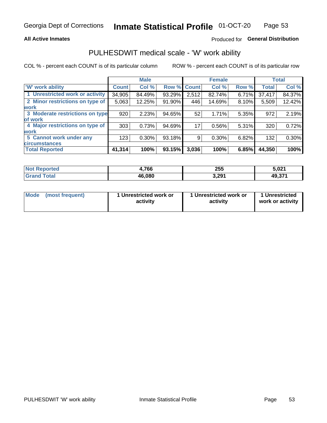## **All Active Inmates**

# Produced for General Distribution

# PULHESDWIT medical scale - 'W' work ability

COL % - percent each COUNT is of its particular column

|                                 |                    | <b>Male</b> |        |             | <b>Female</b> |       |              | <b>Total</b> |
|---------------------------------|--------------------|-------------|--------|-------------|---------------|-------|--------------|--------------|
| 'W' work ability                | Count <sup>'</sup> | Col %       |        | Row % Count | Col %         | Row % | <b>Total</b> | Col %        |
| 1 Unrestricted work or activity | 34,905             | 84.49%      | 93.29% | 2,512       | 82.74%        | 6.71% | 37,417       | 84.37%       |
| 2 Minor restrictions on type of | 5,063              | 12.25%      | 91.90% | 446         | 14.69%        | 8.10% | 5,509        | 12.42%       |
| <b>work</b>                     |                    |             |        |             |               |       |              |              |
| 3 Moderate restrictions on type | 920                | 2.23%       | 94.65% | 52          | 1.71%         | 5.35% | 972          | 2.19%        |
| of work                         |                    |             |        |             |               |       |              |              |
| 4 Major restrictions on type of | 303                | 0.73%       | 94.69% | 17          | 0.56%         | 5.31% | 320          | 0.72%        |
| <b>work</b>                     |                    |             |        |             |               |       |              |              |
| 5 Cannot work under any         | 123                | $0.30\%$    | 93.18% | 9           | 0.30%         | 6.82% | 132          | 0.30%        |
| <b>circumstances</b>            |                    |             |        |             |               |       |              |              |
| <b>Total Reported</b>           | 41,314             | 100%        | 93.15% | 3,036       | 100%          | 6.85% | 44,350       | 100%         |

| Not I<br><b>Emorted</b> | ,766   | 255   | 5,021  |
|-------------------------|--------|-------|--------|
| <b>Total</b>            | 46,080 | 3,291 | 49,371 |

| Mode            | 1 Unrestricted work or | 1 Unrestricted work or | 1 Unrestricted   |
|-----------------|------------------------|------------------------|------------------|
| (most frequent) | activity               | activity               | work or activity |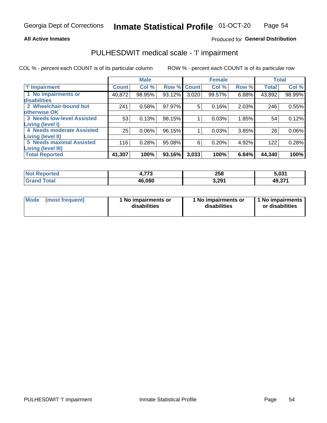## **All Active Inmates**

# Produced for General Distribution

# PULHESDWIT medical scale - 'I' impairment

COL % - percent each COUNT is of its particular column

|                                   |              | <b>Male</b> |        |             | <b>Female</b> |       |              | <b>Total</b> |
|-----------------------------------|--------------|-------------|--------|-------------|---------------|-------|--------------|--------------|
| <b>T' Impairment</b>              | <b>Count</b> | Col %       |        | Row % Count | Col %         | Row % | <b>Total</b> | Col %        |
| 1 No impairments or               | 40,872       | 98.95%      | 93.12% | 3,020       | 99.57%        | 6.88% | 43,892       | 98.99%       |
| disabilities                      |              |             |        |             |               |       |              |              |
| 2 Wheelchair-bound but            | 241          | 0.58%       | 97.97% | 5           | 0.16%         | 2.03% | 246          | 0.55%        |
| otherwise OK                      |              |             |        |             |               |       |              |              |
| <b>3 Needs low-level Assisted</b> | 53           | 0.13%       | 98.15% |             | 0.03%         | 1.85% | 54           | 0.12%        |
| Living (level I)                  |              |             |        |             |               |       |              |              |
| 4 Needs moderate Assisted         | 25           | 0.06%       | 96.15% |             | 0.03%         | 3.85% | 26           | $0.06\%$     |
| <b>Living (level II)</b>          |              |             |        |             |               |       |              |              |
| <b>5 Needs maximal Assisted</b>   | 116          | 0.28%       | 95.08% | 6           | 0.20%         | 4.92% | 122          | 0.28%        |
| Living (level III)                |              |             |        |             |               |       |              |              |
| <b>Total Reported</b>             | 41,307       | 100%        | 93.16% | 3,033       | 100%          | 6.84% | 44,340       | 100%         |

| <b>Not</b><br>Reported | ララウ    | 258   | 5,031  |
|------------------------|--------|-------|--------|
| <b>Total</b>           | 46,080 | 3,291 | 49,371 |

| <b>Mode</b> | (most frequent) | <b>No impairments or</b><br>disabilities | 1 No impairments or<br>disabilities | 1 No impairments<br>or disabilities |
|-------------|-----------------|------------------------------------------|-------------------------------------|-------------------------------------|
|-------------|-----------------|------------------------------------------|-------------------------------------|-------------------------------------|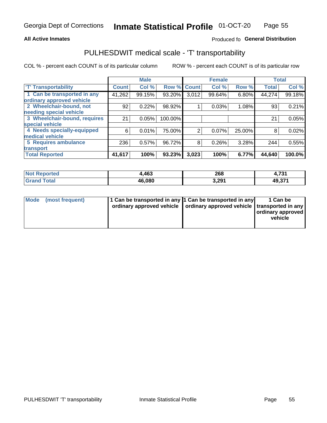## **All Active Inmates**

# Produced fo General Distribution

# PULHESDWIT medical scale - 'T' transportability

COL % - percent each COUNT is of its particular column

|                              |              | <b>Male</b> |         |              | <b>Female</b> |          |              | <b>Total</b> |
|------------------------------|--------------|-------------|---------|--------------|---------------|----------|--------------|--------------|
| <b>T' Transportability</b>   | <b>Count</b> | Col %       | Row %   | <b>Count</b> | Col %         | Row %    | <b>Total</b> | Col %        |
| 1 Can be transported in any  | 41,262       | 99.15%      | 93.20%  | 3,012        | 99.64%        | 6.80%    | 44,274       | 99.18%       |
| ordinary approved vehicle    |              |             |         |              |               |          |              |              |
| 2 Wheelchair-bound, not      | 92           | 0.22%       | 98.92%  |              | 0.03%         | 1.08%    | 93           | 0.21%        |
| needing special vehicle      |              |             |         |              |               |          |              |              |
| 3 Wheelchair-bound, requires | 21           | 0.05%       | 100.00% |              |               |          | 21           | 0.05%        |
| special vehicle              |              |             |         |              |               |          |              |              |
| 4 Needs specially-equipped   | 6            | 0.01%       | 75.00%  | 2            | 0.07%         | 25.00%   | 8            | 0.02%        |
| medical vehicle              |              |             |         |              |               |          |              |              |
| <b>5 Requires ambulance</b>  | 236          | 0.57%       | 96.72%  | 8            | 0.26%         | $3.28\%$ | 244          | 0.55%        |
| transport                    |              |             |         |              |               |          |              |              |
| <b>Total Reported</b>        | 41,617       | 100%        | 93.23%  | 3,023        | 100%          | 6.77%    | 44,640       | 100.0%       |

| <b>Not</b><br>Reported | ,463   | 268   | 724<br>"<br>4,7JT |
|------------------------|--------|-------|-------------------|
| <b>Total</b>           | 46,080 | 3,291 | 49,371            |

|  | Mode (most frequent) | 1 Can be transported in any 1 Can be transported in any<br>ordinary approved vehicle   ordinary approved vehicle   transported in any |  | 1 Can be<br>  ordinary approved  <br>vehicle |
|--|----------------------|---------------------------------------------------------------------------------------------------------------------------------------|--|----------------------------------------------|
|--|----------------------|---------------------------------------------------------------------------------------------------------------------------------------|--|----------------------------------------------|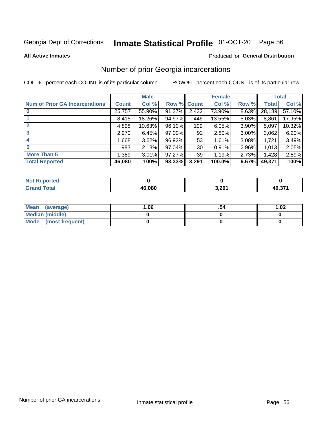#### Inmate Statistical Profile 01-OCT-20 Page 56

**All Active Inmates** 

## Produced for General Distribution

# Number of prior Georgia incarcerations

COL % - percent each COUNT is of its particular column

|                                       |              | <b>Male</b> |             |                 | <b>Female</b> |          |        | <b>Total</b> |
|---------------------------------------|--------------|-------------|-------------|-----------------|---------------|----------|--------|--------------|
| <b>Num of Prior GA Incarcerations</b> | <b>Count</b> | Col %       | Row % Count |                 | Col %         | Row %    | Total  | Col %        |
| $\bf{0}$                              | 25,757       | 55.90%      | 91.37%      | 2,432           | 73.90%        | 8.63%    | 28,189 | 57.10%       |
|                                       | 8,415        | 18.26%      | 94.97%      | 446             | 13.55%        | 5.03%    | 8,861  | 17.95%       |
| $\mathbf 2$                           | 4,898        | 10.63%      | $96.10\%$   | 199             | 6.05%         | 3.90%    | 5,097  | 10.32%       |
| 3                                     | 2,970        | 6.45%       | 97.00%      | 92              | 2.80%         | $3.00\%$ | 3,062  | 6.20%        |
| $\boldsymbol{4}$                      | 668. ا       | 3.62%       | 96.92%      | 53              | 1.61%         | 3.08%    | 1,721  | 3.49%        |
| 5                                     | 983          | 2.13%       | $97.04\%$   | 30 <sup>2</sup> | 0.91%         | 2.96%    | 1,013  | 2.05%        |
| <b>More Than 5</b>                    | 1,389        | 3.01%       | $97.27\%$   | 39 <sub>1</sub> | 1.19%         | 2.73%    | 1,428  | 2.89%        |
| <b>Total Reported</b>                 | 46,080       | 100%        | $93.33\%$   | 3,291           | 100.0%        | 6.67%    | 49,371 | 100%         |

| enorted<br>NO |        |       |        |
|---------------|--------|-------|--------|
| .otal<br>Gr   | 46.080 | 3,291 | 49.371 |

| Mean (average)       | .06 | 1.02 |
|----------------------|-----|------|
| Median (middle)      |     |      |
| Mode (most frequent) |     |      |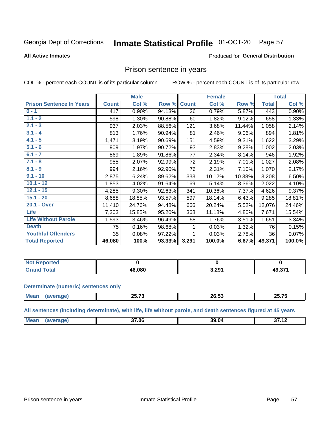#### Inmate Statistical Profile 01-OCT-20 Page 57

### **All Active Inmates**

## Produced for General Distribution

# Prison sentence in years

COL % - percent each COUNT is of its particular column

ROW % - percent each COUNT is of its particular row

|                                 |              | <b>Male</b> |        |              | <b>Female</b> |        |              | <b>Total</b> |
|---------------------------------|--------------|-------------|--------|--------------|---------------|--------|--------------|--------------|
| <b>Prison Sentence In Years</b> | <b>Count</b> | Col %       | Row %  | <b>Count</b> | Col %         | Row %  | <b>Total</b> | Col %        |
| $0 - 1$                         | 417          | 0.90%       | 94.13% | 26           | 0.79%         | 5.87%  | 443          | 0.90%        |
| $1.1 - 2$                       | 598          | 1.30%       | 90.88% | 60           | 1.82%         | 9.12%  | 658          | 1.33%        |
| $2.1 - 3$                       | 937          | 2.03%       | 88.56% | 121          | 3.68%         | 11.44% | 1,058        | 2.14%        |
| $3.1 - 4$                       | 813          | 1.76%       | 90.94% | 81           | 2.46%         | 9.06%  | 894          | 1.81%        |
| $4.1 - 5$                       | 1,471        | 3.19%       | 90.69% | 151          | 4.59%         | 9.31%  | 1,622        | 3.29%        |
| $5.1 - 6$                       | 909          | 1.97%       | 90.72% | 93           | 2.83%         | 9.28%  | 1,002        | 2.03%        |
| $6.1 - 7$                       | 869          | 1.89%       | 91.86% | 77           | 2.34%         | 8.14%  | 946          | 1.92%        |
| $7.1 - 8$                       | 955          | 2.07%       | 92.99% | 72           | 2.19%         | 7.01%  | 1,027        | 2.08%        |
| $8.1 - 9$                       | 994          | 2.16%       | 92.90% | 76           | 2.31%         | 7.10%  | 1,070        | 2.17%        |
| $9.1 - 10$                      | 2,875        | 6.24%       | 89.62% | 333          | 10.12%        | 10.38% | 3,208        | 6.50%        |
| $10.1 - 12$                     | 1,853        | 4.02%       | 91.64% | 169          | 5.14%         | 8.36%  | 2,022        | 4.10%        |
| $12.1 - 15$                     | 4,285        | 9.30%       | 92.63% | 341          | 10.36%        | 7.37%  | 4,626        | 9.37%        |
| $15.1 - 20$                     | 8,688        | 18.85%      | 93.57% | 597          | 18.14%        | 6.43%  | 9,285        | 18.81%       |
| 20.1 - Over                     | 11,410       | 24.76%      | 94.48% | 666          | 20.24%        | 5.52%  | 12,076       | 24.46%       |
| <b>Life</b>                     | 7,303        | 15.85%      | 95.20% | 368          | 11.18%        | 4.80%  | 7,671        | 15.54%       |
| <b>Life Without Parole</b>      | 1,593        | 3.46%       | 96.49% | 58           | 1.76%         | 3.51%  | 1,651        | 3.34%        |
| <b>Death</b>                    | 75           | 0.16%       | 98.68% |              | 0.03%         | 1.32%  | 76           | 0.15%        |
| <b>Youthful Offenders</b>       | 35           | 0.08%       | 97.22% |              | 0.03%         | 2.78%  | 36           | 0.07%        |
| <b>Total Reported</b>           | 46,080       | 100%        | 93.33% | 3,291        | 100.0%        | 6.67%  | 49,371       | 100.0%       |

| <b>Reported</b><br>I NOT F |        |                   |        |
|----------------------------|--------|-------------------|--------|
| $n+n$                      | 46.080 | 3.29 <sup>4</sup> | 49,371 |

### **Determinate (numeric) sentences only**

| <b>Mean</b> | $\sim$ $ \sim$<br>- - - - - | Z0.33 | -- --<br>26 C<br>69.I |
|-------------|-----------------------------|-------|-----------------------|
|             |                             |       |                       |

All sentences (including determinate), with life, life without parole, and death sentences figured at 45 years

| <b>Me</b><br>.<br>37.06<br>. .<br>39.<br>- 116 |  |  |  |
|------------------------------------------------|--|--|--|
|                                                |  |  |  |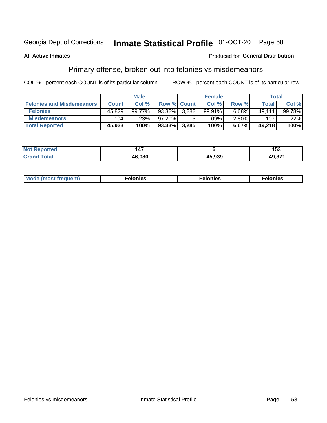#### Inmate Statistical Profile 01-OCT-20 Page 58

## **All Active Inmates**

## Produced for General Distribution

# Primary offense, broken out into felonies vs misdemeanors

COL % - percent each COUNT is of its particular column

|                                  |              | <b>Male</b> |             |       | <b>Female</b> |          |        | Total   |
|----------------------------------|--------------|-------------|-------------|-------|---------------|----------|--------|---------|
| <b>Felonies and Misdemeanors</b> | <b>Count</b> | Col %       | Row % Count |       | Col %         | Row %    | Total  | Col%    |
| <b>Felonies</b>                  | 45,829       | 99.77%      | 93.32%      | 3.282 | 99.91%        | 6.68%    | 49.111 | 99.78%  |
| <b>Misdemeanors</b>              | 104          | .23%        | $97.20\%$   |       | .09%          | $2.80\%$ | 107    | $.22\%$ |
| <b>Total Reported</b>            | 45,933       | 100%        | $93.33\%$   | 3,285 | 100%          | 6.67%    | 49.218 | 100%    |

| <b>Not Reported</b> | $\sim$ 4 $-$ |        | --<br>טט ו |
|---------------------|--------------|--------|------------|
| Grar<br><b>otal</b> | 46.08C       | 45.939 | 49,371     |

| M      | .    | nes | onies |
|--------|------|-----|-------|
| nuenti | ____ | .   | .     |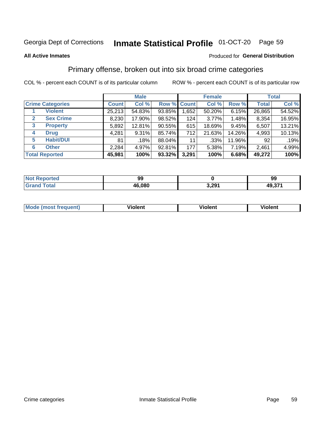#### Inmate Statistical Profile 01-OCT-20 Page 59

### **All Active Inmates**

## Produced for General Distribution

# Primary offense, broken out into six broad crime categories

COL % - percent each COUNT is of its particular column

|                                 | <b>Male</b>  |        |           | <b>Female</b> |        |        | <b>Total</b> |        |
|---------------------------------|--------------|--------|-----------|---------------|--------|--------|--------------|--------|
| <b>Crime Categories</b>         | <b>Count</b> | Col %  |           | Row % Count   | Col %  | Row %  | <b>Total</b> | Col %  |
| <b>Violent</b>                  | 25,213       | 54.83% | 93.85%    | 1,652         | 50.20% | 6.15%  | 26,865       | 54.52% |
| <b>Sex Crime</b><br>2           | 8,230        | 17.90% | 98.52%    | 124           | 3.77%  | 1.48%  | 8,354        | 16.95% |
| $\mathbf{3}$<br><b>Property</b> | 5,892        | 12.81% | 90.55%    | 615           | 18.69% | 9.45%  | 6,507        | 13.21% |
| <b>Drug</b><br>4                | 4,281        | 9.31%  | 85.74%    | 712           | 21.63% | 14.26% | 4,993        | 10.13% |
| <b>Habit/DUI</b><br>5           | 81           | .18%   | 88.04%    | 11            | .33%   | 11.96% | 92           | .19%   |
| <b>Other</b><br>6               | 2,284        | 4.97%  | 92.81%    | 177           | 5.38%  | 7.19%  | 2,461        | 4.99%  |
| <b>Total Reported</b>           | 45,981       | 100%   | $93.32\%$ | 3,291         | 100%   | 6.68%  | 49,272       | 100%   |

| rted<br>NO   | QQ<br>J. |             | 99     |
|--------------|----------|-------------|--------|
| <b>Ental</b> | 46.080   | 2.20<br>りムり | 10.271 |

| Mc | .<br>$\cdots$ | VIOIEM |
|----|---------------|--------|
|    |               |        |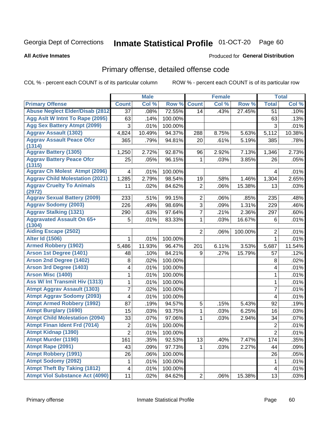#### Inmate Statistical Profile 01-OCT-20 Page 60

### **All Active Inmates**

## **Produced for General Distribution**

# Primary offense, detailed offense code

COL % - percent each COUNT is of its particular column

|                                            |                 | <b>Male</b> |         |                | <b>Female</b> |         |                | <b>Total</b> |
|--------------------------------------------|-----------------|-------------|---------|----------------|---------------|---------|----------------|--------------|
| <b>Primary Offense</b>                     | <b>Count</b>    | Col %       | Row %   | <b>Count</b>   | Col %         | Row %   | <b>Total</b>   | Col %        |
| <b>Abuse Neglect Elder/Disab (2812)</b>    | $\overline{37}$ | .08%        | 72.55%  | 14             | .43%          | 27.45%  | 51             | .10%         |
| Agg Aslt W Intnt To Rape (2095)            | 63              | .14%        | 100.00% |                |               |         | 63             | .13%         |
| <b>Agg Sex Battery Atmpt (2099)</b>        | 3               | .01%        | 100.00% |                |               |         | 3              | .01%         |
| <b>Aggrav Assault (1302)</b>               | 4,824           | 10.49%      | 94.37%  | 288            | 8.75%         | 5.63%   | 5,112          | 10.38%       |
| <b>Aggrav Assault Peace Ofcr</b>           | 365             | .79%        | 94.81%  | 20             | .61%          | 5.19%   | 385            | .78%         |
| (1314)                                     |                 |             |         |                |               |         |                |              |
| <b>Aggrav Battery (1305)</b>               | 1,250           | 2.72%       | 92.87%  | 96             | 2.92%         | 7.13%   | 1,346          | 2.73%        |
| <b>Aggrav Battery Peace Ofcr</b><br>(1315) | 25              | .05%        | 96.15%  | 1              | .03%          | 3.85%   | 26             | .05%         |
| <b>Aggrav Ch Molest Atmpt (2096)</b>       | 4               | .01%        | 100.00% |                |               |         | 4              | .01%         |
| <b>Aggrav Child Molestation (2021)</b>     | 1,285           | 2.79%       | 98.54%  | 19             | .58%          | 1.46%   | 1,304          | 2.65%        |
| <b>Aggrav Cruelty To Animals</b><br>(2972) | 11              | .02%        | 84.62%  | $\overline{2}$ | .06%          | 15.38%  | 13             | .03%         |
| <b>Aggrav Sexual Battery (2009)</b>        | 233             | .51%        | 99.15%  | $\overline{2}$ | .06%          | .85%    | 235            | .48%         |
| <b>Aggrav Sodomy (2003)</b>                | 226             | .49%        | 98.69%  | 3              | .09%          | 1.31%   | 229            | .46%         |
| <b>Aggrav Stalking (1321)</b>              | 290             | .63%        | 97.64%  | 7              | .21%          | 2.36%   | 297            | .60%         |
| <b>Aggravated Assault On 65+</b>           | 5               | .01%        | 83.33%  | 1              | .03%          | 16.67%  | 6              | .01%         |
| (1304)                                     |                 |             |         |                |               |         |                |              |
| <b>Aiding Escape (2502)</b>                |                 |             |         | $\overline{2}$ | $.06\%$       | 100.00% | $\overline{2}$ | .01%         |
| <b>Alter Id (1506)</b>                     | 1               | .01%        | 100.00% |                |               |         | $\mathbf{1}$   | .01%         |
| <b>Armed Robbery (1902)</b>                | 5,486           | 11.93%      | 96.47%  | 201            | 6.11%         | 3.53%   | 5,687          | 11.54%       |
| Arson 1st Degree (1401)                    | 48              | .10%        | 84.21%  | 9              | .27%          | 15.79%  | 57             | .12%         |
| <b>Arson 2nd Degree (1402)</b>             | 8               | .02%        | 100.00% |                |               |         | 8              | .02%         |
| <b>Arson 3rd Degree (1403)</b>             | 4               | .01%        | 100.00% |                |               |         | 4              | .01%         |
| <b>Arson Misc (1400)</b>                   | 1               | .01%        | 100.00% |                |               |         | $\mathbf{1}$   | .01%         |
| <b>Ass W/ Int Transmit Hiv (1313)</b>      | 1               | .01%        | 100.00% |                |               |         | 1              | .01%         |
| <b>Atmpt Aggrav Assault (1303)</b>         | 7               | .02%        | 100.00% |                |               |         | 7              | .01%         |
| <b>Atmpt Aggrav Sodomy (2093)</b>          | 4               | .01%        | 100.00% |                |               |         | 4              | .01%         |
| <b>Atmpt Armed Robbery (1992)</b>          | 87              | .19%        | 94.57%  | 5              | .15%          | 5.43%   | 92             | .19%         |
| <b>Atmpt Burglary (1690)</b>               | 15              | .03%        | 93.75%  | 1              | .03%          | 6.25%   | 16             | .03%         |
| <b>Atmpt Child Molestation (2094)</b>      | 33              | .07%        | 97.06%  | 1              | .03%          | 2.94%   | 34             | .07%         |
| <b>Atmpt Finan Ident Frd (7014)</b>        | 2               | .01%        | 100.00% |                |               |         | 2              | .01%         |
| <b>Atmpt Kidnap (1390)</b>                 | $\overline{2}$  | .01%        | 100.00% |                |               |         | $\overline{2}$ | .01%         |
| <b>Atmpt Murder (1190)</b>                 | 161             | .35%        | 92.53%  | 13             | .40%          | 7.47%   | 174            | .35%         |
| Atmpt Rape (2091)                          | 43              | .09%        | 97.73%  | $\mathbf{1}$   | .03%          | 2.27%   | 44             | .09%         |
| <b>Atmpt Robbery (1991)</b>                | 26              | .06%        | 100.00% |                |               |         | 26             | .05%         |
| <b>Atmpt Sodomy (2092)</b>                 | 1               | .01%        | 100.00% |                |               |         | 1              | .01%         |
| <b>Atmpt Theft By Taking (1812)</b>        | 4               | .01%        | 100.00% |                |               |         | 4              | .01%         |
| <b>Atmpt Viol Substance Act (4090)</b>     | 11              | .02%        | 84.62%  | 2              | .06%          | 15.38%  | 13             | .03%         |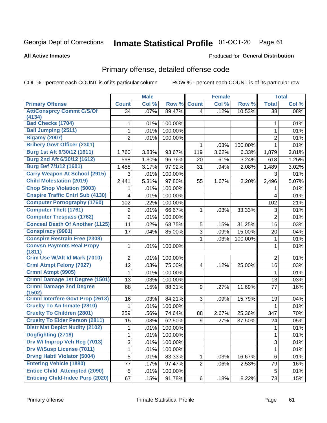# Inmate Statistical Profile 01-OCT-20 Page 61

**All Active Inmates** 

## Produced for General Distribution

# Primary offense, detailed offense code

COL % - percent each COUNT is of its particular column

|                                                   |                | <b>Male</b> |         |                         | <b>Female</b> |         |                | <b>Total</b> |
|---------------------------------------------------|----------------|-------------|---------|-------------------------|---------------|---------|----------------|--------------|
| <b>Primary Offense</b>                            | <b>Count</b>   | Col %       | Row %   | <b>Count</b>            | Col %         | Row %   | <b>Total</b>   | Col %        |
| <b>Att/Consprcy Commt C/S/Of</b>                  | 34             | .07%        | 89.47%  | $\vert 4 \vert$         | .12%          | 10.53%  | 38             | .08%         |
| (4134)<br><b>Bad Checks (1704)</b>                |                |             |         |                         |               |         |                |              |
|                                                   | 1              | .01%        | 100.00% |                         |               |         | 1              | .01%         |
| <b>Bail Jumping (2511)</b>                        | 1              | .01%        | 100.00% |                         |               |         | 1              | .01%         |
| <b>Bigamy (2007)</b>                              | $\overline{2}$ | .01%        | 100.00% |                         |               |         | $\overline{2}$ | .01%         |
| <b>Bribery Govt Officer (2301)</b>                |                |             |         | 1                       | .03%          | 100.00% | 1              | .01%         |
| Burg 1st Aft 6/30/12 (1611)                       | 1,760          | 3.83%       | 93.67%  | 119                     | 3.62%         | 6.33%   | 1,879          | 3.81%        |
| Burg 2nd Aft 6/30/12 (1612)                       | 598            | 1.30%       | 96.76%  | 20                      | .61%          | 3.24%   | 618            | 1.25%        |
| Burg Bef 7/1/12 (1601)                            | 1,458          | 3.17%       | 97.92%  | 31                      | .94%          | 2.08%   | 1,489          | 3.02%        |
| <b>Carry Weapon At School (2915)</b>              | 3              | .01%        | 100.00% |                         |               |         | 3              | .01%         |
| <b>Child Molestation (2019)</b>                   | 2,441          | 5.31%       | 97.80%  | 55                      | 1.67%         | 2.20%   | 2,496          | 5.07%        |
| <b>Chop Shop Violation (5003)</b>                 |                | .01%        | 100.00% |                         |               |         | 1              | .01%         |
| <b>Cnspire Traffic Cntrl Sub (4130)</b>           | 4              | .01%        | 100.00% |                         |               |         | 4              | .01%         |
| <b>Computer Pornography (1760)</b>                | 102            | .22%        | 100.00% |                         |               |         | 102            | .21%         |
| <b>Computer Theft (1761)</b>                      | 2              | .01%        | 66.67%  | 1                       | .03%          | 33.33%  | 3              | .01%         |
| <b>Computer Trespass (1762)</b>                   | $\overline{2}$ | .01%        | 100.00% |                         |               |         | $\overline{2}$ | .01%         |
| <b>Conceal Death Of Another (1125)</b>            | 11             | .02%        | 68.75%  | 5                       | .15%          | 31.25%  | 16             | .03%         |
| <b>Conspiracy (9901)</b>                          | 17             | .04%        | 85.00%  | $\overline{3}$          | .09%          | 15.00%  | 20             | .04%         |
| <b>Conspire Restrain Free (2308)</b>              |                |             |         | 1                       | .03%          | 100.00% | $\mathbf 1$    | .01%         |
| <b>Convsn Paymnts Real Propy</b><br>(1811)        | 1              | .01%        | 100.00% |                         |               |         | 1              | .01%         |
| Crim Use W/Alt Id Mark (7010)                     | $\overline{2}$ | .01%        | 100.00% |                         |               |         | $\overline{2}$ | .01%         |
| <b>Crml Atmpt Felony (7027)</b>                   | 12             | .03%        | 75.00%  | $\overline{\mathbf{4}}$ | .12%          | 25.00%  | 16             | .03%         |
| Crmnl Atmpt (9905)                                | 1              | .01%        | 100.00% |                         |               |         | 1              | .01%         |
| <b>Crmnl Damage 1st Degree (1501)</b>             | 13             | .03%        | 100.00% |                         |               |         | 13             | .03%         |
| <b>Crmnl Damage 2nd Degree</b>                    | 68             | .15%        | 88.31%  | 9                       | .27%          | 11.69%  | 77             | .16%         |
| (1502)<br><b>Crmnl Interfere Govt Prop (2613)</b> | 16             | .03%        | 84.21%  | 3                       | .09%          | 15.79%  | 19             | .04%         |
| <b>Cruelty To An Inmate (2810)</b>                | 1              | .01%        | 100.00% |                         |               |         | 1              | .01%         |
| <b>Cruelty To Children (2801)</b>                 | 259            | .56%        | 74.64%  | 88                      | 2.67%         | 25.36%  | 347            | .70%         |
| <b>Cruelty To Elder Person (2811)</b>             | 15             | .03%        | 62.50%  | 9                       | .27%          | 37.50%  | 24             | .05%         |
| <b>Distr Mat Depict Nudity (2102)</b>             | 1              | .01%        | 100.00% |                         |               |         | 1              | .01%         |
| Dogfighting (2718)                                | 1              | .01%        | 100.00% |                         |               |         | 1              | .01%         |
| Drv W/ Improp Veh Reg (7013)                      | $\overline{3}$ | .01%        | 100.00% |                         |               |         | 3              | .01%         |
| <b>Drv W/Susp License (7011)</b>                  | 1              | .01%        | 100.00% |                         |               |         | $\mathbf{1}$   | .01%         |
| <b>Drvng Habtl Violator (5004)</b>                | $\overline{5}$ | .01%        | 83.33%  | $\mathbf{1}$            | .03%          | 16.67%  | 6              | .01%         |
| <b>Entering Vehicle (1880)</b>                    | 77             | .17%        | 97.47%  | $\overline{2}$          | .06%          | 2.53%   | 79             | .16%         |
| <b>Entice Child Attempted (2090)</b>              | 5              | .01%        | 100.00% |                         |               |         | 5              | .01%         |
| <b>Enticing Child-Indec Purp (2020)</b>           | 67             | .15%        | 91.78%  | 6                       | .18%          | 8.22%   | 73             | .15%         |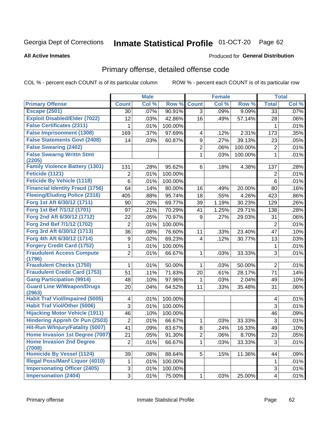# Inmate Statistical Profile 01-OCT-20 Page 62

### **All Active Inmates**

## **Produced for General Distribution**

# Primary offense, detailed offense code

COL % - percent each COUNT is of its particular column

|                                            |                         | <b>Male</b> |         |                | <b>Female</b> |         |                | <b>Total</b> |
|--------------------------------------------|-------------------------|-------------|---------|----------------|---------------|---------|----------------|--------------|
| <b>Primary Offense</b>                     | <b>Count</b>            | Col %       | Row %   | <b>Count</b>   | Col %         | Row %   | <b>Total</b>   | Col %        |
| <b>Escape (2501)</b>                       | 30                      | .07%        | 90.91%  | $\overline{3}$ | .09%          | 9.09%   | 33             | .07%         |
| <b>Exploit Disabled/Elder (7022)</b>       | 12                      | .03%        | 42.86%  | 16             | .49%          | 57.14%  | 28             | .06%         |
| <b>False Certificates (2311)</b>           | 1                       | .01%        | 100.00% |                |               |         | 1              | .01%         |
| <b>False Imprisonment (1308)</b>           | 169                     | .37%        | 97.69%  | 4              | .12%          | 2.31%   | 173            | .35%         |
| <b>False Statements Govt (2408)</b>        | 14                      | .03%        | 60.87%  | 9              | .27%          | 39.13%  | 23             | .05%         |
| <b>False Swearing (2402)</b>               |                         |             |         | $\overline{c}$ | .06%          | 100.00% | $\overline{c}$ | .01%         |
| <b>False Swearng Writtn Stmt</b><br>(2205) |                         |             |         | 1              | .03%          | 100.00% | 1              | .01%         |
| <b>Family Violence Battery (1301)</b>      | 131                     | .28%        | 95.62%  | 6              | .18%          | 4.38%   | 137            | .28%         |
| Feticide (1121)                            | 2                       | .01%        | 100.00% |                |               |         | 2              | .01%         |
| <b>Feticide By Vehicle (1118)</b>          | 6                       | .01%        | 100.00% |                |               |         | 6              | .01%         |
| <b>Financial Identity Fraud (1756)</b>     | 64                      | .14%        | 80.00%  | 16             | .49%          | 20.00%  | 80             | .16%         |
| <b>Fleeing/Eluding Police (2316)</b>       | 405                     | .88%        | 95.74%  | 18             | .55%          | 4.26%   | 423            | .86%         |
| Forg 1st Aft 6/30/12 (1711)                | 90                      | .20%        | 69.77%  | 39             | 1.19%         | 30.23%  | 129            | .26%         |
| Forg 1st Bef 7/1/12 (1701)                 | 97                      | .21%        | 70.29%  | 41             | 1.25%         | 29.71%  | 138            | .28%         |
| Forg 2nd Aft 6/30/12 (1712)                | 22                      | .05%        | 70.97%  | 9              | .27%          | 29.03%  | 31             | .06%         |
| Forg 2nd Bef 7/1/12 (1702)                 | $\overline{2}$          | .01%        | 100.00% |                |               |         | $\overline{2}$ | .01%         |
| Forg 3rd Aft 6/30/12 (1713)                | 36                      | .08%        | 76.60%  | 11             | .33%          | 23.40%  | 47             | .10%         |
| Forg 4th Aft 6/30/12 (1714)                | $\boldsymbol{9}$        | .02%        | 69.23%  | 4              | .12%          | 30.77%  | 13             | .03%         |
| <b>Forgery Credit Card (1752)</b>          | 1                       | .01%        | 100.00% |                |               |         | 1              | .01%         |
| <b>Fraudulent Access Compute</b><br>(1796) | $\overline{2}$          | .01%        | 66.67%  | $\mathbf{1}$   | .03%          | 33.33%  | 3              | .01%         |
| <b>Fraudulent Checks (1750)</b>            | 1                       | .01%        | 50.00%  | 1              | .03%          | 50.00%  | $\overline{2}$ | .01%         |
| <b>Fraudulent Credit Card (1753)</b>       | 51                      | .11%        | 71.83%  | 20             | .61%          | 28.17%  | 71             | .14%         |
| <b>Gang Participation (9914)</b>           | 48                      | .10%        | 97.96%  | 1              | .03%          | 2.04%   | 49             | .10%         |
| <b>Guard Line W/Weapon/Drugs</b><br>(2963) | 20                      | .04%        | 64.52%  | 11             | .33%          | 35.48%  | 31             | .06%         |
| <b>Habit Traf Viol/Impaired (5005)</b>     | 4                       | .01%        | 100.00% |                |               |         | 4              | .01%         |
| <b>Habit Traf Viol/Other (5006)</b>        | 3                       | .01%        | 100.00% |                |               |         | 3              | .01%         |
| <b>Hijacking Motor Vehicle (1911)</b>      | 46                      | .10%        | 100.00% |                |               |         | 46             | .09%         |
| <b>Hindering Appreh Or Pun (2503)</b>      | $\boldsymbol{2}$        | .01%        | 66.67%  | 1              | .03%          | 33.33%  | $\mathfrak{S}$ | .01%         |
| Hit-Run W/Injury/Fatality (5007)           | 41                      | .09%        | 83.67%  | 8              | .24%          | 16.33%  | 49             | .10%         |
| Home Invasion 1st Degree (7007)            | 21                      | .05%        | 91.30%  | $\overline{c}$ | .06%          | 8.70%   | 23             | .05%         |
| <b>Home Invasion 2nd Degree</b><br>(7008)  | $\overline{2}$          | .01%        | 66.67%  | $\mathbf 1$    | .03%          | 33.33%  | 3              | .01%         |
| <b>Homicide By Vessel (1124)</b>           | 39                      | .08%        | 88.64%  | 5 <sup>1</sup> | .15%          | 11.36%  | 44             | .09%         |
| <b>Illegal Poss/Manf Liquor (4010)</b>     | 1                       | .01%        | 100.00% |                |               |         | 1              | .01%         |
| <b>Impersonating Officer (2405)</b>        | 3                       | .01%        | 100.00% |                |               |         | 3              | .01%         |
| <b>Impersonation (2404)</b>                | $\overline{\mathbf{3}}$ | .01%        | 75.00%  | $\mathbf{1}$   | .03%          | 25.00%  | 4              | .01%         |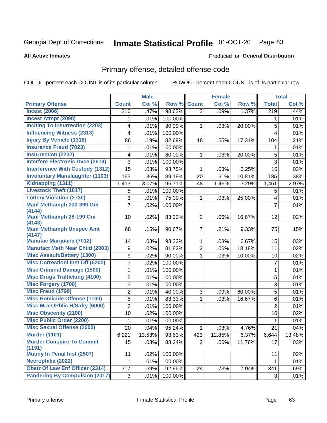# Inmate Statistical Profile 01-OCT-20 Page 63

### **All Active Inmates**

## Produced for General Distribution

# Primary offense, detailed offense code

COL % - percent each COUNT is of its particular column

|                                            |                | <b>Male</b> |         |                | <b>Female</b> |        |                         | <b>Total</b> |
|--------------------------------------------|----------------|-------------|---------|----------------|---------------|--------|-------------------------|--------------|
| <b>Primary Offense</b>                     | <b>Count</b>   | Col %       | Row %   | <b>Count</b>   | Col %         | Row %  | <b>Total</b>            | Col %        |
| <b>Incest (2006)</b>                       | 216            | .47%        | 98.63%  | 3 <sup>1</sup> | .09%          | 1.37%  | $\overline{219}$        | .44%         |
| <b>Incest Atmpt (2098)</b>                 | 1              | .01%        | 100.00% |                |               |        | 1                       | .01%         |
| <b>Inciting To Insurrection (2203)</b>     | 4              | .01%        | 80.00%  | 1              | .03%          | 20.00% | 5                       | .01%         |
| <b>Influencing Witness (2313)</b>          | 4              | .01%        | 100.00% |                |               |        | 4                       | .01%         |
| <b>Injury By Vehicle (1318)</b>            | 86             | .19%        | 82.69%  | 18             | .55%          | 17.31% | 104                     | .21%         |
| <b>Insurance Fraud (7023)</b>              | 1              | .01%        | 100.00% |                |               |        | 1                       | .01%         |
| <b>Insurrection (2202)</b>                 | 4              | .01%        | 80.00%  | 1              | .03%          | 20.00% | 5                       | .01%         |
| <b>Interfere Electronic Dvce (2614)</b>    | 3              | .01%        | 100.00% |                |               |        | 3                       | .01%         |
| <b>Interference With Custody (1312)</b>    | 15             | .03%        | 93.75%  | 1              | .03%          | 6.25%  | 16                      | .03%         |
| <b>Involuntary Manslaughter (1103)</b>     | 165            | .36%        | 89.19%  | 20             | .61%          | 10.81% | 185                     | .38%         |
| Kidnapping (1311)                          | 1,413          | 3.07%       | 96.71%  | 48             | 1.46%         | 3.29%  | 1,461                   | 2.97%        |
| <b>Livestock Theft (1817)</b>              | 5              | .01%        | 100.00% |                |               |        | 5                       | .01%         |
| <b>Lottery Violation (2730)</b>            | 3              | .01%        | 75.00%  | 1              | .03%          | 25.00% | $\overline{\mathbf{4}}$ | .01%         |
| Manf Methamph 200-399 Gm<br>(4144)         | $\overline{7}$ | .02%        | 100.00% |                |               |        | $\overline{7}$          | .01%         |
| Manf Methamph 28-199 Gm<br>(4143)          | 10             | .02%        | 83.33%  | $\overline{2}$ | .06%          | 16.67% | 12                      | .02%         |
| <b>Manf Methamph Unspec Amt</b>            | 68             | .15%        | 90.67%  | $\overline{7}$ | .21%          | 9.33%  | 75                      | .15%         |
| (4147)<br><b>Manufac Marijuana (7012)</b>  | 14             | .03%        | 93.33%  | $\mathbf{1}$   | .03%          | 6.67%  | 15                      | .03%         |
| <b>Manufact Meth Near Child (2803)</b>     | 9              | .02%        | 81.82%  | $\overline{2}$ | .06%          | 18.18% | 11                      | .02%         |
| <b>Misc Assault/Battery (1300)</b>         | 9              | .02%        | 90.00%  | 1              | .03%          | 10.00% | 10                      | .02%         |
| <b>Misc Correctionl Inst Off (6200)</b>    | 7              | .02%        | 100.00% |                |               |        | $\overline{7}$          | .01%         |
| <b>Misc Criminal Damage (1500)</b>         | 1              | .01%        | 100.00% |                |               |        | 1                       | .01%         |
| <b>Misc Drugs Trafficking (4100)</b>       | 5              | .01%        | 100.00% |                |               |        | 5                       | .01%         |
| <b>Misc Forgery (1700)</b>                 | 3              | .01%        | 100.00% |                |               |        | 3                       | .01%         |
| <b>Misc Fraud (1799)</b>                   | $\overline{2}$ | .01%        | 40.00%  | 3              | .09%          | 60.00% | 5                       | .01%         |
| <b>Misc Homicide Offense (1100)</b>        | 5              | .01%        | 83.33%  | 1              | .03%          | 16.67% | 6                       | .01%         |
| <b>Misc Mrals/Pblic H/Safty (6000)</b>     | $\overline{2}$ | .01%        | 100.00% |                |               |        | $\overline{2}$          | .01%         |
| <b>Misc Obscenity (2100)</b>               | 10             | .02%        | 100.00% |                |               |        | 10                      | .02%         |
| <b>Misc Public Order (2200)</b>            | 1              | .01%        | 100.00% |                |               |        | 1                       | .01%         |
| <b>Misc Sexual Offense (2000)</b>          | 20             | .04%        | 95.24%  | 1              | .03%          | 4.76%  | 21                      | .04%         |
| <b>Murder (1101)</b>                       | 6,221          | 13.53%      | 93.63%  | 423            | 12.85%        | 6.37%  | 6,644                   | 13.48%       |
| <b>Murder Conspire To Commit</b><br>(1191) | 15             | .03%        | 88.24%  | $\overline{2}$ | .06%          | 11.76% | 17                      | .03%         |
| Mutiny In Penal Inst (2507)                | 11             | .02%        | 100.00% |                |               |        | 11                      | .02%         |
| Necrophilia (2022)                         | $\mathbf{1}$   | .01%        | 100.00% |                |               |        | $\mathbf{1}$            | .01%         |
| <b>Obstr Of Law Enf Officer (2314)</b>     | 317            | .69%        | 92.96%  | 24             | .73%          | 7.04%  | 341                     | .69%         |
| <b>Pandering By Compulsion (2017)</b>      | 3              | .01%        | 100.00% |                |               |        | 3                       | .01%         |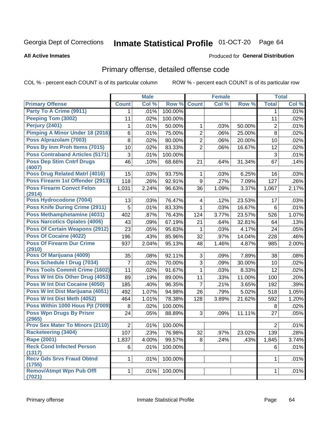# Inmate Statistical Profile 01-OCT-20 Page 64

**All Active Inmates** 

## **Produced for General Distribution**

# Primary offense, detailed offense code

COL % - percent each COUNT is of its particular column

|                                            |                | <b>Male</b> |         |                 | <b>Female</b> |        |                | <b>Total</b> |
|--------------------------------------------|----------------|-------------|---------|-----------------|---------------|--------|----------------|--------------|
| <b>Primary Offense</b>                     | <b>Count</b>   | Col %       | Row %   | <b>Count</b>    | Col %         | Row %  | <b>Total</b>   | Col %        |
| Party To A Crime (9911)                    | 1              | .01%        | 100.00% |                 |               |        | 1              | .01%         |
| <b>Peeping Tom (3002)</b>                  | 11             | .02%        | 100.00% |                 |               |        | 11             | .02%         |
| Perjury (2401)                             | 1              | .01%        | 50.00%  | 1               | .03%          | 50.00% | 2              | .01%         |
| <b>Pimping A Minor Under 18 (2016)</b>     | 6              | .01%        | 75.00%  | $\overline{2}$  | .06%          | 25.00% | 8              | .02%         |
| Poss Alprazolam (7003)                     | 8              | .02%        | 80.00%  | $\overline{2}$  | .06%          | 20.00% | 10             | .02%         |
| Poss By Inm Proh Items (7015)              | 10             | .02%        | 83.33%  | $\overline{2}$  | .06%          | 16.67% | 12             | .02%         |
| <b>Poss Contraband Articles (5171)</b>     | 3              | .01%        | 100.00% |                 |               |        | 3              | .01%         |
| <b>Poss Dep Stim Cntrf Drugs</b><br>(4007) | 46             | .10%        | 68.66%  | 21              | .64%          | 31.34% | 67             | .14%         |
| <b>Poss Drug Related Matri (4016)</b>      | 15             | .03%        | 93.75%  | 1               | .03%          | 6.25%  | 16             | .03%         |
| Poss Firearm 1st Offender (2913)           | 118            | .26%        | 92.91%  | 9               | .27%          | 7.09%  | 127            | .26%         |
| <b>Poss Firearm Convct Felon</b><br>(2914) | 1,031          | 2.24%       | 96.63%  | 36              | 1.09%         | 3.37%  | 1,067          | 2.17%        |
| Poss Hydrocodone (7004)                    | 13             | .03%        | 76.47%  | 4               | .12%          | 23.53% | 17             | .03%         |
| <b>Poss Knife During Crime (2911)</b>      | 5              | .01%        | 83.33%  | $\mathbf{1}$    | .03%          | 16.67% | 6              | .01%         |
| Poss Methamphetamine (4031)                | 402            | .87%        | 76.43%  | 124             | 3.77%         | 23.57% | 526            | 1.07%        |
| <b>Poss Narcotics Opiates (4006)</b>       | 43             | .09%        | 67.19%  | 21              | .64%          | 32.81% | 64             | .13%         |
| <b>Poss Of Certain Weapons (2912)</b>      | 23             | .05%        | 95.83%  | 1               | .03%          | 4.17%  | 24             | .05%         |
| <b>Poss Of Cocaine (4022)</b>              | 196            | .43%        | 85.96%  | 32              | .97%          | 14.04% | 228            | .46%         |
| <b>Poss Of Firearm Dur Crime</b><br>(2910) | 937            | 2.04%       | 95.13%  | 48              | 1.46%         | 4.87%  | 985            | 2.00%        |
| Poss Of Marijuana (4009)                   | 35             | .08%        | 92.11%  | 3               | .09%          | 7.89%  | 38             | .08%         |
| Poss Schedule I Drug (7034)                | 7              | .02%        | 70.00%  | 3               | .09%          | 30.00% | 10             | .02%         |
| <b>Poss Tools Commit Crime (1602)</b>      | 11             | .02%        | 91.67%  | 1               | .03%          | 8.33%  | 12             | .02%         |
| Poss W Int Dis Other Drug (4053)           | 89             | .19%        | 89.00%  | 11              | .33%          | 11.00% | 100            | .20%         |
| <b>Poss W Int Dist Cocaine (4050)</b>      | 185            | .40%        | 96.35%  | $\overline{7}$  | .21%          | 3.65%  | 192            | .39%         |
| Poss W Int Dist Marijuana (4051)           | 492            | 1.07%       | 94.98%  | 26              | .79%          | 5.02%  | 518            | 1.05%        |
| Poss W Int Dist Meth (4052)                | 464            | 1.01%       | 78.38%  | 128             | 3.89%         | 21.62% | 592            | 1.20%        |
| Poss Within 1000 Hous Pjt (7009)           | 8              | .02%        | 100.00% |                 |               |        | 8              | .02%         |
| <b>Poss Wpn Drugs By Prisnr</b>            | 24             | .05%        | 88.89%  | 3               | .09%          | 11.11% | 27             | .05%         |
| (2965)                                     |                |             |         |                 |               |        |                |              |
| <b>Prov Sex Mater To Minors (2110)</b>     | $\overline{2}$ | .01%        | 100.00% |                 |               |        | $\overline{2}$ | .01%         |
| <b>Racketeering (3404)</b>                 | 107            | .23%        | 76.98%  | $\overline{32}$ | .97%          | 23.02% | 139            | .28%         |
| Rape (2001)                                | 1,837          | 4.00%       | 99.57%  | 8               | .24%          | .43%   | 1,845          | 3.74%        |
| <b>Reck Cond Infected Person</b><br>(1317) | 6              | .01%        | 100.00% |                 |               |        | 6              | .01%         |
| <b>Recv Gds Srvs Fraud Obtnd</b><br>(1755) | 1              | .01%        | 100.00% |                 |               |        | 1              | .01%         |
| <b>Remov/Atmpt Wpn Pub Offl</b><br>(7021)  | $\mathbf 1$    | .01%        | 100.00% |                 |               |        | 1              | .01%         |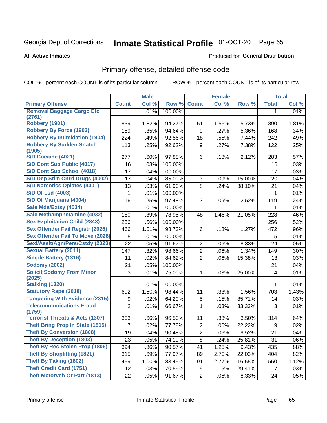# Inmate Statistical Profile 01-OCT-20 Page 65

**All Active Inmates** 

## **Produced for General Distribution**

# Primary offense, detailed offense code

COL % - percent each COUNT is of its particular column

|                                            |                | <b>Male</b> |         |                | <b>Female</b> |        |              | <b>Total</b> |
|--------------------------------------------|----------------|-------------|---------|----------------|---------------|--------|--------------|--------------|
| <b>Primary Offense</b>                     | <b>Count</b>   | Col %       | Row %   | <b>Count</b>   | Col %         | Row %  | <b>Total</b> | Col %        |
| <b>Removal Baggage Cargo Etc</b>           | 1.             | .01%        | 100.00% |                |               |        | 1            | .01%         |
| (2761)                                     |                |             |         |                |               |        |              |              |
| <b>Robbery (1901)</b>                      | 839            | 1.82%       | 94.27%  | 51             | 1.55%         | 5.73%  | 890          | 1.81%        |
| <b>Robbery By Force (1903)</b>             | 159            | .35%        | 94.64%  | 9              | .27%          | 5.36%  | 168          | .34%         |
| <b>Robbery By Intimidation (1904)</b>      | 224            | .49%        | 92.56%  | 18             | .55%          | 7.44%  | 242          | .49%         |
| <b>Robbery By Sudden Snatch</b><br>(1905)  | 113            | .25%        | 92.62%  | 9              | .27%          | 7.38%  | 122          | .25%         |
| S/D Cocaine (4021)                         | 277            | .60%        | 97.88%  | 6              | .18%          | 2.12%  | 283          | .57%         |
| S/D Cont Sub Public (4017)                 | 16             | .03%        | 100.00% |                |               |        | 16           | .03%         |
| S/D Cont Sub School (4018)                 | 17             | .04%        | 100.00% |                |               |        | 17           | .03%         |
| S/D Dep Stim Cntrf Drugs (4002)            | 17             | .04%        | 85.00%  | 3              | .09%          | 15.00% | 20           | .04%         |
| <b>S/D Narcotics Opiates (4001)</b>        | 13             | .03%        | 61.90%  | 8              | .24%          | 38.10% | 21           | .04%         |
| <b>S/D Of Lsd (4003)</b>                   | 1              | .01%        | 100.00% |                |               |        | 1            | .01%         |
| S/D Of Marijuana (4004)                    | 116            | .25%        | 97.48%  | 3              | .09%          | 2.52%  | 119          | .24%         |
| Sale Mda/Extsy (4034)                      | 1              | .01%        | 100.00% |                |               |        | 1            | .01%         |
| Sale Methamphetamine (4032)                | 180            | .39%        | 78.95%  | 48             | 1.46%         | 21.05% | 228          | .46%         |
| <b>Sex Exploitation Child (2843)</b>       | 256            | .56%        | 100.00% |                |               |        | 256          | .52%         |
| <b>Sex Offender Fail Registr (2026)</b>    | 466            | 1.01%       | 98.73%  | 6              | .18%          | 1.27%  | 472          | .96%         |
| <b>Sex Offender Fail To Move (2028)</b>    | 5              | .01%        | 100.00% |                |               |        | 5            | .01%         |
| Sexl/Asslt/Agn/Pers/Cstdy (2023)           | 22             | .05%        | 91.67%  | $\overline{2}$ | .06%          | 8.33%  | 24           | .05%         |
| <b>Sexual Battery (2011)</b>               | 147            | .32%        | 98.66%  | $\overline{2}$ | .06%          | 1.34%  | 149          | .30%         |
| <b>Simple Battery (1316)</b>               | 11             | .02%        | 84.62%  | $\overline{2}$ | .06%          | 15.38% | 13           | .03%         |
| <b>Sodomy (2002)</b>                       | 21             | .05%        | 100.00% |                |               |        | 21           | .04%         |
| <b>Solicit Sodomy From Minor</b>           | 3              | .01%        | 75.00%  | 1              | .03%          | 25.00% | 4            | .01%         |
| (2025)                                     |                |             |         |                |               |        |              |              |
| <b>Stalking (1320)</b>                     | 1              | .01%        | 100.00% |                |               |        | 1            | .01%         |
| <b>Statutory Rape (2018)</b>               | 692            | 1.50%       | 98.44%  | 11             | .33%          | 1.56%  | 703          | 1.43%        |
| <b>Tampering With Evidence (2315)</b>      | 9              | .02%        | 64.29%  | 5              | .15%          | 35.71% | 14           | .03%         |
| <b>Telecommunications Fraud</b><br>(1759)  | $\overline{2}$ | .01%        | 66.67%  | 1              | .03%          | 33.33% | 3            | .01%         |
| <b>Terrorist Threats &amp; Acts (1307)</b> | 303            | .66%        | 96.50%  | 11             | .33%          | 3.50%  | 314          | .64%         |
| <b>Theft Bring Prop In State (1815)</b>    | 7              | .02%        | 77.78%  | $\overline{2}$ | .06%          | 22.22% | 9            | .02%         |
| <b>Theft By Conversion (1808)</b>          | 19             | .04%        | 90.48%  | $\overline{2}$ | .06%          | 9.52%  | 21           | .04%         |
| <b>Theft By Deception (1803)</b>           | 23             | .05%        | 74.19%  | 8              | .24%          | 25.81% | 31           | .06%         |
| <b>Theft By Rec Stolen Prop (1806)</b>     | 394            | .86%        | 90.57%  | 41             | 1.25%         | 9.43%  | 435          | .88%         |
| <b>Theft By Shoplifting (1821)</b>         | 315            | .69%        | 77.97%  | 89             | 2.70%         | 22.03% | 404          | .82%         |
| <b>Theft By Taking (1802)</b>              | 459            | 1.00%       | 83.45%  | 91             | 2.77%         | 16.55% | 550          | 1.12%        |
| <b>Theft Credit Card (1751)</b>            | 12             | .03%        | 70.59%  | 5              | .15%          | 29.41% | 17           | .03%         |
| <b>Theft Motorveh Or Part (1813)</b>       | 22             | .05%        | 91.67%  | $\overline{2}$ | .06%          | 8.33%  | 24           | .05%         |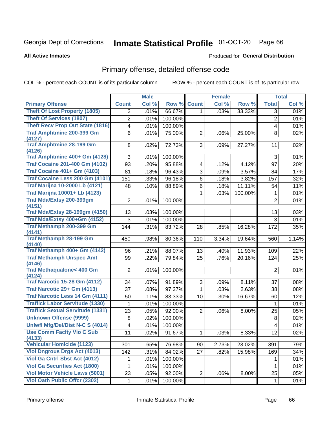# Inmate Statistical Profile 01-OCT-20 Page 66

**All Active Inmates** 

## **Produced for General Distribution**

# Primary offense, detailed offense code

COL % - percent each COUNT is of its particular column

|                                               |                | <b>Male</b> |         |                | <b>Female</b> |         |                 | <b>Total</b> |
|-----------------------------------------------|----------------|-------------|---------|----------------|---------------|---------|-----------------|--------------|
| <b>Primary Offense</b>                        | <b>Count</b>   | Col %       | Row %   | <b>Count</b>   | Col %         | Row %   | <b>Total</b>    | Col %        |
| <b>Theft Of Lost Property (1805)</b>          | $\overline{2}$ | .01%        | 66.67%  | $\mathbf{1}$   | .03%          | 33.33%  | 3               | .01%         |
| <b>Theft Of Services (1807)</b>               | $\overline{2}$ | .01%        | 100.00% |                |               |         | $\overline{2}$  | .01%         |
| Theft Recv Prop Out State (1816)              | 4              | .01%        | 100.00% |                |               |         | 4               | .01%         |
| <b>Traf Amphtmine 200-399 Gm</b><br>(4127)    | 6              | .01%        | 75.00%  | $\overline{2}$ | .06%          | 25.00%  | 8               | .02%         |
| <b>Traf Amphtmine 28-199 Gm</b><br>(4126)     | 8              | .02%        | 72.73%  | 3 <sup>1</sup> | .09%          | 27.27%  | 11              | .02%         |
| Traf Amphtmine 400+ Gm (4128)                 | 3              | .01%        | 100.00% |                |               |         | 3               | .01%         |
| <b>Traf Cocaine 201-400 Gm (4102)</b>         | 93             | .20%        | 95.88%  | 4              | .12%          | 4.12%   | 97              | .20%         |
| <b>Traf Cocaine 401+ Gm (4103)</b>            | 81             | .18%        | 96.43%  | 3              | .09%          | 3.57%   | 84              | .17%         |
| Traf Cocaine Less 200 Gm (4101)               | 151            | .33%        | 96.18%  | 6              | .18%          | 3.82%   | 157             | .32%         |
| <b>Traf Marijna 10-2000 Lb (4121)</b>         | 48             | .10%        | 88.89%  | 6              | .18%          | 11.11%  | 54              | .11%         |
| <b>Traf Marijna 10001+ Lb (4123)</b>          |                |             |         | 1              | .03%          | 100.00% | 1               | .01%         |
| Traf Mda/Extsy 200-399gm<br>(4151)            | $\overline{2}$ | .01%        | 100.00% |                |               |         | $\overline{2}$  | .01%         |
| <b>Traf Mda/Extsy 28-199gm (4150)</b>         | 13             | .03%        | 100.00% |                |               |         | 13              | .03%         |
| Traf Mda/Extsy 400+Gm (4152)                  | 3              | .01%        | 100.00% |                |               |         | 3               | .01%         |
| Traf Methamph 200-399 Gm<br>(4141)            | 144            | .31%        | 83.72%  | 28             | .85%          | 16.28%  | 172             | .35%         |
| <b>Traf Methamph 28-199 Gm</b><br>(4140)      | 450            | .98%        | 80.36%  | 110            | 3.34%         | 19.64%  | 560             | 1.14%        |
| Traf Methamph 400+ Gm (4142)                  | 96             | .21%        | 88.07%  | 13             | .40%          | 11.93%  | 109             | .22%         |
| <b>Traf Methamph Unspec Amt</b>               | 99             | .22%        | 79.84%  | 25             | .76%          | 20.16%  | 124             | .25%         |
| (4146)                                        |                |             |         |                |               |         |                 |              |
| <b>Traf Methaqualone&lt; 400 Gm</b><br>(4124) | $\overline{2}$ | .01%        | 100.00% |                |               |         | $\overline{2}$  | .01%         |
| <b>Traf Narcotic 15-28 Gm (4112)</b>          | 34             | .07%        | 91.89%  | 3              | .09%          | 8.11%   | 37              | .08%         |
| Traf Narcotic 29+ Gm (4113)                   | 37             | .08%        | 97.37%  | 1              | .03%          | 2.63%   | 38              | .08%         |
| <b>Traf Narcotic Less 14 Gm (4111)</b>        | 50             | .11%        | 83.33%  | 10             | .30%          | 16.67%  | 60              | .12%         |
| <b>Traffick Labor Servitude (1330)</b>        | 1              | .01%        | 100.00% |                |               |         | 1               | .01%         |
| <b>Traffick Sexual Servitude (1331)</b>       | 23             | .05%        | 92.00%  | $\overline{2}$ | .06%          | 8.00%   | 25              | .05%         |
| <b>Unknown Offense (9999)</b>                 | $\,8\,$        | .02%        | 100.00% |                |               |         | 8               | .02%         |
| Uniwfl Mfg/Del/Dist N-C S (4014)              | 4              | .01%        | 100.00% |                |               |         | 4               | .01%         |
| <b>Use Comm Facity Vio C Sub</b><br>(4133)    | 11             | .02%        | 91.67%  | $\mathbf{1}$   | .03%          | 8.33%   | $\overline{12}$ | .02%         |
| <b>Vehicular Homicide (1123)</b>              | 301            | .65%        | 76.98%  | 90             | 2.73%         | 23.02%  | 391             | .79%         |
| <b>Viol Dngrous Drgs Act (4013)</b>           | 142            | .31%        | 84.02%  | 27             | .82%          | 15.98%  | 169             | .34%         |
| Viol Ga Cntrl Sbst Act (4012)                 | 1              | .01%        | 100.00% |                |               |         | 1               | .01%         |
| <b>Viol Ga Securities Act (1800)</b>          | 1              | .01%        | 100.00% |                |               |         | 1               | .01%         |
| <b>Viol Motor Vehicle Laws (5001)</b>         | 23             | .05%        | 92.00%  | $\overline{2}$ | .06%          | 8.00%   | 25              | .05%         |
| <b>Viol Oath Public Offcr (2302)</b>          | 1              | .01%        | 100.00% |                |               |         | 1               | .01%         |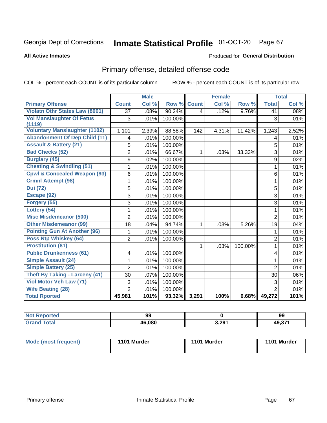# Inmate Statistical Profile 01-OCT-20 Page 67

### **All Active Inmates**

## Produced for General Distribution

# Primary offense, detailed offense code

COL % - percent each COUNT is of its particular column

|                                            |                         | <b>Male</b> |         |              | <b>Female</b> |         |                | <b>Total</b> |
|--------------------------------------------|-------------------------|-------------|---------|--------------|---------------|---------|----------------|--------------|
| <b>Primary Offense</b>                     | <b>Count</b>            | Col %       | Row %   | <b>Count</b> | Col %         | Row %   | <b>Total</b>   | Col %        |
| <b>Violatn Othr States Law (8001)</b>      | $\overline{37}$         | .08%        | 90.24%  | 4            | .12%          | 9.76%   | 41             | .08%         |
| <b>Vol Manslaughter Of Fetus</b><br>(1119) | 3                       | .01%        | 100.00% |              |               |         | 3              | .01%         |
| <b>Voluntary Manslaughter (1102)</b>       | 1,101                   | 2.39%       | 88.58%  | 142          | 4.31%         | 11.42%  | 1,243          | 2.52%        |
| <b>Abandonment Of Dep Child (11)</b>       | 4                       | .01%        | 100.00% |              |               |         | 4              | .01%         |
| <b>Assault &amp; Battery (21)</b>          | 5                       | .01%        | 100.00% |              |               |         | 5              | .01%         |
| <b>Bad Checks (52)</b>                     | $\overline{2}$          | .01%        | 66.67%  | 1            | .03%          | 33.33%  | 3              | .01%         |
| <b>Burglary (45)</b>                       | $\overline{9}$          | .02%        | 100.00% |              |               |         | 9              | .02%         |
| <b>Cheating &amp; Swindling (51)</b>       | $\mathbf 1$             | .01%        | 100.00% |              |               |         | 1              | .01%         |
| <b>Cpwl &amp; Concealed Weapon (93)</b>    | 6                       | .01%        | 100.00% |              |               |         | 6              | .01%         |
| <b>Crmnl Attempt (98)</b>                  | 1                       | .01%        | 100.00% |              |               |         | 1              | .01%         |
| <b>Dui (72)</b>                            | 5                       | .01%        | 100.00% |              |               |         | 5              | .01%         |
| Escape (92)                                | $\overline{3}$          | .01%        | 100.00% |              |               |         | 3              | .01%         |
| Forgery (55)                               | 3                       | .01%        | 100.00% |              |               |         | 3              | .01%         |
| Lottery (54)                               | 1                       | .01%        | 100.00% |              |               |         | 1              | .01%         |
| <b>Misc Misdemeanor (500)</b>              | $\overline{2}$          | .01%        | 100.00% |              |               |         | $\overline{2}$ | .01%         |
| <b>Other Misdemeanor (99)</b>              | 18                      | .04%        | 94.74%  | 1            | .03%          | 5.26%   | 19             | .04%         |
| <b>Pointing Gun At Another (96)</b>        | 1                       | .01%        | 100.00% |              |               |         | 1              | .01%         |
| <b>Poss Ntp Whiskey (64)</b>               | $\overline{2}$          | .01%        | 100.00% |              |               |         | $\overline{2}$ | .01%         |
| <b>Prostitution (81)</b>                   |                         |             |         | 1            | .03%          | 100.00% | 1              | .01%         |
| <b>Public Drunkenness (61)</b>             | $\overline{\mathbf{4}}$ | .01%        | 100.00% |              |               |         | 4              | .01%         |
| <b>Simple Assault (24)</b>                 | 1                       | .01%        | 100.00% |              |               |         | 1              | .01%         |
| <b>Simple Battery (25)</b>                 | $\overline{2}$          | .01%        | 100.00% |              |               |         | $\overline{2}$ | .01%         |
| <b>Theft By Taking - Larceny (41)</b>      | 30                      | .07%        | 100.00% |              |               |         | 30             | .06%         |
| Viol Motor Veh Law (71)                    | 3                       | .01%        | 100.00% |              |               |         | 3              | .01%         |
| <b>Wife Beating (28)</b>                   | $\overline{2}$          | .01%        | 100.00% |              |               |         | $\overline{2}$ | .01%         |
| <b>Total Rported</b>                       | 45,981                  | 101%        | 93.32%  | 3,291        | 100%          | 6.68%   | 49,272         | 101%         |

| τeα | 99             |       | 99             |
|-----|----------------|-------|----------------|
|     | 46,080<br>/1 F | 3,291 | AO 274<br>וט.ו |

| Mode (most frequent) | 1101 Murder | 1101 Murder | 1101 Murder |
|----------------------|-------------|-------------|-------------|
|----------------------|-------------|-------------|-------------|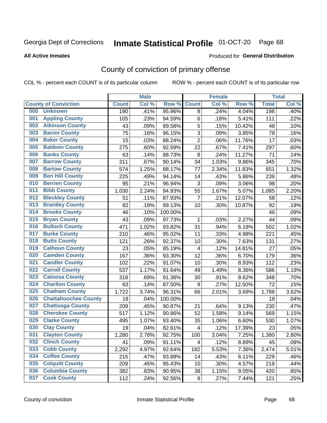# Inmate Statistical Profile 01-OCT-20 Page 68

**All Active Inmates** 

### Produced for General Distribution

# County of conviction of primary offense

COL % - percent each COUNT is of its particular column

|     |                             |              | <b>Male</b> |         |                         | <b>Female</b> |        |              | <b>Total</b> |
|-----|-----------------------------|--------------|-------------|---------|-------------------------|---------------|--------|--------------|--------------|
|     | <b>County of Conviction</b> | <b>Count</b> | Col %       | Row %   | <b>Count</b>            | Col %         | Row %  | <b>Total</b> | Col %        |
| 000 | <b>Unknown</b>              | 190          | .41%        | 95.96%  | 8                       | .24%          | 4.04%  | 198          | .40%         |
| 001 | <b>Appling County</b>       | 105          | .23%        | 94.59%  | 6                       | .18%          | 5.41%  | 111          | .22%         |
| 002 | <b>Atkinson County</b>      | 43           | .09%        | 89.58%  | 5                       | .15%          | 10.42% | 48           | .10%         |
| 003 | <b>Bacon County</b>         | 75           | .16%        | 96.15%  | 3                       | .09%          | 3.85%  | 78           | .16%         |
| 004 | <b>Baker County</b>         | 15           | .03%        | 88.24%  | $\overline{2}$          | .06%          | 11.76% | 17           | .03%         |
| 005 | <b>Baldwin County</b>       | 275          | .60%        | 92.59%  | 22                      | .67%          | 7.41%  | 297          | .60%         |
| 006 | <b>Banks County</b>         | 63           | .14%        | 88.73%  | 8                       | .24%          | 11.27% | 71           | .14%         |
| 007 | <b>Barrow County</b>        | 311          | .67%        | 90.14%  | 34                      | 1.03%         | 9.86%  | 345          | .70%         |
| 008 | <b>Bartow County</b>        | 574          | 1.25%       | 88.17%  | 77                      | 2.34%         | 11.83% | 651          | 1.32%        |
| 009 | <b>Ben Hill County</b>      | 225          | .49%        | 94.14%  | 14                      | .43%          | 5.86%  | 239          | .48%         |
| 010 | <b>Berrien County</b>       | 95           | .21%        | 96.94%  | 3                       | .09%          | 3.06%  | 98           | .20%         |
| 011 | <b>Bibb County</b>          | 1,030        | 2.24%       | 94.93%  | 55                      | 1.67%         | 5.07%  | 1,085        | 2.20%        |
| 012 | <b>Bleckley County</b>      | 51           | .11%        | 87.93%  | $\overline{7}$          | .21%          | 12.07% | 58           | .12%         |
| 013 | <b>Brantley County</b>      | 82           | .18%        | 89.13%  | 10                      | .30%          | 10.87% | 92           | .19%         |
| 014 | <b>Brooks County</b>        | 46           | .10%        | 100.00% |                         |               |        | 46           | .09%         |
| 015 | <b>Bryan County</b>         | 43           | .09%        | 97.73%  | 1                       | .03%          | 2.27%  | 44           | .09%         |
| 016 | <b>Bulloch County</b>       | 471          | 1.02%       | 93.82%  | 31                      | .94%          | 6.18%  | 502          | 1.02%        |
| 017 | <b>Burke County</b>         | 210          | .46%        | 95.02%  | 11                      | .33%          | 4.98%  | 221          | .45%         |
| 018 | <b>Butts County</b>         | 121          | .26%        | 92.37%  | 10                      | .30%          | 7.63%  | 131          | .27%         |
| 019 | <b>Calhoun County</b>       | 23           | .05%        | 85.19%  | $\overline{4}$          | .12%          | 14.81% | 27           | .05%         |
| 020 | <b>Camden County</b>        | 167          | .36%        | 93.30%  | 12                      | .36%          | 6.70%  | 179          | .36%         |
| 021 | <b>Candler County</b>       | 102          | .22%        | 91.07%  | 10                      | .30%          | 8.93%  | 112          | .23%         |
| 022 | <b>Carroll County</b>       | 537          | 1.17%       | 91.64%  | 49                      | 1.49%         | 8.36%  | 586          | 1.19%        |
| 023 | <b>Catoosa County</b>       | 318          | .69%        | 91.38%  | 30                      | .91%          | 8.62%  | 348          | .70%         |
| 024 | <b>Charlton County</b>      | 63           | .14%        | 87.50%  | $\boldsymbol{9}$        | .27%          | 12.50% | 72           | .15%         |
| 025 | <b>Chatham County</b>       | 1,722        | 3.74%       | 96.31%  | 66                      | 2.01%         | 3.69%  | 1,788        | 3.62%        |
| 026 | <b>Chattahoochee County</b> | 18           | .04%        | 100.00% |                         |               |        | 18           | .04%         |
| 027 | <b>Chattooga County</b>     | 209          | .45%        | 90.87%  | 21                      | .64%          | 9.13%  | 230          | .47%         |
| 028 | <b>Cherokee County</b>      | 517          | 1.12%       | 90.86%  | 52                      | 1.58%         | 9.14%  | 569          | 1.15%        |
| 029 | <b>Clarke County</b>        | 495          | 1.07%       | 93.40%  | 35                      | 1.06%         | 6.60%  | 530          | 1.07%        |
| 030 | <b>Clay County</b>          | 19           | .04%        | 82.61%  | $\overline{\mathbf{4}}$ | .12%          | 17.39% | 23           | .05%         |
| 031 | <b>Clayton County</b>       | 1,280        | 2.78%       | 92.75%  | 100                     | 3.04%         | 7.25%  | 1,380        | 2.80%        |
| 032 | <b>Clinch County</b>        | 41           | .09%        | 91.11%  | 4                       | .12%          | 8.89%  | 45           | .09%         |
| 033 | <b>Cobb County</b>          | 2,292        | 4.97%       | 92.64%  | 182                     | 5.53%         | 7.36%  | 2,474        | 5.01%        |
| 034 | <b>Coffee County</b>        | 215          | .47%        | 93.89%  | 14                      | .43%          | 6.11%  | 229          | .46%         |
| 035 | <b>Colquitt County</b>      | 209          | .45%        | 95.43%  | 10                      | .30%          | 4.57%  | 219          | .44%         |
| 036 | <b>Columbia County</b>      | 382          | .83%        | 90.95%  | 38                      | 1.15%         | 9.05%  | 420          | .85%         |
| 037 | <b>Cook County</b>          | 112          | .24%        | 92.56%  | 9                       | .27%          | 7.44%  | 121          | .25%         |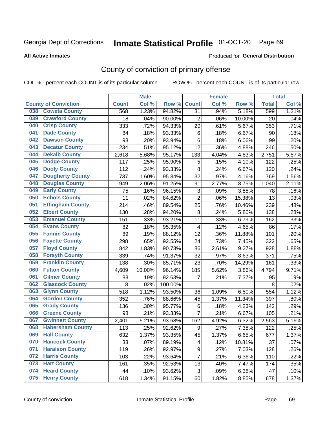# Inmate Statistical Profile 01-OCT-20 Page 69

**All Active Inmates** 

### Produced for General Distribution

# County of conviction of primary offense

COL % - percent each COUNT is of its particular column

|                                |              | <b>Male</b> |         |                           | <b>Female</b> |        |              | <b>Total</b> |
|--------------------------------|--------------|-------------|---------|---------------------------|---------------|--------|--------------|--------------|
| <b>County of Conviction</b>    | <b>Count</b> | Col %       | Row %   | <b>Count</b>              | Col %         | Row %  | <b>Total</b> | Col %        |
| <b>Coweta County</b><br>038    | 568          | 1.23%       | 94.82%  | 31                        | .94%          | 5.18%  | 599          | 1.21%        |
| <b>Crawford County</b><br>039  | 18           | .04%        | 90.00%  | $\overline{2}$            | .06%          | 10.00% | 20           | .04%         |
| <b>Crisp County</b><br>040     | 333          | .72%        | 94.33%  | 20                        | .61%          | 5.67%  | 353          | .71%         |
| <b>Dade County</b><br>041      | 84           | .18%        | 93.33%  | 6                         | .18%          | 6.67%  | 90           | .18%         |
| <b>Dawson County</b><br>042    | 93           | .20%        | 93.94%  | $\,6$                     | .18%          | 6.06%  | 99           | .20%         |
| 043<br><b>Decatur County</b>   | 234          | .51%        | 95.12%  | 12                        | .36%          | 4.88%  | 246          | .50%         |
| <b>Dekalb County</b><br>044    | 2,618        | 5.68%       | 95.17%  | 133                       | 4.04%         | 4.83%  | 2,751        | 5.57%        |
| <b>Dodge County</b><br>045     | 117          | .25%        | 95.90%  | 5                         | .15%          | 4.10%  | 122          | .25%         |
| <b>Dooly County</b><br>046     | 112          | .24%        | 93.33%  | 8                         | .24%          | 6.67%  | 120          | .24%         |
| 047<br><b>Dougherty County</b> | 737          | 1.60%       | 95.84%  | 32                        | .97%          | 4.16%  | 769          | 1.56%        |
| <b>Douglas County</b><br>048   | 949          | 2.06%       | 91.25%  | 91                        | 2.77%         | 8.75%  | 1,040        | 2.11%        |
| <b>Early County</b><br>049     | 75           | .16%        | 96.15%  | $\ensuremath{\mathsf{3}}$ | .09%          | 3.85%  | 78           | .16%         |
| <b>Echols County</b><br>050    | 11           | .02%        | 84.62%  | $\overline{2}$            | .06%          | 15.38% | 13           | .03%         |
| 051<br><b>Effingham County</b> | 214          | .46%        | 89.54%  | 25                        | .76%          | 10.46% | 239          | .48%         |
| <b>Elbert County</b><br>052    | 130          | .28%        | 94.20%  | 8                         | .24%          | 5.80%  | 138          | .28%         |
| <b>Emanuel County</b><br>053   | 151          | .33%        | 93.21%  | 11                        | .33%          | 6.79%  | 162          | .33%         |
| <b>Evans County</b><br>054     | 82           | .18%        | 95.35%  | $\overline{4}$            | .12%          | 4.65%  | 86           | .17%         |
| <b>Fannin County</b><br>055    | 89           | .19%        | 88.12%  | 12                        | .36%          | 11.88% | 101          | .20%         |
| <b>Fayette County</b><br>056   | 298          | .65%        | 92.55%  | 24                        | .73%          | 7.45%  | 322          | .65%         |
| <b>Floyd County</b><br>057     | 842          | 1.83%       | 90.73%  | 86                        | 2.61%         | 9.27%  | 928          | 1.88%        |
| <b>Forsyth County</b><br>058   | 339          | .74%        | 91.37%  | 32                        | .97%          | 8.63%  | 371          | .75%         |
| <b>Franklin County</b><br>059  | 138          | .30%        | 85.71%  | 23                        | .70%          | 14.29% | 161          | .33%         |
| <b>Fulton County</b><br>060    | 4,609        | 10.00%      | 96.14%  | 185                       | 5.62%         | 3.86%  | 4,794        | 9.71%        |
| <b>Gilmer County</b><br>061    | 88           | .19%        | 92.63%  | 7                         | .21%          | 7.37%  | 95           | .19%         |
| <b>Glascock County</b><br>062  | 8            | .02%        | 100.00% |                           |               |        | 8            | .02%         |
| 063<br><b>Glynn County</b>     | 518          | 1.12%       | 93.50%  | 36                        | 1.09%         | 6.50%  | 554          | 1.12%        |
| <b>Gordon County</b><br>064    | 352          | .76%        | 88.66%  | 45                        | 1.37%         | 11.34% | 397          | .80%         |
| <b>Grady County</b><br>065     | 136          | .30%        | 95.77%  | 6                         | .18%          | 4.23%  | 142          | .29%         |
| <b>Greene County</b><br>066    | 98           | .21%        | 93.33%  | $\overline{7}$            | .21%          | 6.67%  | 105          | .21%         |
| <b>Gwinnett County</b><br>067  | 2,401        | 5.21%       | 93.68%  | 162                       | 4.92%         | 6.32%  | 2,563        | 5.19%        |
| <b>Habersham County</b><br>068 | 113          | .25%        | 92.62%  | $\boldsymbol{9}$          | .27%          | 7.38%  | 122          | .25%         |
| 069<br><b>Hall County</b>      | 632          | 1.37%       | 93.35%  | 45                        | 1.37%         | 6.65%  | 677          | 1.37%        |
| <b>Hancock County</b><br>070   | 33           | .07%        | 89.19%  | 4                         | .12%          | 10.81% | 37           | .07%         |
| <b>Haralson County</b><br>071  | 119          | .26%        | 92.97%  | 9                         | .27%          | 7.03%  | 128          | .26%         |
| <b>Harris County</b><br>072    | 103          | .22%        | 93.64%  | $\overline{7}$            | .21%          | 6.36%  | 110          | .22%         |
| <b>Hart County</b><br>073      | 161          | .35%        | 92.53%  | 13                        | .40%          | 7.47%  | 174          | .35%         |
| <b>Heard County</b><br>074     | 44           | .10%        | 93.62%  | 3                         | .09%          | 6.38%  | 47           | .10%         |
| <b>Henry County</b><br>075     | 618          | 1.34%       | 91.15%  | 60                        | 1.82%         | 8.85%  | 678          | 1.37%        |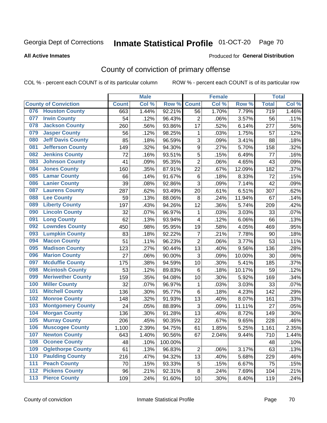# Inmate Statistical Profile 01-OCT-20 Page 70

**All Active Inmates** 

## Produced for General Distribution

# County of conviction of primary offense

COL % - percent each COUNT is of its particular column

|     |                             |              | <b>Male</b> |         |                  | <b>Female</b> |        |                  | <b>Total</b> |
|-----|-----------------------------|--------------|-------------|---------|------------------|---------------|--------|------------------|--------------|
|     | <b>County of Conviction</b> | <b>Count</b> | Col %       | Row %   | <b>Count</b>     | Col %         | Row %  | <b>Total</b>     | Col %        |
| 076 | <b>Houston County</b>       | 663          | 1.44%       | 92.21%  | 56               | 1.70%         | 7.79%  | $\overline{719}$ | 1.46%        |
| 077 | <b>Irwin County</b>         | 54           | .12%        | 96.43%  | $\overline{2}$   | .06%          | 3.57%  | 56               | .11%         |
| 078 | <b>Jackson County</b>       | 260          | .56%        | 93.86%  | 17               | .52%          | 6.14%  | 277              | .56%         |
| 079 | <b>Jasper County</b>        | 56           | .12%        | 98.25%  | $\mathbf 1$      | .03%          | 1.75%  | 57               | .12%         |
| 080 | <b>Jeff Davis County</b>    | 85           | .18%        | 96.59%  | $\sqrt{3}$       | .09%          | 3.41%  | 88               | .18%         |
| 081 | <b>Jefferson County</b>     | 149          | .32%        | 94.30%  | $\boldsymbol{9}$ | .27%          | 5.70%  | 158              | .32%         |
| 082 | <b>Jenkins County</b>       | 72           | .16%        | 93.51%  | $\sqrt{5}$       | .15%          | 6.49%  | 77               | .16%         |
| 083 | <b>Johnson County</b>       | 41           | .09%        | 95.35%  | $\overline{2}$   | .06%          | 4.65%  | 43               | .09%         |
| 084 | <b>Jones County</b>         | 160          | .35%        | 87.91%  | 22               | .67%          | 12.09% | 182              | .37%         |
| 085 | <b>Lamar County</b>         | 66           | .14%        | 91.67%  | 6                | .18%          | 8.33%  | 72               | .15%         |
| 086 | <b>Lanier County</b>        | 39           | .08%        | 92.86%  | 3                | .09%          | 7.14%  | 42               | .09%         |
| 087 | <b>Laurens County</b>       | 287          | .62%        | 93.49%  | 20               | .61%          | 6.51%  | 307              | .62%         |
| 088 | <b>Lee County</b>           | 59           | .13%        | 88.06%  | 8                | .24%          | 11.94% | 67               | .14%         |
| 089 | <b>Liberty County</b>       | 197          | .43%        | 94.26%  | 12               | .36%          | 5.74%  | 209              | .42%         |
| 090 | <b>Lincoln County</b>       | 32           | .07%        | 96.97%  | 1                | .03%          | 3.03%  | 33               | .07%         |
| 091 | <b>Long County</b>          | 62           | .13%        | 93.94%  | 4                | .12%          | 6.06%  | 66               | .13%         |
| 092 | <b>Lowndes County</b>       | 450          | .98%        | 95.95%  | 19               | .58%          | 4.05%  | 469              | .95%         |
| 093 | <b>Lumpkin County</b>       | 83           | .18%        | 92.22%  | $\overline{7}$   | .21%          | 7.78%  | 90               | .18%         |
| 094 | <b>Macon County</b>         | 51           | .11%        | 96.23%  | $\overline{2}$   | .06%          | 3.77%  | 53               | .11%         |
| 095 | <b>Madison County</b>       | 123          | .27%        | 90.44%  | 13               | .40%          | 9.56%  | 136              | .28%         |
| 096 | <b>Marion County</b>        | 27           | .06%        | 90.00%  | 3                | .09%          | 10.00% | 30               | .06%         |
| 097 | <b>Mcduffie County</b>      | 175          | .38%        | 94.59%  | 10               | .30%          | 5.41%  | 185              | .37%         |
| 098 | <b>Mcintosh County</b>      | 53           | .12%        | 89.83%  | 6                | .18%          | 10.17% | 59               | .12%         |
| 099 | <b>Meriwether County</b>    | 159          | .35%        | 94.08%  | 10               | .30%          | 5.92%  | 169              | .34%         |
| 100 | <b>Miller County</b>        | 32           | .07%        | 96.97%  | 1                | .03%          | 3.03%  | 33               | .07%         |
| 101 | <b>Mitchell County</b>      | 136          | .30%        | 95.77%  | 6                | .18%          | 4.23%  | 142              | .29%         |
| 102 | <b>Monroe County</b>        | 148          | .32%        | 91.93%  | 13               | .40%          | 8.07%  | 161              | .33%         |
| 103 | <b>Montgomery County</b>    | 24           | .05%        | 88.89%  | 3                | .09%          | 11.11% | 27               | .05%         |
| 104 | <b>Morgan County</b>        | 136          | .30%        | 91.28%  | 13               | .40%          | 8.72%  | 149              | .30%         |
| 105 | <b>Murray County</b>        | 206          | .45%        | 90.35%  | 22               | .67%          | 9.65%  | 228              | .46%         |
| 106 | <b>Muscogee County</b>      | 1,100        | 2.39%       | 94.75%  | 61               | 1.85%         | 5.25%  | 1,161            | 2.35%        |
| 107 | <b>Newton County</b>        | 643          | 1.40%       | 90.56%  | 67               | 2.04%         | 9.44%  | 710              | 1.44%        |
| 108 | <b>Oconee County</b>        | 48           | .10%        | 100.00% |                  |               |        | 48               | .10%         |
| 109 | <b>Oglethorpe County</b>    | 61           | .13%        | 96.83%  | 2                | .06%          | 3.17%  | 63               | .13%         |
| 110 | <b>Paulding County</b>      | 216          | .47%        | 94.32%  | 13               | .40%          | 5.68%  | 229              | .46%         |
| 111 | <b>Peach County</b>         | 70           | .15%        | 93.33%  | 5                | .15%          | 6.67%  | 75               | .15%         |
| 112 | <b>Pickens County</b>       | 96           | .21%        | 92.31%  | $\bf 8$          | .24%          | 7.69%  | 104              | .21%         |
| 113 | <b>Pierce County</b>        | 109          | .24%        | 91.60%  | 10               | .30%          | 8.40%  | 119              | .24%         |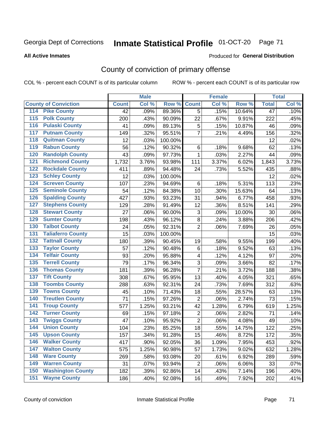# Inmate Statistical Profile 01-OCT-20 Page 71

### **All Active Inmates**

### Produced for General Distribution

# County of conviction of primary offense

COL % - percent each COUNT is of its particular column

|                                          |              | <b>Male</b> |         |                | <b>Female</b> |        |                 | <b>Total</b> |
|------------------------------------------|--------------|-------------|---------|----------------|---------------|--------|-----------------|--------------|
| <b>County of Conviction</b>              | <b>Count</b> | Col %       | Row %   | <b>Count</b>   | Col %         | Row %  | <b>Total</b>    | Col %        |
| <b>Pike County</b><br>114                | 42           | .09%        | 89.36%  | 5              | .15%          | 10.64% | $\overline{47}$ | .10%         |
| <b>Polk County</b><br>$\overline{115}$   | 200          | .43%        | 90.09%  | 22             | .67%          | 9.91%  | 222             | .45%         |
| <b>Pulaski County</b><br>116             | 41           | .09%        | 89.13%  | 5              | .15%          | 10.87% | 46              | .09%         |
| <b>Putnam County</b><br>117              | 149          | .32%        | 95.51%  | $\overline{7}$ | .21%          | 4.49%  | 156             | .32%         |
| <b>Quitman County</b><br>118             | 12           | .03%        | 100.00% |                |               |        | 12              | .02%         |
| <b>Rabun County</b><br>119               | 56           | .12%        | 90.32%  | 6              | .18%          | 9.68%  | 62              | .13%         |
| <b>Randolph County</b><br>120            | 43           | .09%        | 97.73%  | $\mathbf{1}$   | .03%          | 2.27%  | 44              | .09%         |
| <b>Richmond County</b><br>121            | 1,732        | 3.76%       | 93.98%  | 111            | 3.37%         | 6.02%  | 1,843           | 3.73%        |
| <b>Rockdale County</b><br>122            | 411          | .89%        | 94.48%  | 24             | .73%          | 5.52%  | 435             | .88%         |
| <b>Schley County</b><br>123              | 12           | .03%        | 100.00% |                |               |        | 12              | .02%         |
| <b>Screven County</b><br>124             | 107          | .23%        | 94.69%  | 6              | .18%          | 5.31%  | 113             | .23%         |
| <b>Seminole County</b><br>125            | 54           | .12%        | 84.38%  | 10             | .30%          | 15.63% | 64              | .13%         |
| <b>Spalding County</b><br>126            | 427          | .93%        | 93.23%  | 31             | .94%          | 6.77%  | 458             | .93%         |
| <b>Stephens County</b><br>127            | 129          | .28%        | 91.49%  | 12             | .36%          | 8.51%  | 141             | .29%         |
| <b>Stewart County</b><br>128             | 27           | .06%        | 90.00%  | 3              | .09%          | 10.00% | 30              | .06%         |
| <b>Sumter County</b><br>129              | 198          | .43%        | 96.12%  | 8              | .24%          | 3.88%  | 206             | .42%         |
| <b>Talbot County</b><br>130              | 24           | .05%        | 92.31%  | $\overline{2}$ | .06%          | 7.69%  | 26              | .05%         |
| <b>Taliaferro County</b><br>131          | 15           | .03%        | 100.00% |                |               |        | 15              | .03%         |
| <b>Tattnall County</b><br>132            | 180          | .39%        | 90.45%  | 19             | .58%          | 9.55%  | 199             | .40%         |
| <b>Taylor County</b><br>133              | 57           | .12%        | 90.48%  | 6              | .18%          | 9.52%  | 63              | .13%         |
| <b>Telfair County</b><br>134             | 93           | .20%        | 95.88%  | 4              | .12%          | 4.12%  | 97              | .20%         |
| <b>Terrell County</b><br>135             | 79           | .17%        | 96.34%  | 3              | .09%          | 3.66%  | 82              | .17%         |
| <b>Thomas County</b><br>136              | 181          | .39%        | 96.28%  | $\overline{7}$ | .21%          | 3.72%  | 188             | .38%         |
| <b>Tift County</b><br>137                | 308          | .67%        | 95.95%  | 13             | .40%          | 4.05%  | 321             | .65%         |
| <b>Toombs County</b><br>138              | 288          | .63%        | 92.31%  | 24             | .73%          | 7.69%  | 312             | .63%         |
| <b>Towns County</b><br>139               | 45           | .10%        | 71.43%  | 18             | .55%          | 28.57% | 63              | .13%         |
| <b>Treutlen County</b><br>140            | 71           | .15%        | 97.26%  | $\overline{2}$ | .06%          | 2.74%  | 73              | .15%         |
| <b>Troup County</b><br>141               | 577          | 1.25%       | 93.21%  | 42             | 1.28%         | 6.79%  | 619             | 1.25%        |
| <b>Turner County</b><br>142              | 69           | .15%        | 97.18%  | $\overline{2}$ | .06%          | 2.82%  | 71              | .14%         |
| <b>Twiggs County</b><br>$\overline{143}$ | 47           | .10%        | 95.92%  | $\overline{2}$ | .06%          | 4.08%  | 49              | .10%         |
| <b>Union County</b><br>144               | 104          | .23%        | 85.25%  | 18             | .55%          | 14.75% | 122             | .25%         |
| 145<br><b>Upson County</b>               | 157          | .34%        | 91.28%  | 15             | .46%          | 8.72%  | 172             | .35%         |
| <b>Walker County</b><br>146              | 417          | .90%        | 92.05%  | 36             | 1.09%         | 7.95%  | 453             | .92%         |
| <b>Walton County</b><br>147              | 575          | 1.25%       | 90.98%  | 57             | 1.73%         | 9.02%  | 632             | 1.28%        |
| <b>Ware County</b><br>148                | 269          | .58%        | 93.08%  | 20             | .61%          | 6.92%  | 289             | .59%         |
| <b>Warren County</b><br>149              | 31           | .07%        | 93.94%  | $\overline{2}$ | .06%          | 6.06%  | 33              | .07%         |
| <b>Washington County</b><br>150          | 182          | .39%        | 92.86%  | 14             | .43%          | 7.14%  | 196             | .40%         |
| <b>Wayne County</b><br>151               | 186          | .40%        | 92.08%  | 16             | .49%          | 7.92%  | 202             | .41%         |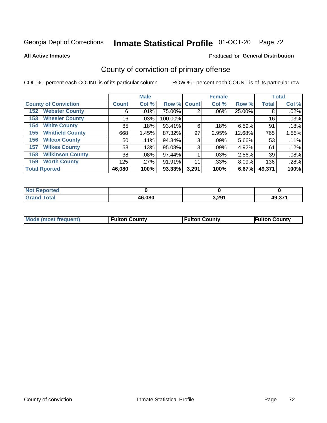# Inmate Statistical Profile 01-OCT-20 Page 72

**All Active Inmates** 

## Produced for General Distribution

# County of conviction of primary offense

COL % - percent each COUNT is of its particular column

|                                |              | <b>Male</b> |             |       | <b>Female</b> |        |              | <b>Total</b> |
|--------------------------------|--------------|-------------|-------------|-------|---------------|--------|--------------|--------------|
| <b>County of Conviction</b>    | <b>Count</b> | Col %       | Row % Count |       | Col %         | Row %  | <b>Total</b> | Col %        |
| <b>Webster County</b><br>152   | 6            | .01%        | 75.00%      | 2     | $.06\%$       | 25.00% | 8            | .02%         |
| <b>Wheeler County</b><br>153   | 16           | .03%        | 100.00%     |       |               |        | 16           | .03%         |
| <b>White County</b><br>154     | 85           | .18%        | 93.41%      | 6     | .18%          | 6.59%  | 91           | .18%         |
| <b>Whitfield County</b><br>155 | 668          | 1.45%       | 87.32%      | 97    | 2.95%         | 12.68% | 765          | 1.55%        |
| <b>Wilcox County</b><br>156    | 50           | $.11\%$     | 94.34%      | 3     | .09%          | 5.66%  | 53           | .11%         |
| <b>Wilkes County</b><br>157    | 58           | .13%        | 95.08%      | 3     | .09%          | 4.92%  | 61           | .12%         |
| <b>Wilkinson County</b><br>158 | 38           | .08%        | 97.44%      |       | .03%          | 2.56%  | 39           | .08%         |
| <b>Worth County</b><br>159     | 125          | .27%        | 91.91%      | 11    | .33%          | 8.09%  | 136          | .28%         |
| <b>Total Rported</b>           | 46,080       | 100%        | 93.33%      | 3,291 | 100%          | 6.67%  | 49,371       | 100%         |

| <b>Not Reported</b> |        |       |        |
|---------------------|--------|-------|--------|
| ∣ Total             | 46,080 | 3,291 | 49,371 |

| Mode (most frequent) | <b>Fulton County</b> | <b>Fulton County</b> | <b>Fulton County</b> |
|----------------------|----------------------|----------------------|----------------------|
|                      |                      |                      |                      |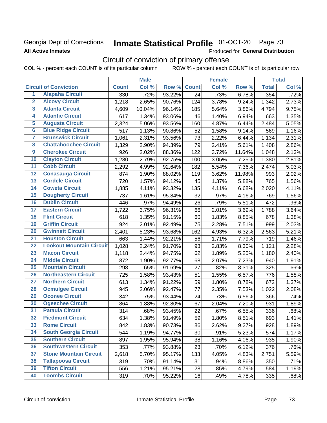# Georgia Dept of Corrections **All Active Inmates**

# Inmate Statistical Profile 01-OCT-20 Page 73

Produced for General Distribution

# Circuit of conviction of primary offense

COL % - percent each COUNT is of its particular column ROW % - percent each COUNT is of its particular row

|                         |                                 | <b>Male</b>  |        |        | <b>Female</b>   |       |        | <b>Total</b> |       |
|-------------------------|---------------------------------|--------------|--------|--------|-----------------|-------|--------|--------------|-------|
|                         | <b>Circuit of Conviction</b>    | <b>Count</b> | Col %  | Row %  | <b>Count</b>    | Col % | Row %  | <b>Total</b> | Col % |
| 1                       | <b>Alapaha Circuit</b>          | 330          | .72%   | 93.22% | $\overline{24}$ | .73%  | 6.78%  | 354          | .72%  |
| $\overline{2}$          | <b>Alcovy Circuit</b>           | 1,218        | 2.65%  | 90.76% | 124             | 3.78% | 9.24%  | 1,342        | 2.73% |
| $\overline{\mathbf{3}}$ | <b>Atlanta Circuit</b>          | 4,609        | 10.04% | 96.14% | 185             | 5.64% | 3.86%  | 4,794        | 9.75% |
| 4                       | <b>Atlantic Circuit</b>         | 617          | 1.34%  | 93.06% | 46              | 1.40% | 6.94%  | 663          | 1.35% |
| 5                       | <b>Augusta Circuit</b>          | 2,324        | 5.06%  | 93.56% | 160             | 4.87% | 6.44%  | 2,484        | 5.05% |
| $\overline{\bf{6}}$     | <b>Blue Ridge Circuit</b>       | 517          | 1.13%  | 90.86% | 52              | 1.58% | 9.14%  | 569          | 1.16% |
| 7                       | <b>Brunswick Circuit</b>        | 1,061        | 2.31%  | 93.56% | 73              | 2.22% | 6.44%  | 1,134        | 2.31% |
| $\overline{\mathbf{8}}$ | <b>Chattahoochee Circuit</b>    | 1,329        | 2.90%  | 94.39% | 79              | 2.41% | 5.61%  | 1,408        | 2.86% |
| $\overline{9}$          | <b>Cherokee Circuit</b>         | 926          | 2.02%  | 88.36% | 122             | 3.72% | 11.64% | 1,048        | 2.13% |
| 10                      | <b>Clayton Circuit</b>          | 1,280        | 2.79%  | 92.75% | 100             | 3.05% | 7.25%  | 1,380        | 2.81% |
| $\overline{11}$         | <b>Cobb Circuit</b>             | 2,292        | 4.99%  | 92.64% | 182             | 5.54% | 7.36%  | 2,474        | 5.03% |
| $\overline{12}$         | <b>Conasauga Circuit</b>        | 874          | 1.90%  | 88.02% | 119             | 3.62% | 11.98% | 993          | 2.02% |
| 13                      | <b>Cordele Circuit</b>          | 720          | 1.57%  | 94.12% | 45              | 1.37% | 5.88%  | 765          | 1.56% |
| $\overline{14}$         | <b>Coweta Circuit</b>           | 1,885        | 4.11%  | 93.32% | 135             | 4.11% | 6.68%  | 2,020        | 4.11% |
| 15                      | <b>Dougherty Circuit</b>        | 737          | 1.61%  | 95.84% | 32              | .97%  | 4.16%  | 769          | 1.56% |
| 16                      | <b>Dublin Circuit</b>           | 446          | .97%   | 94.49% | 26              | .79%  | 5.51%  | 472          | .96%  |
| 17                      | <b>Eastern Circuit</b>          | 1,722        | 3.75%  | 96.31% | 66              | 2.01% | 3.69%  | 1,788        | 3.64% |
| $\overline{18}$         | <b>Flint Circuit</b>            | 618          | 1.35%  | 91.15% | 60              | 1.83% | 8.85%  | 678          | 1.38% |
| 19                      | <b>Griffin Circuit</b>          | 924          | 2.01%  | 92.49% | 75              | 2.28% | 7.51%  | 999          | 2.03% |
| $\overline{20}$         | <b>Gwinnett Circuit</b>         | 2,401        | 5.23%  | 93.68% | 162             | 4.93% | 6.32%  | 2,563        | 5.21% |
| $\overline{21}$         | <b>Houston Circuit</b>          | 663          | 1.44%  | 92.21% | 56              | 1.71% | 7.79%  | 719          | 1.46% |
| $\overline{22}$         | <b>Lookout Mountain Circuit</b> | 1,028        | 2.24%  | 91.70% | 93              | 2.83% | 8.30%  | 1,121        | 2.28% |
| 23                      | <b>Macon Circuit</b>            | 1,118        | 2.44%  | 94.75% | 62              | 1.89% | 5.25%  | 1,180        | 2.40% |
| $\overline{24}$         | <b>Middle Circuit</b>           | 872          | 1.90%  | 92.77% | 68              | 2.07% | 7.23%  | 940          | 1.91% |
| $\overline{25}$         | <b>Mountain Circuit</b>         | 298          | .65%   | 91.69% | 27              | .82%  | 8.31%  | 325          | .66%  |
| 26                      | <b>Northeastern Circuit</b>     | 725          | 1.58%  | 93.43% | 51              | 1.55% | 6.57%  | 776          | 1.58% |
| $\overline{27}$         | <b>Northern Circuit</b>         | 613          | 1.34%  | 91.22% | 59              | 1.80% | 8.78%  | 672          | 1.37% |
| 28                      | <b>Ocmulgee Circuit</b>         | 945          | 2.06%  | 92.47% | 77              | 2.35% | 7.53%  | 1,022        | 2.08% |
| 29                      | <b>Oconee Circuit</b>           | 342          | .75%   | 93.44% | 24              | .73%  | 6.56%  | 366          | .74%  |
| 30                      | <b>Ogeechee Circuit</b>         | 864          | 1.88%  | 92.80% | 67              | 2.04% | 7.20%  | 931          | 1.89% |
| $\overline{31}$         | <b>Pataula Circuit</b>          | 314          | .68%   | 93.45% | 22              | .67%  | 6.55%  | 336          | .68%  |
| 32                      | <b>Piedmont Circuit</b>         | 634          | 1.38%  | 91.49% | 59              | 1.80% | 8.51%  | 693          | 1.41% |
| 33                      | <b>Rome Circuit</b>             | 842          | 1.83%  | 90.73% | 86              | 2.62% | 9.27%  | 928          | 1.89% |
| 34                      | <b>South Georgia Circuit</b>    | 544          | 1.19%  | 94.77% | 30              | .91%  | 5.23%  | 574          | 1.17% |
| 35                      | <b>Southern Circuit</b>         | 897          | 1.95%  | 95.94% | 38              | 1.16% | 4.06%  | 935          | 1.90% |
| 36                      | <b>Southwestern Circuit</b>     | 353          | .77%   | 93.88% | 23              | .70%  | 6.12%  | 376          | .76%  |
| 37                      | <b>Stone Mountain Circuit</b>   | 2,618        | 5.70%  | 95.17% | 133             | 4.05% | 4.83%  | 2,751        | 5.59% |
| 38                      | <b>Tallapoosa Circuit</b>       | 319          | .70%   | 91.14% | 31              | .94%  | 8.86%  | 350          | .71%  |
| 39                      | <b>Tifton Circuit</b>           | 556          | 1.21%  | 95.21% | 28              | .85%  | 4.79%  | 584          | 1.19% |
| 40                      | <b>Toombs Circuit</b>           | 319          | .70%   | 95.22% | 16              | .49%  | 4.78%  | 335          | .68%  |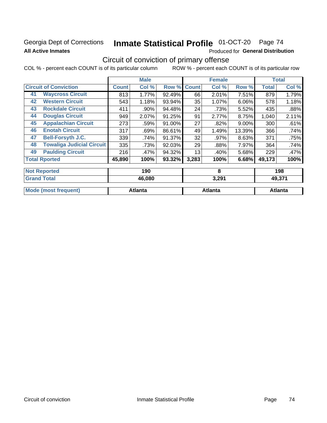### Georgia Dept of Corrections **All Active Inmates**

# Inmate Statistical Profile 01-OCT-20 Page 74

Produced for General Distribution

# Circuit of conviction of primary offense

|                              |                                  |              | <b>Male</b> |        |              | <b>Female</b> |        |              | <b>Total</b> |
|------------------------------|----------------------------------|--------------|-------------|--------|--------------|---------------|--------|--------------|--------------|
| <b>Circuit of Conviction</b> |                                  | <b>Count</b> | Col %       | Row %  | <b>Count</b> | Col %         | Row %  | <b>Total</b> | Col %        |
| 41                           | <b>Waycross Circuit</b>          | 813          | 1.77%       | 92.49% | 66           | 2.01%         | 7.51%  | 879          | 1.79%        |
| 42                           | <b>Western Circuit</b>           | 543          | 1.18%       | 93.94% | 35           | 1.07%         | 6.06%  | 578          | 1.18%        |
| 43                           | <b>Rockdale Circuit</b>          | 411          | .90%        | 94.48% | 24           | .73%          | 5.52%  | 435          | .88%         |
| 44                           | <b>Douglas Circuit</b>           | 949          | 2.07%       | 91.25% | 91           | 2.77%         | 8.75%  | 1,040        | 2.11%        |
| 45                           | <b>Appalachian Circuit</b>       | 273          | .59%        | 91.00% | 27           | .82%          | 9.00%  | 300          | .61%         |
| 46                           | <b>Enotah Circuit</b>            | 317          | .69%        | 86.61% | 49           | 1.49%         | 13.39% | 366          | .74%         |
| 47                           | <b>Bell-Forsyth J.C.</b>         | 339          | .74%        | 91.37% | 32           | .97%          | 8.63%  | 371          | .75%         |
| 48                           | <b>Towaliga Judicial Circuit</b> | 335          | .73%        | 92.03% | 29           | .88%          | 7.97%  | 364          | .74%         |
| 49                           | <b>Paulding Circuit</b>          | 216          | .47%        | 94.32% | 13           | .40%          | 5.68%  | 229          | .47%         |
|                              | <b>Total Rported</b>             | 45,890       | 100%        | 93.32% | 3,283        | 100%          | 6.68%  | 49,173       | 100%         |
| <b>Not Reported</b>          |                                  |              | 190         |        |              | 8             |        |              | 198          |

| 'Grand<br>Total             | 46,080  | 3,291          | 49,371  |
|-----------------------------|---------|----------------|---------|
| <b>Mode (most frequent)</b> | Atlanta | <b>Atlanta</b> | Atlanta |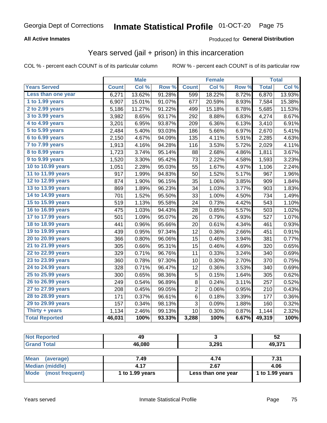#### **All Active Inmates**

#### Produced for **General Distribution**

### Years served (jail + prison) in this incarceration

|                       |              | <b>Male</b> |        |                | <b>Female</b> |       |              | <b>Total</b> |
|-----------------------|--------------|-------------|--------|----------------|---------------|-------|--------------|--------------|
| <b>Years Served</b>   | <b>Count</b> | Col %       | Row %  | <b>Count</b>   | Col %         | Row % | <b>Total</b> | Col %        |
| Less than one year    | 6,271        | 13.62%      | 91.28% | 599            | 18.22%        | 8.72% | 6,870        | 13.93%       |
| 1 to 1.99 years       | 6,907        | 15.01%      | 91.07% | 677            | 20.59%        | 8.93% | 7,584        | 15.38%       |
| 2 to 2.99 years       | 5,186        | 11.27%      | 91.22% | 499            | 15.18%        | 8.78% | 5,685        | 11.53%       |
| 3 to 3.99 years       | 3,982        | 8.65%       | 93.17% | 292            | 8.88%         | 6.83% | 4,274        | 8.67%        |
| 4 to 4.99 years       | 3,201        | 6.95%       | 93.87% | 209            | 6.36%         | 6.13% | 3,410        | 6.91%        |
| 5 to 5.99 years       | 2,484        | 5.40%       | 93.03% | 186            | 5.66%         | 6.97% | 2,670        | 5.41%        |
| 6 to 6.99 years       | 2,150        | 4.67%       | 94.09% | 135            | 4.11%         | 5.91% | 2,285        | 4.63%        |
| 7 to 7.99 years       | 1,913        | 4.16%       | 94.28% | 116            | 3.53%         | 5.72% | 2,029        | 4.11%        |
| 8 to 8.99 years       | 1,723        | 3.74%       | 95.14% | 88             | 2.68%         | 4.86% | 1,811        | 3.67%        |
| 9 to 9.99 years       | 1,520        | 3.30%       | 95.42% | 73             | 2.22%         | 4.58% | 1,593        | 3.23%        |
| 10 to 10.99 years     | 1,051        | 2.28%       | 95.03% | 55             | 1.67%         | 4.97% | 1,106        | 2.24%        |
| 11 to 11.99 years     | 917          | 1.99%       | 94.83% | 50             | 1.52%         | 5.17% | 967          | 1.96%        |
| 12 to 12.99 years     | 874          | 1.90%       | 96.15% | 35             | 1.06%         | 3.85% | 909          | 1.84%        |
| 13 to 13.99 years     | 869          | 1.89%       | 96.23% | 34             | 1.03%         | 3.77% | 903          | 1.83%        |
| 14 to 14.99 years     | 701          | 1.52%       | 95.50% | 33             | 1.00%         | 4.50% | 734          | 1.49%        |
| 15 to 15.99 years     | 519          | 1.13%       | 95.58% | 24             | 0.73%         | 4.42% | 543          | 1.10%        |
| 16 to 16.99 years     | 475          | 1.03%       | 94.43% | 28             | 0.85%         | 5.57% | 503          | 1.02%        |
| 17 to 17.99 years     | 501          | 1.09%       | 95.07% | 26             | 0.79%         | 4.93% | 527          | 1.07%        |
| 18 to 18.99 years     | 441          | 0.96%       | 95.66% | 20             | 0.61%         | 4.34% | 461          | 0.93%        |
| 19 to 19.99 years     | 439          | 0.95%       | 97.34% | 12             | 0.36%         | 2.66% | 451          | 0.91%        |
| 20 to 20.99 years     | 366          | 0.80%       | 96.06% | 15             | 0.46%         | 3.94% | 381          | 0.77%        |
| 21 to 21.99 years     | 305          | 0.66%       | 95.31% | 15             | 0.46%         | 4.69% | 320          | 0.65%        |
| 22 to 22.99 years     | 329          | 0.71%       | 96.76% | 11             | 0.33%         | 3.24% | 340          | 0.69%        |
| 23 to 23.99 years     | 360          | 0.78%       | 97.30% | 10             | 0.30%         | 2.70% | 370          | 0.75%        |
| 24 to 24.99 years     | 328          | 0.71%       | 96.47% | 12             | 0.36%         | 3.53% | 340          | 0.69%        |
| 25 to 25.99 years     | 300          | 0.65%       | 98.36% | 5              | 0.15%         | 1.64% | 305          | 0.62%        |
| 26 to 26.99 years     | 249          | 0.54%       | 96.89% | $\bf 8$        | 0.24%         | 3.11% | 257          | 0.52%        |
| 27 to 27.99 years     | 208          | 0.45%       | 99.05% | $\overline{2}$ | 0.06%         | 0.95% | 210          | 0.43%        |
| 28 to 28.99 years     | 171          | 0.37%       | 96.61% | 6              | 0.18%         | 3.39% | 177          | 0.36%        |
| 29 to 29.99 years     | 157          | 0.34%       | 98.13% | 3              | 0.09%         | 1.88% | 160          | 0.32%        |
| Thirty + years        | 1,134        | 2.46%       | 99.13% | 10             | 0.30%         | 0.87% | 1,144        | 2.32%        |
| <b>Total Reported</b> | 46,031       | 100%        | 93.33% | 3,288          | 100%          | 6.67% | 49,319       | 100%         |

| <b>Not Reported</b>            | 49                |                    | 52              |
|--------------------------------|-------------------|--------------------|-----------------|
| <b>Grand Total</b>             | 46,080            | 3,291              | 49,371          |
|                                |                   |                    |                 |
| <b>Mean</b><br>(average)       | 7.49              | 4.74               | 7.31            |
| <b>Median (middle)</b>         | 4.17              | 2.67               | 4.06            |
| <b>Mode</b><br>(most frequent) | 1 to $1.99$ years | Less than one year | 1 to 1.99 years |
|                                |                   |                    |                 |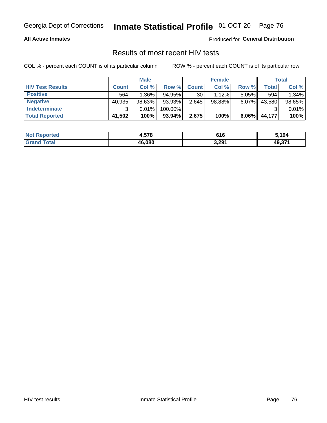#### **All Active Inmates**

Produced for **General Distribution**

### Results of most recent HIV tests

|                         |              | <b>Male</b> |           |              | <b>Female</b> |          |        | <b>Total</b> |
|-------------------------|--------------|-------------|-----------|--------------|---------------|----------|--------|--------------|
| <b>HIV Test Results</b> | <b>Count</b> | Col %       | Row %I    | <b>Count</b> | Col %         | Row %    | Total  | Col %        |
| <b>Positive</b>         | 564          | $1.36\%$    | $94.95\%$ | 30           | 1.12%         | $5.05\%$ | 594    | 1.34%        |
| <b>Negative</b>         | 40,935       | 98.63%      | 93.93%    | 2,645        | $98.88\%$     | 6.07%    | 43,580 | 98.65%       |
| <b>Indeterminate</b>    | ີ            | 0.01%       | 100.00%   |              |               |          |        | 0.01%        |
| <b>Total Reported</b>   | 41,502       | 100%        | 93.94%    | 2,675        | 100%          | $6.06\%$ | 44,177 | 100%         |

| <b>Not Reported</b> | 1,578  | 616   | ,194   |
|---------------------|--------|-------|--------|
| Total               | 46,080 | 3,291 | 49,371 |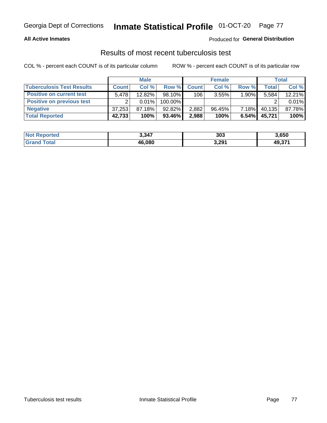#### **All Active Inmates**

#### Produced for **General Distribution**

### Results of most recent tuberculosis test

|                                  |              | <b>Male</b> |           |              | <b>Female</b> |          |        | Total  |
|----------------------------------|--------------|-------------|-----------|--------------|---------------|----------|--------|--------|
| <b>Tuberculosis Test Results</b> | <b>Count</b> | Col%        | Row %     | <b>Count</b> | Col %         | Row %    | Total  | Col %  |
| <b>Positive on current test</b>  | 5.478        | $12.82\%$   | $98.10\%$ | 106          | 3.55%         | 1.90%    | 5,584  | 12.21% |
| <b>Positive on previous test</b> | ົ            | $0.01\%$    | 100.00%   |              |               |          |        | 0.01%  |
| <b>Negative</b>                  | 37,253       | $87.18\%$   | $92.82\%$ | 2,882        | $96.45\%$     | $7.18\%$ | 40,135 | 87.78% |
| <b>Total Reported</b>            | 42,733       | 100%        | 93.46%    | 2,988        | 100%          | 6.54%    | 45,721 | 100%   |

| <b>Not Reported</b>   | 3,347  | 303   | 3,650  |
|-----------------------|--------|-------|--------|
| Total<br><b>Grand</b> | 46,080 | 3,291 | 49,371 |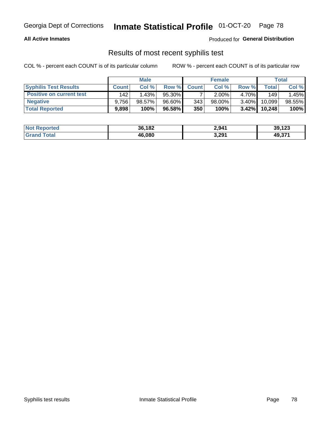#### **All Active Inmates**

Produced for **General Distribution**

### Results of most recent syphilis test

|                                 |              | <b>Male</b> |        |                  | <b>Female</b> |          |        | Total  |
|---------------------------------|--------------|-------------|--------|------------------|---------------|----------|--------|--------|
| <b>Syphilis Test Results</b>    | <b>Count</b> | Col%        | Row %I | <b>Count</b>     | Col %         | Row %I   | Total  | Col %  |
| <b>Positive on current test</b> | 142          | 1.43%       | 95.30% |                  | $2.00\%$      | 4.70%    | 149    | 1.45%  |
| <b>Negative</b>                 | 9.756        | 98.57%      | 96.60% | 343 <sub>1</sub> | $98.00\%$     | $3.40\%$ | 10,099 | 98.55% |
| <b>Total Reported</b>           | 9,898        | 100%        | 96.58% | 350              | 100%          | $3.42\%$ | 10,248 | 100%   |

| <b>Not Reported</b> | 36,182 | 2,941 | 39,123 |
|---------------------|--------|-------|--------|
| <b>Grand Total</b>  | 46.080 | 3,291 | 49,371 |